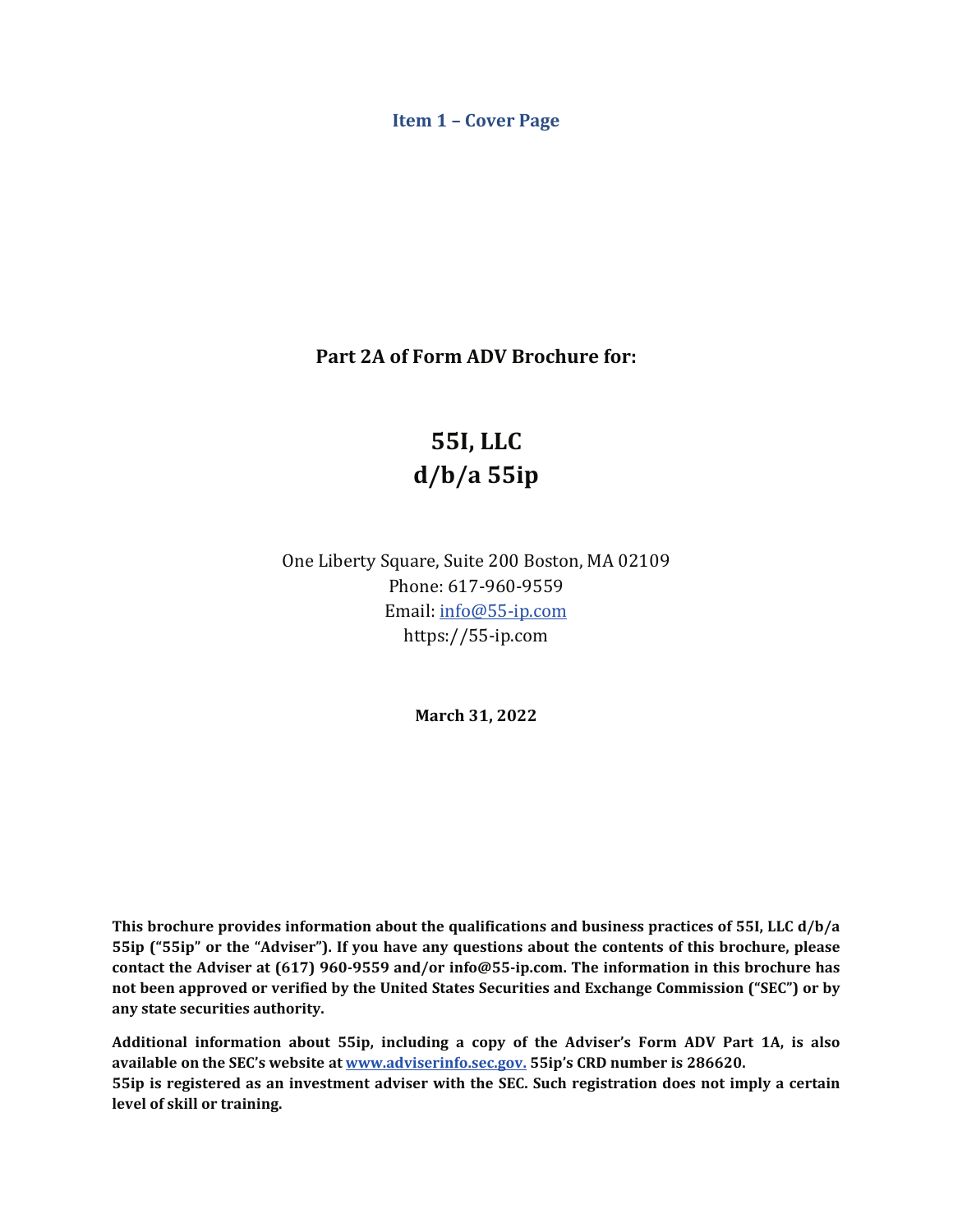<span id="page-0-0"></span>**Item 1 - Cover Page** 

**Part 2A of Form ADV Brochure for:** 

# **55I, LLC d/b/a 55ip**

One Liberty Square, Suite 200 Boston, MA 02109 Phone: 617-960-9559 Email: [info@55-ip.com](mailto:info@55-ip.com) <https://55-ip.com>

**March 31, 2022**

 **This brochure provides information about the qualifications and business practices of 55I, LLC d/b/a 55ip** ("55ip" or the "Adviser"). If you have any questions about the contents of this brochure, please  **contact the Adviser at (617) 960-9559 and/or [info@55-ip.com.](mailto:info@55-ip.com) The information in this brochure has not been approved or verified by the United States Securities and Exchange Commission ("SEC") or by any state securities authority.**

Additional information about 55ip, including a copy of the Adviser's Form ADV Part 1A, is also **55ip** is registered as an investment adviser with the SEC. Such registration does not imply a certain **available** on the SEC's website at www.adviserinfo.sec.gov. 55ip's CRD number is 286620. **level of skill or training.**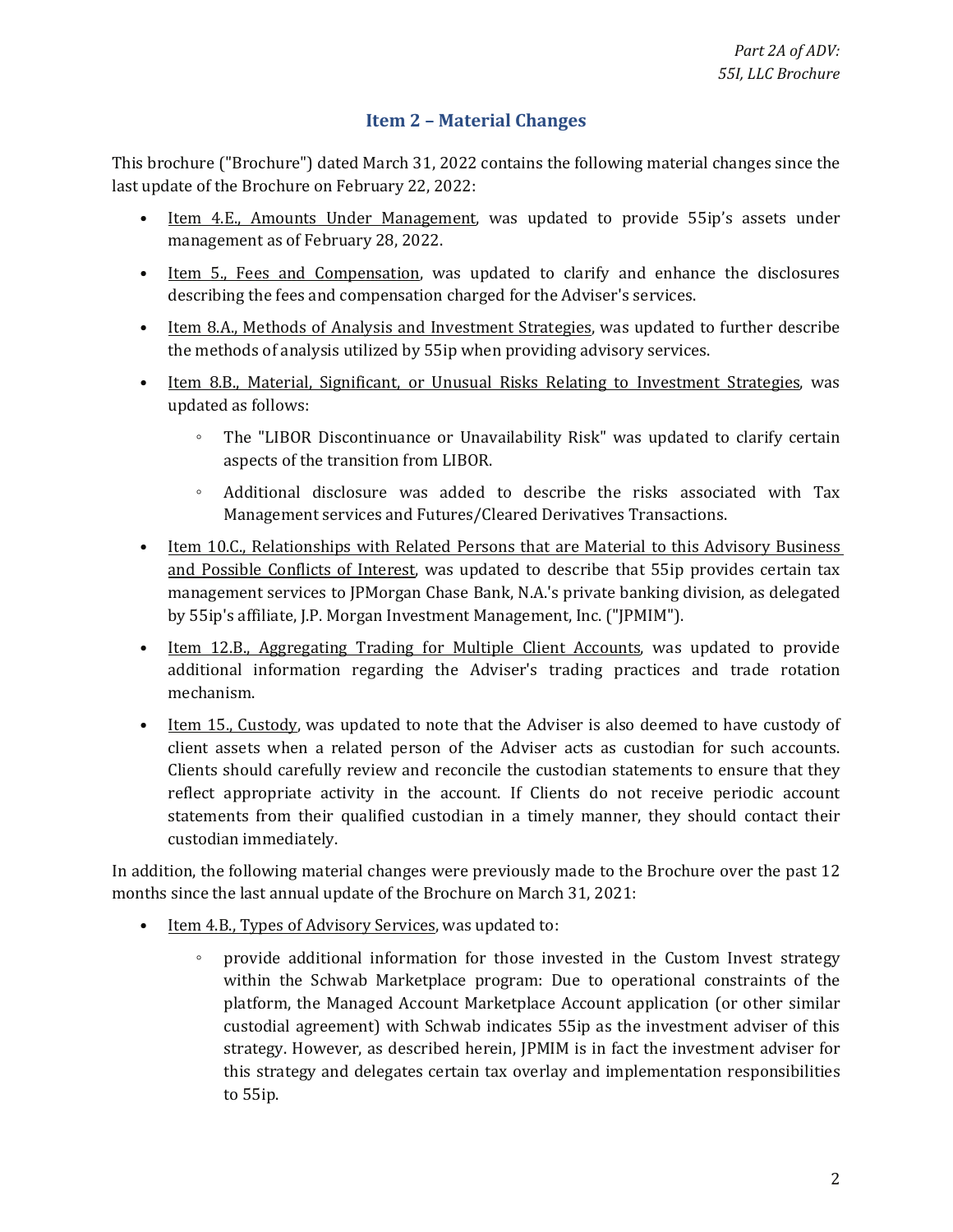### **Item 2 – Material Changes**

<span id="page-1-0"></span>This brochure ("Brochure") dated March 31, 2022 contains the following material changes since the last update of the Brochure on February 22, 2022:

- Item 4.E., Amounts Under Management, was updated to provide 55ip's assets under management as of February 28, 2022.
- Item 5., Fees and Compensation, was updated to clarify and enhance the disclosures describing the fees and compensation charged for the Adviser's services.
- Item 8.A., Methods of Analysis and Investment Strategies, was updated to further describe the methods of analysis utilized by 55ip when providing advisory services.
- Item 8.B., Material, Significant, or Unusual Risks Relating to Investment Strategies, was updated as follows:
	- The "LIBOR Discontinuance or Unavailability Risk" was updated to clarify certain aspects of the transition from LIBOR.
	- Additional disclosure was added to describe the risks associated with Tax Management services and Futures/Cleared Derivatives Transactions.
- Item 10.C., Relationships with Related Persons that are Material to this Advisory Business and Possible Conflicts of Interest, was updated to describe that 55ip provides certain tax management services to JPMorgan Chase Bank, N.A.'s private banking division, as delegated by 55ip's affiliate, J.P. Morgan Investment Management, Inc. ("JPMIM").
- Item 12.B., Aggregating Trading for Multiple Client Accounts, was updated to provide additional information regarding the Adviser's trading practices and trade rotation mechanism.
- Item 15., Custody, was updated to note that the Adviser is also deemed to have custody of client assets when a related person of the Adviser acts as custodian for such accounts. Clients should carefully review and reconcile the custodian statements to ensure that they reflect appropriate activity in the account. If Clients do not receive periodic account statements from their qualified custodian in a timely manner, they should contact their custodian immediately.

In addition, the following material changes were previously made to the Brochure over the past 12 months since the last annual update of the Brochure on March 31, 2021:

- Item 4.B., Types of Advisory Services, was updated to:
	- platform, the Managed Account Marketplace Account application (or other similar strategy. However, as described herein, JPMIM is in fact the investment adviser for ◦ provide additional information for those invested in the Custom Invest strategy within the Schwab Marketplace program: Due to operational constraints of the custodial agreement) with Schwab indicates 55ip as the investment adviser of this this strategy and delegates certain tax overlay and implementation responsibilities to 55ip.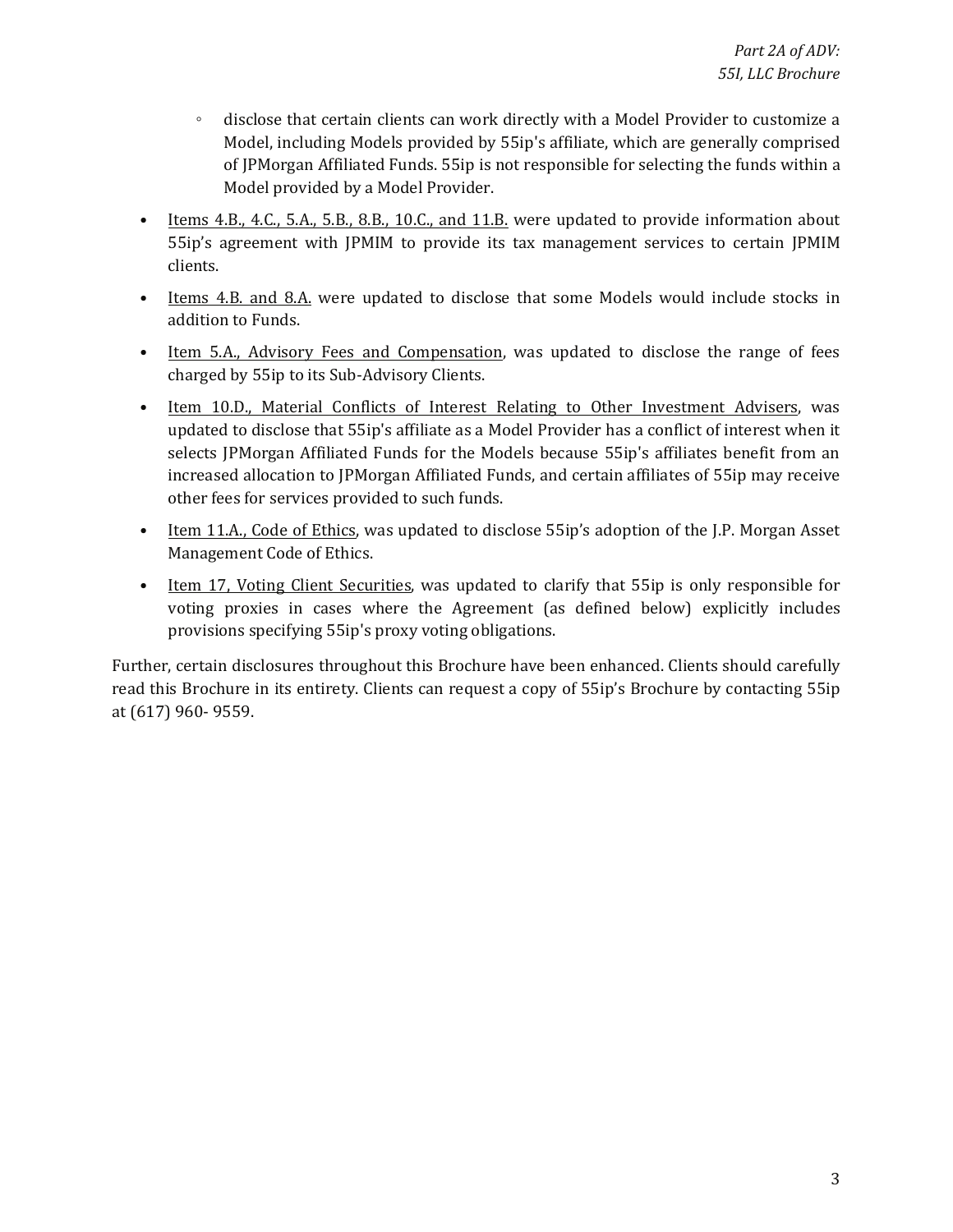- ◦ disclose that certain clients can work directly with a Model Provider to customize a Model, including Models provided by 55ip's affiliate, which are generally comprised of JPMorgan Affiliated Funds. 55ip is not responsible for selecting the funds within a Model provided by a Model Provider.
- 55ip's agreement with JPMIM to provide its tax management services to certain JPMIM • Items 4.B., 4.C., 5.A., 5.B., 8.B., 10.C., and 11.B. were updated to provide information about clients.
- Items 4.B. and 8.A. were updated to disclose that some Models would include stocks in addition to Funds.
- Item 5.A., Advisory Fees and Compensation, was updated to disclose the range of fees charged by 55ip to its Sub-Advisory Clients.
- Item 10.D., Material Conflicts of Interest Relating to Other Investment Advisers, was updated to disclose that 55ip's affiliate as a Model Provider has a conflict of interest when it selects JPMorgan Affiliated Funds for the Models because 55ip's affiliates benefit from an increased allocation to JPMorgan Affiliated Funds, and certain affiliates of 55ip may receive other fees for services provided to such funds.
- Item 11.A., Code of Ethics, was updated to disclose 55ip's adoption of the J.P. Morgan Asset Management Code of Ethics.
- Item 17, Voting Client Securities, was updated to clarify that 55ip is only responsible for voting proxies in cases where the Agreement (as defined below) explicitly includes provisions specifying 55ip's proxy voting obligations.

Further, certain disclosures throughout this Brochure have been enhanced. Clients should carefully read this Brochure in its entirety. Clients can request a copy of 55ip's Brochure by contacting 55ip at (617) 960- 9559.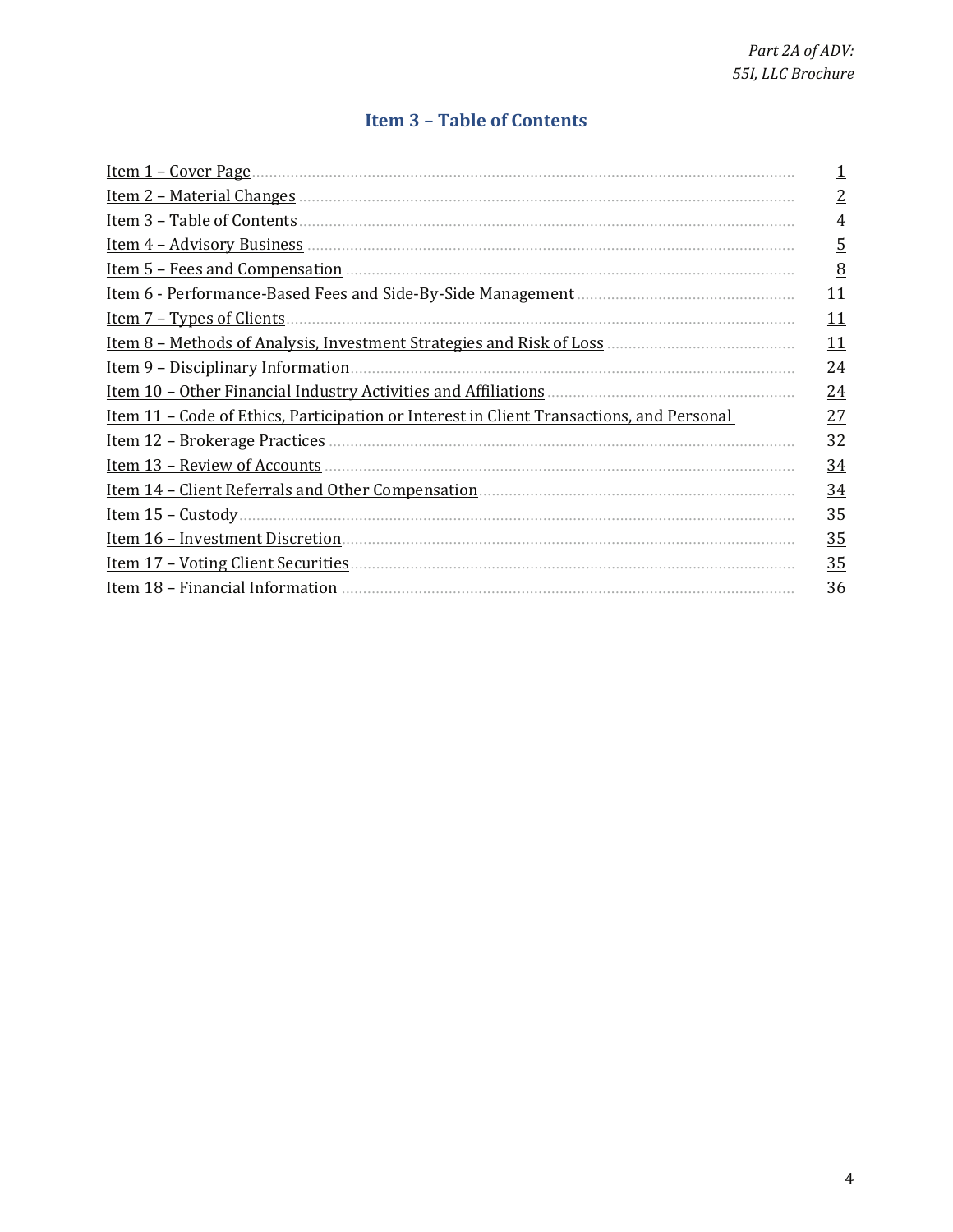# **Item 3 - Table of Contents**

<span id="page-3-0"></span>

| Item 1 – Cover Page                                                                             |                 |
|-------------------------------------------------------------------------------------------------|-----------------|
| Item 2 – Material Changes                                                                       | $\overline{2}$  |
| Item 3 - Table of Contents                                                                      | $\overline{4}$  |
| Item 4 - Advisory Business                                                                      | <u>5</u>        |
| Item 5 - Fees and Compensation                                                                  | 8               |
| Item 6 - Performance-Based Fees and Side-By-Side Management.                                    | <u> 11</u>      |
| <u>Item 7 – Types of Clients</u>                                                                | 11              |
| <u>Item 8 - Methods of Analysis, Investment Strategies and Risk of Loss</u> .                   | 11              |
| Item 9 - Disciplinary Information                                                               | 24              |
| Item 10 - Other Financial Industry Activities and Affiliations                                  | $\overline{24}$ |
| <u>Item 11 – Code of Ethics, Participation or Interest in Client Transactions, and Personal</u> | 27              |
| <u>Item 12 – Brokerage Practices</u>                                                            | 32              |
| Item 13 - Review of Accounts                                                                    | $\frac{34}{5}$  |
| <u>Item 14 – Client Referrals and Other Compensation</u>                                        | $\frac{34}{5}$  |
| Item $15$ – Custody.                                                                            | 35              |
| Item 16 - Investment Discretion                                                                 | 35              |
| <u><b>Item 17 - Voting Client Securities</b></u>                                                | 35              |
| Item 18 - Financial Information                                                                 | 36              |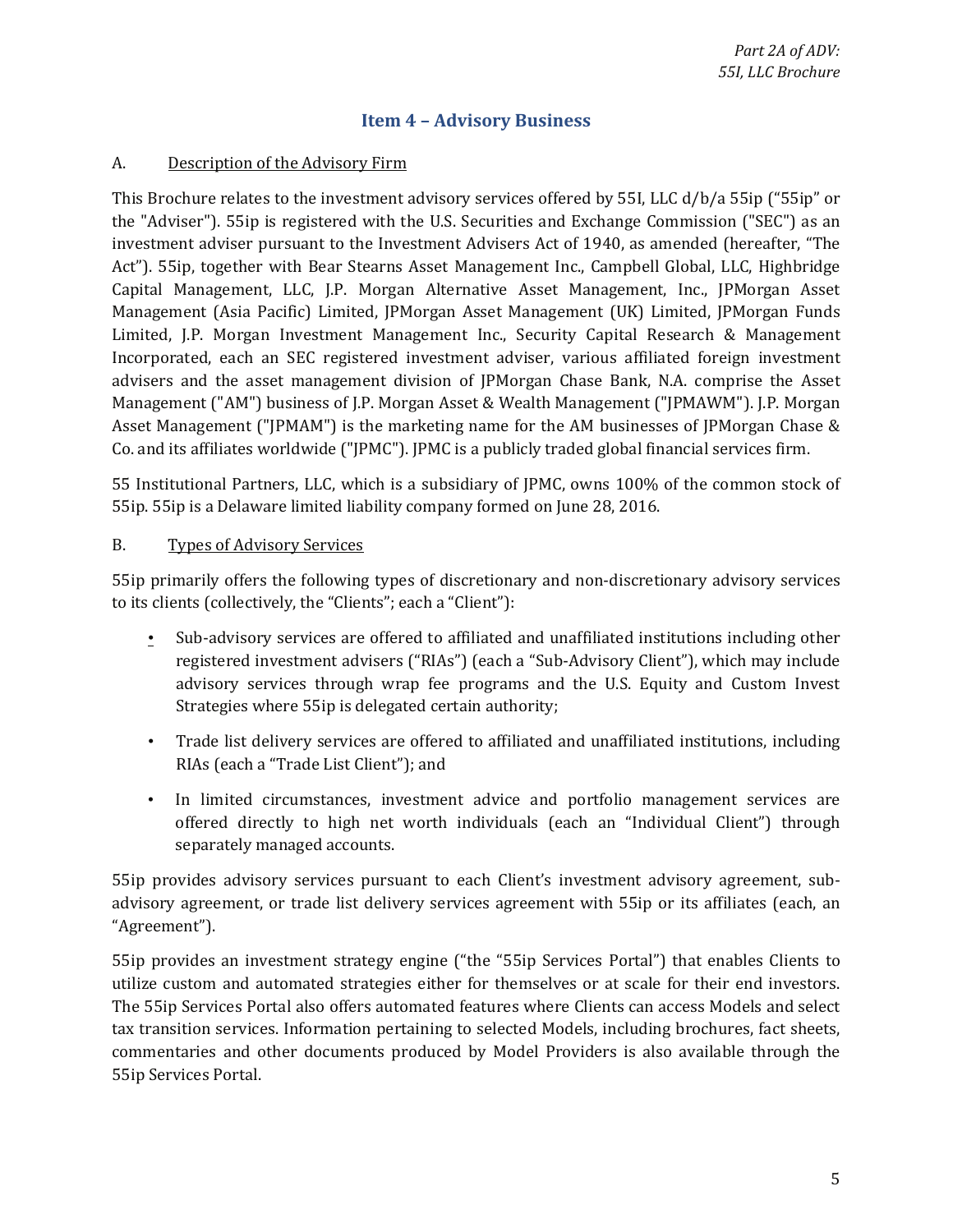### **Item 4 - Advisory Business**

#### <span id="page-4-0"></span>A. Description of the Advisory Firm

 Act"). 55ip, together with Bear Stearns Asset Management Inc., Campbell Global, LLC, Highbridge Incorporated, each an SEC registered investment adviser, various affiliated foreign investment This Brochure relates to the investment advisory services offered by 55I, LLC d/b/a 55ip ("55ip" or the "Adviser"). 55ip is registered with the U.S. Securities and Exchange Commission ("SEC") as an investment adviser pursuant to the Investment Advisers Act of 1940, as amended (hereafter, "The Capital Management, LLC, J.P. Morgan Alternative Asset Management, Inc., JPMorgan Asset Management (Asia Pacific) Limited, JPMorgan Asset Management (UK) Limited, JPMorgan Funds Limited, J.P. Morgan Investment Management Inc., Security Capital Research & Management advisers and the asset management division of JPMorgan Chase Bank, N.A. comprise the Asset Management ("AM") business of J.P. Morgan Asset & Wealth Management ("JPMAWM"). J.P. Morgan Asset Management ("JPMAM") is the marketing name for the AM businesses of JPMorgan Chase & Co. and its affiliates worldwide ("JPMC"). JPMC is a publicly traded global financial services firm.

55 Institutional Partners, LLC, which is a subsidiary of JPMC, owns 100% of the common stock of 55ip. 55ip is a Delaware limited liability company formed on June 28, 2016.

#### B. Types of Advisory Services

55ip primarily offers the following types of discretionary and non-discretionary advisory services to its clients (collectively, the "Clients"; each a "Client"):

- Sub-advisory services are offered to affiliated and unaffiliated institutions including other registered investment advisers ("RIAs") (each a "Sub-Advisory Client"), which may include advisory services through wrap fee programs and the U.S. Equity and Custom Invest Strategies where 55ip is delegated certain authority;
- Trade list delivery services are offered to affiliated and unaffiliated institutions, including RIAs (each a "Trade List Client"); and
- offered directly to high net worth individuals (each an "Individual Client") through • In limited circumstances, investment advice and portfolio management services are separately managed accounts.

 55ip provides advisory services pursuant to each Client's investment advisory agreement, sub- advisory agreement, or trade list delivery services agreement with 55ip or its affiliates (each, an "Agreement").

 utilize custom and automated strategies either for themselves or at scale for their end investors. 55ip provides an investment strategy engine ("the "55ip Services Portal") that enables Clients to The 55ip Services Portal also offers automated features where Clients can access Models and select tax transition services. Information pertaining to selected Models, including brochures, fact sheets, commentaries and other documents produced by Model Providers is also available through the 55ip Services Portal.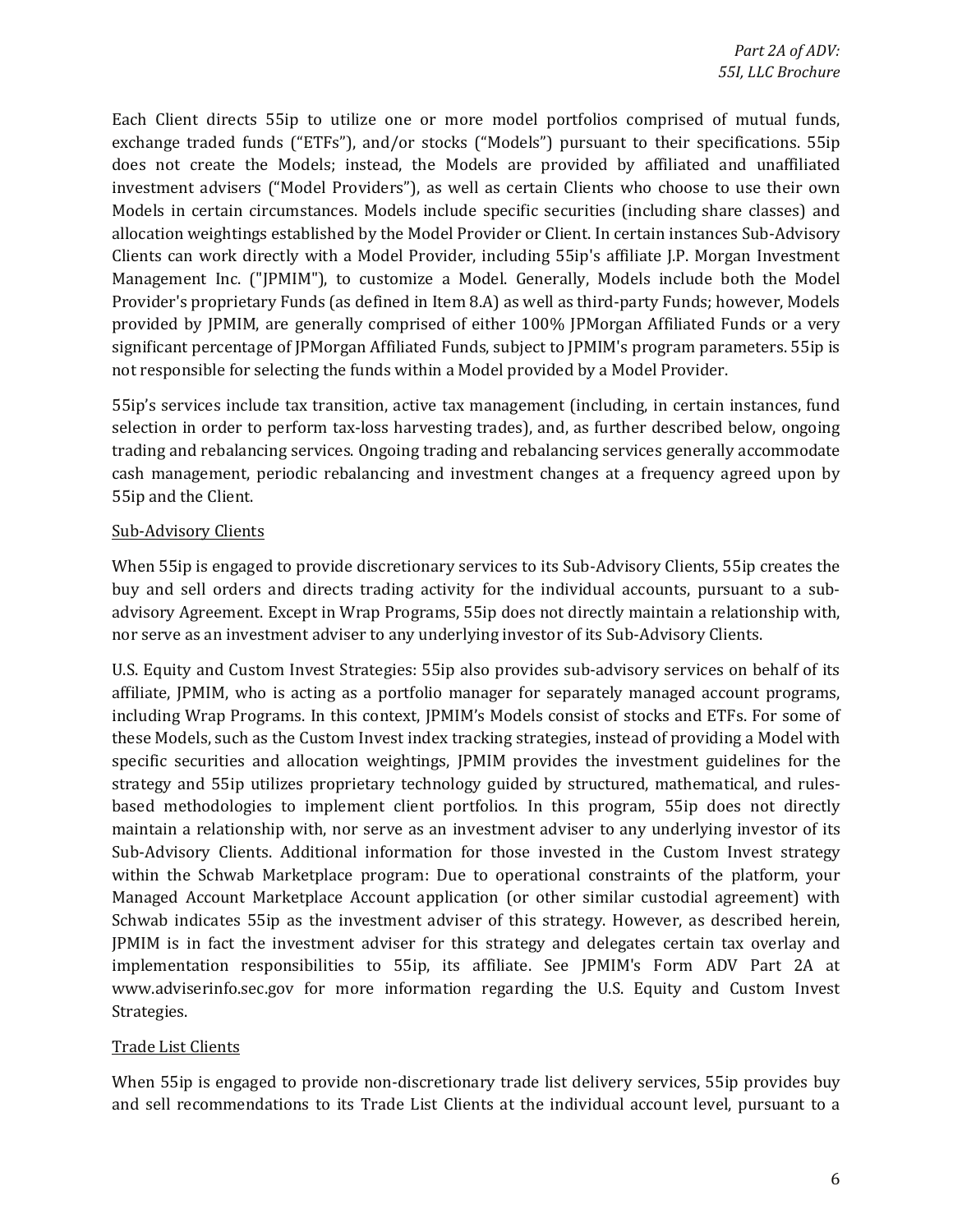exchange traded funds ("ETFs"), and/or stocks ("Models") pursuant to their specifications. 55ip investment advisers ("Model Providers"), as well as certain Clients who choose to use their own allocation weightings established by the Model Provider or Client. In certain instances Sub-Advisory Each Client directs 55ip to utilize one or more model portfolios comprised of mutual funds, does not create the Models; instead, the Models are provided by affiliated and unaffiliated Models in certain circumstances. Models include specific securities (including share classes) and Clients can work directly with a Model Provider, including 55ip's affiliate J.P. Morgan Investment Management Inc. ("JPMIM"), to customize a Model. Generally, Models include both the Model Provider's proprietary Funds (as defined in Item 8.A) as well as third-party Funds; however, Models provided by JPMIM, are generally comprised of either 100% JPMorgan Affiliated Funds or a very significant percentage of JPMorgan Affiliated Funds, subject to JPMIM's program parameters. 55ip is not responsible for selecting the funds within a Model provided by a Model Provider.

 selection in order to perform tax-loss harvesting trades), and, as further described below, ongoing 55ip's services include tax transition, active tax management (including, in certain instances, fund trading and rebalancing services. Ongoing trading and rebalancing services generally accommodate cash management, periodic rebalancing and investment changes at a frequency agreed upon by 55ip and the Client.

### Sub-Advisory Clients

When 55ip is engaged to provide discretionary services to its Sub-Advisory Clients, 55ip creates the buy and sell orders and directs trading activity for the individual accounts, pursuant to a subadvisory Agreement. Except in Wrap Programs, 55ip does not directly maintain a relationship with, nor serve as an investment adviser to any underlying investor of its Sub-Advisory Clients.

 affiliate, JPMIM, who is acting as a portfolio manager for separately managed account programs, maintain a relationship with, nor serve as an investment adviser to any underlying investor of its Managed Account Marketplace Account application (or other similar custodial agreement) with JPMIM is in fact the investment adviser for this strategy and delegates certain tax overlay and U.S. Equity and Custom Invest Strategies: 55ip also provides sub-advisory services on behalf of its including Wrap Programs. In this context, JPMIM's Models consist of stocks and ETFs. For some of these Models, such as the Custom Invest index tracking strategies, instead of providing a Model with specific securities and allocation weightings, JPMIM provides the investment guidelines for the strategy and 55ip utilizes proprietary technology guided by structured, mathematical, and rulesbased methodologies to implement client portfolios. In this program, 55ip does not directly Sub-Advisory Clients. Additional information for those invested in the Custom Invest strategy within the Schwab Marketplace program: Due to operational constraints of the platform, your Schwab indicates 55ip as the investment adviser of this strategy. However, as described herein, implementation responsibilities to 55ip, its affiliate. See JPMIM's Form ADV Part 2A at [www.adviserinfo.sec.gov](http://www.adviserinfo.sec.gov) for more information regarding the U.S. Equity and Custom Invest Strategies.

#### Trade List Clients

When 55ip is engaged to provide non-discretionary trade list delivery services, 55ip provides buy and sell recommendations to its Trade List Clients at the individual account level, pursuant to a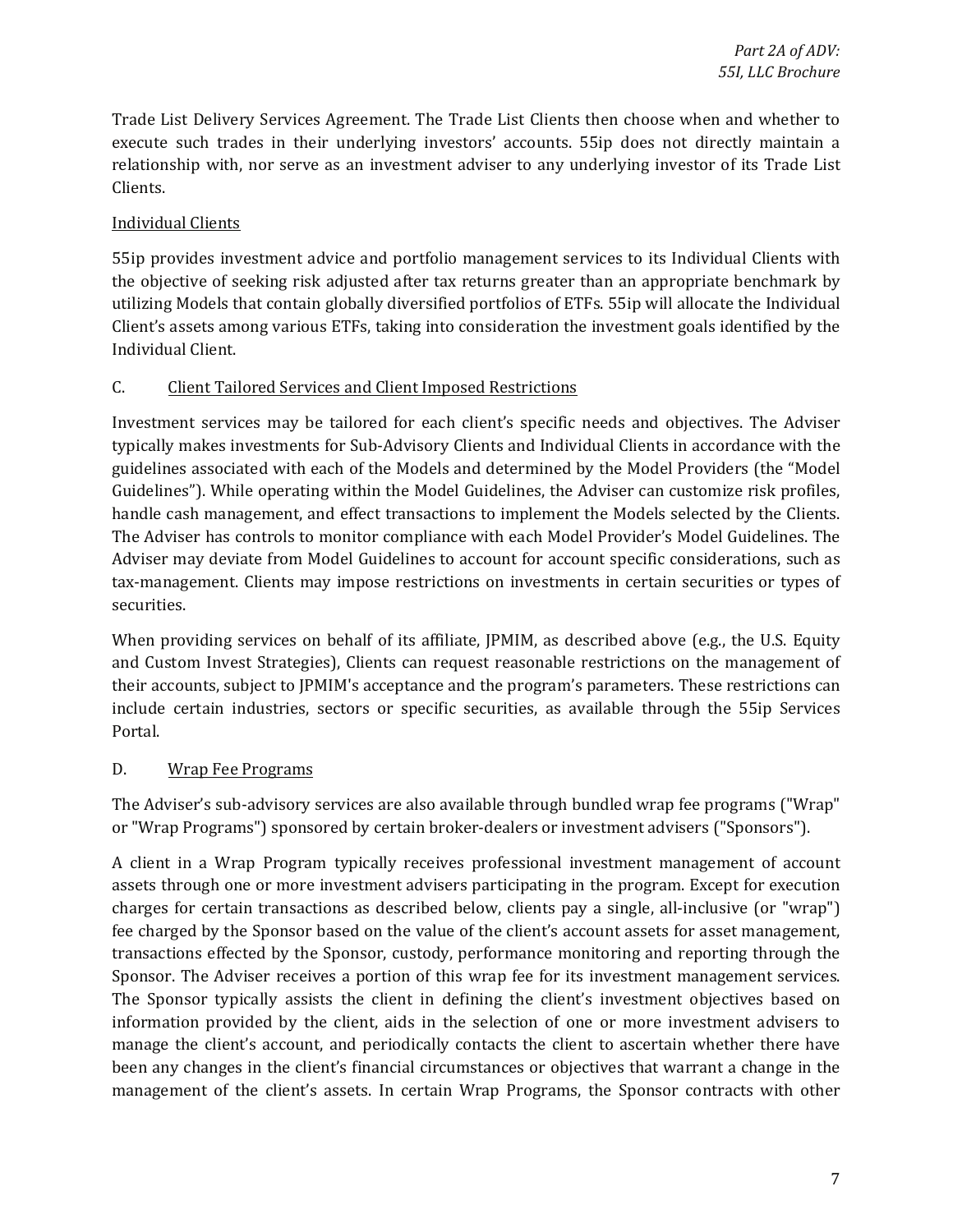Trade List Delivery Services Agreement. The Trade List Clients then choose when and whether to relationship with, nor serve as an investment adviser to any underlying investor of its Trade List execute such trades in their underlying investors' accounts. 55ip does not directly maintain a Clients.

### Individual Clients

55ip provides investment advice and portfolio management services to its Individual Clients with the objective of seeking risk adjusted after tax returns greater than an appropriate benchmark by utilizing Models that contain globally diversified portfolios of ETFs. 55ip will allocate the Individual Client's assets among various ETFs, taking into consideration the investment goals identified by the Individual Client.

### C. Client Tailored Services and Client Imposed Restrictions

 Investment services may be tailored for each client's specific needs and objectives. The Adviser guidelines associated with each of the Models and determined by the Model Providers (the "Model Guidelines"). While operating within the Model Guidelines, the Adviser can customize risk profiles, The Adviser has controls to monitor compliance with each Model Provider's Model Guidelines. The Adviser may deviate from Model Guidelines to account for account specific considerations, such as typically makes investments for Sub-Advisory Clients and Individual Clients in accordance with the handle cash management, and effect transactions to implement the Models selected by the Clients. tax-management. Clients may impose restrictions on investments in certain securities or types of securities.

When providing services on behalf of its affiliate, JPMIM, as described above (e.g., the U.S. Equity and Custom Invest Strategies), Clients can request reasonable restrictions on the management of their accounts, subject to JPMIM's acceptance and the program's parameters. These restrictions can include certain industries, sectors or specific securities, as available through the 55ip Services Portal.

### D. Wrap Fee Programs

The Adviser's sub-advisory services are also available through bundled wrap fee programs ("Wrap" or "Wrap Programs") sponsored by certain broker-dealers or investment advisers ("Sponsors").

 assets through one or more investment advisers participating in the program. Except for execution management of the client's assets. In certain Wrap Programs, the Sponsor contracts with other A client in a Wrap Program typically receives professional investment management of account charges for certain transactions as described below, clients pay a single, all-inclusive (or "wrap") fee charged by the Sponsor based on the value of the client's account assets for asset management, transactions effected by the Sponsor, custody, performance monitoring and reporting through the Sponsor. The Adviser receives a portion of this wrap fee for its investment management services. The Sponsor typically assists the client in defining the client's investment objectives based on information provided by the client, aids in the selection of one or more investment advisers to manage the client's account, and periodically contacts the client to ascertain whether there have been any changes in the client's financial circumstances or objectives that warrant a change in the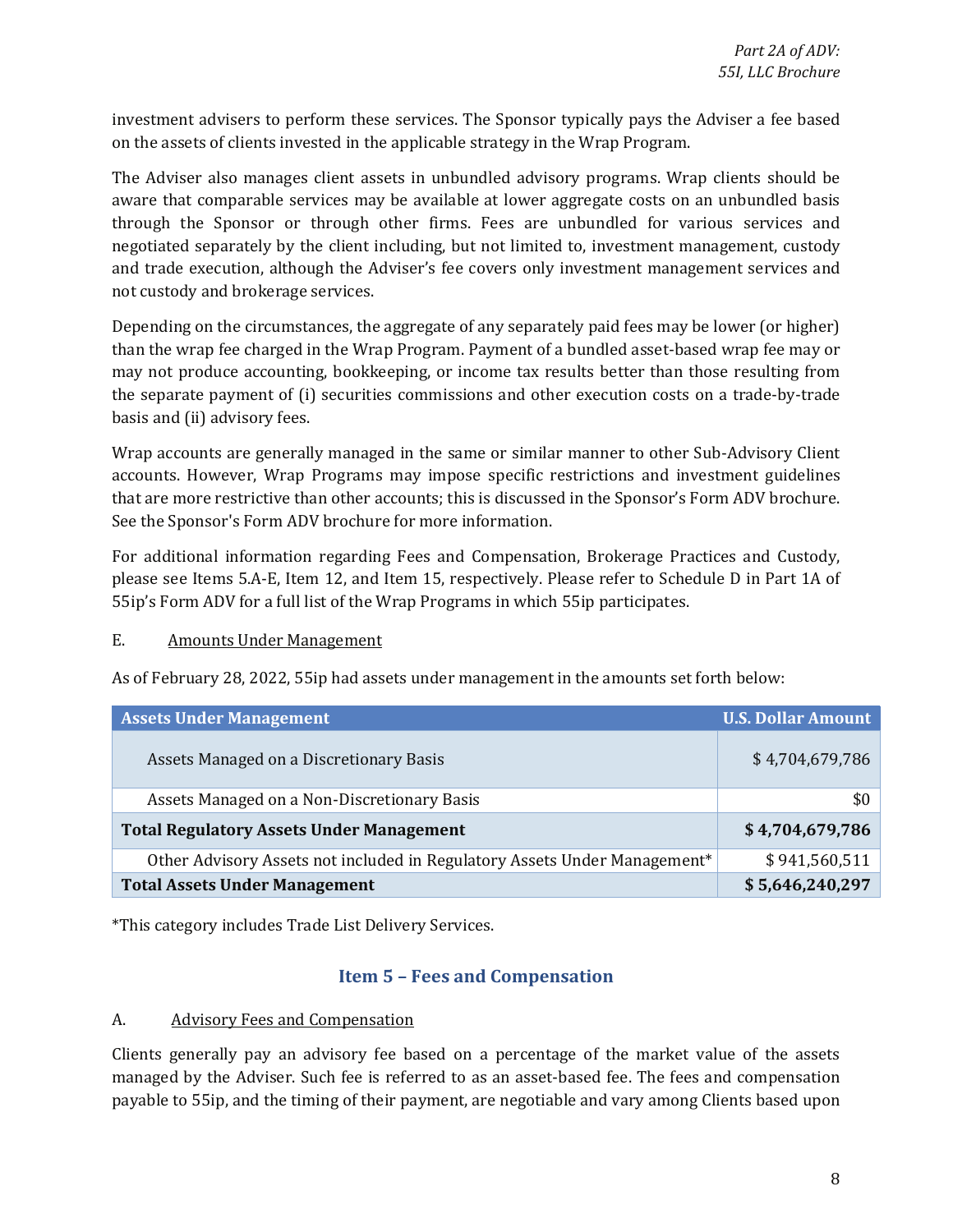<span id="page-7-0"></span>investment advisers to perform these services. The Sponsor typically pays the Adviser a fee based on the assets of clients invested in the applicable strategy in the Wrap Program.

 The Adviser also manages client assets in unbundled advisory programs. Wrap clients should be through the Sponsor or through other firms. Fees are unbundled for various services and aware that comparable services may be available at lower aggregate costs on an unbundled basis negotiated separately by the client including, but not limited to, investment management, custody and trade execution, although the Adviser's fee covers only investment management services and not custody and brokerage services.

Depending on the circumstances, the aggregate of any separately paid fees may be lower (or higher) than the wrap fee charged in the Wrap Program. Payment of a bundled asset-based wrap fee may or may not produce accounting, bookkeeping, or income tax results better than those resulting from the separate payment of (i) securities commissions and other execution costs on a trade-by-trade basis and (ii) advisory fees.

 Wrap accounts are generally managed in the same or similar manner to other Sub-Advisory Client accounts. However, Wrap Programs may impose specific restrictions and investment guidelines that are more restrictive than other accounts; this is discussed in the Sponsor's Form ADV brochure. See the Sponsor's Form ADV brochure for more information.

 please see Items 5.A-E, Item 12, and Item 15, respectively. Please refer to Schedule D in Part 1A of For additional information regarding Fees and Compensation, Brokerage Practices and Custody, 55ip's Form ADV for a full list of the Wrap Programs in which 55ip participates.

#### E. Amounts Under Management

As of February 28, 2022, 55ip had assets under management in the amounts set forth below:

| <b>Assets Under Management</b>                                            | <b>U.S. Dollar Amount</b> |
|---------------------------------------------------------------------------|---------------------------|
| Assets Managed on a Discretionary Basis                                   | \$4,704,679,786           |
| Assets Managed on a Non-Discretionary Basis                               | \$0                       |
| <b>Total Regulatory Assets Under Management</b>                           | \$4,704,679,786           |
| Other Advisory Assets not included in Regulatory Assets Under Management* | \$941,560,511             |
| <b>Total Assets Under Management</b>                                      | \$5,646,240,297           |

\*This category includes Trade List Delivery Services.

### **Item 5 - Fees and Compensation**

#### A. Advisory Fees and Compensation

Clients generally pay an advisory fee based on a percentage of the market value of the assets managed by the Adviser. Such fee is referred to as an asset-based fee. The fees and compensation payable to 55ip, and the timing of their payment, are negotiable and vary among Clients based upon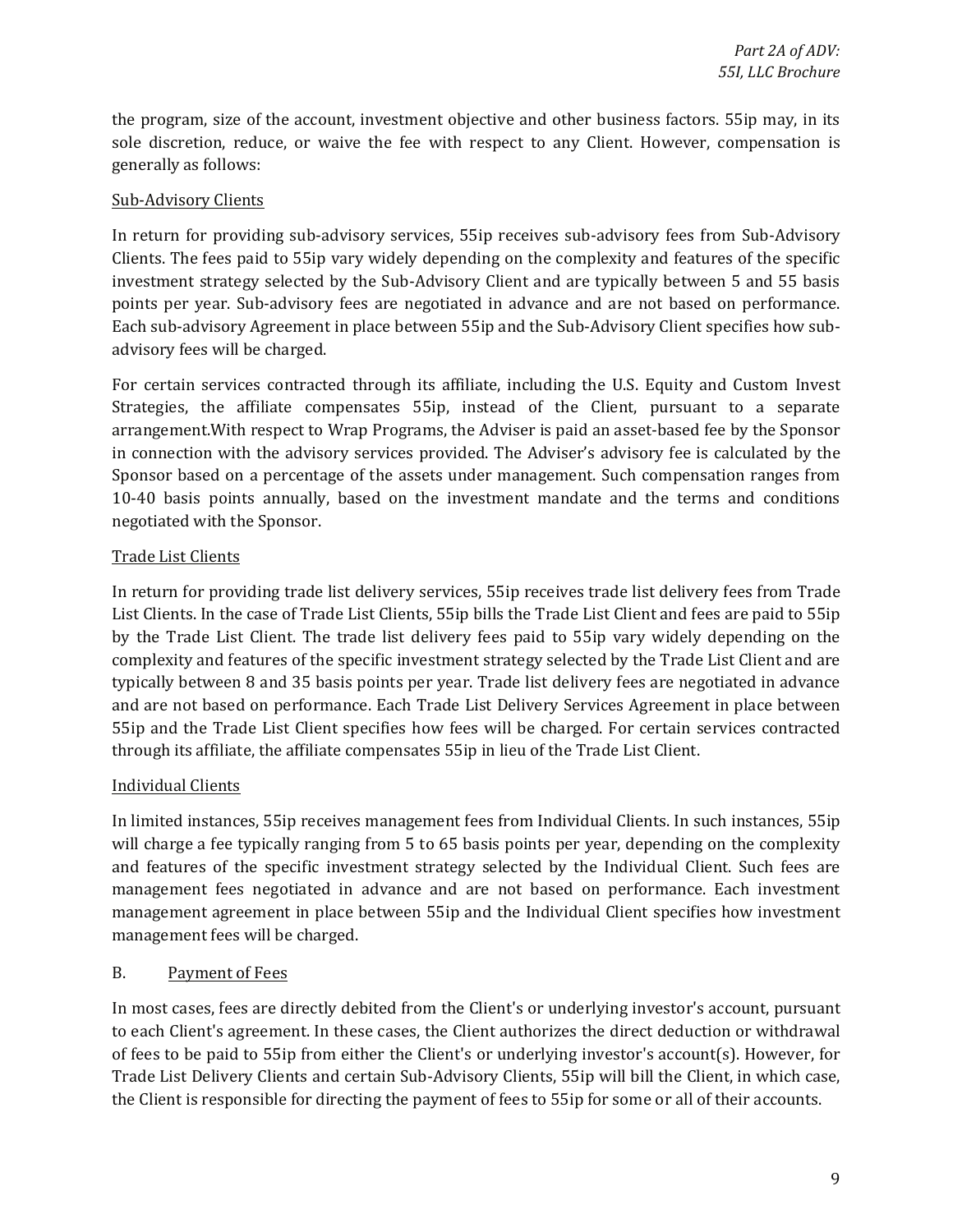sole discretion, reduce, or waive the fee with respect to any Client. However, compensation is the program, size of the account, investment objective and other business factors. 55ip may, in its generally as follows:

### Sub-Advisory Clients

In return for providing sub-advisory services, 55ip receives sub-advisory fees from Sub-Advisory Clients. The fees paid to 55ip vary widely depending on the complexity and features of the specific investment strategy selected by the Sub-Advisory Client and are typically between 5 and 55 basis points per year. Sub-advisory fees are negotiated in advance and are not based on performance. Each sub-advisory Agreement in place between 55ip and the Sub-Advisory Client specifies how subadvisory fees will be charged.

 arrangement.With respect to Wrap Programs, the Adviser is paid an asset-based fee by the Sponsor For certain services contracted through its affiliate, including the U.S. Equity and Custom Invest Strategies, the affiliate compensates 55ip, instead of the Client, pursuant to a separate in connection with the advisory services provided. The Adviser's advisory fee is calculated by the Sponsor based on a percentage of the assets under management. Such compensation ranges from 10-40 basis points annually, based on the investment mandate and the terms and conditions negotiated with the Sponsor.

### Trade List Clients

 typically between 8 and 35 basis points per year. Trade list delivery fees are negotiated in advance In return for providing trade list delivery services, 55ip receives trade list delivery fees from Trade List Clients. In the case of Trade List Clients, 55ip bills the Trade List Client and fees are paid to 55ip by the Trade List Client. The trade list delivery fees paid to 55ip vary widely depending on the complexity and features of the specific investment strategy selected by the Trade List Client and are and are not based on performance. Each Trade List Delivery Services Agreement in place between 55ip and the Trade List Client specifies how fees will be charged. For certain services contracted through its affiliate, the affiliate compensates 55ip in lieu of the Trade List Client.

### Individual Clients

 will charge a fee typically ranging from 5 to 65 basis points per year, depending on the complexity In limited instances, 55ip receives management fees from Individual Clients. In such instances, 55ip and features of the specific investment strategy selected by the Individual Client. Such fees are management fees negotiated in advance and are not based on performance. Each investment management agreement in place between 55ip and the Individual Client specifies how investment management fees will be charged.

### B. Payment of Fees

 to each Client's agreement. In these cases, the Client authorizes the direct deduction or withdrawal of fees to be paid to 55ip from either the Client's or underlying investor's account(s). However, for In most cases, fees are directly debited from the Client's or underlying investor's account, pursuant Trade List Delivery Clients and certain Sub-Advisory Clients, 55ip will bill the Client, in which case, the Client is responsible for directing the payment of fees to 55ip for some or all of their accounts.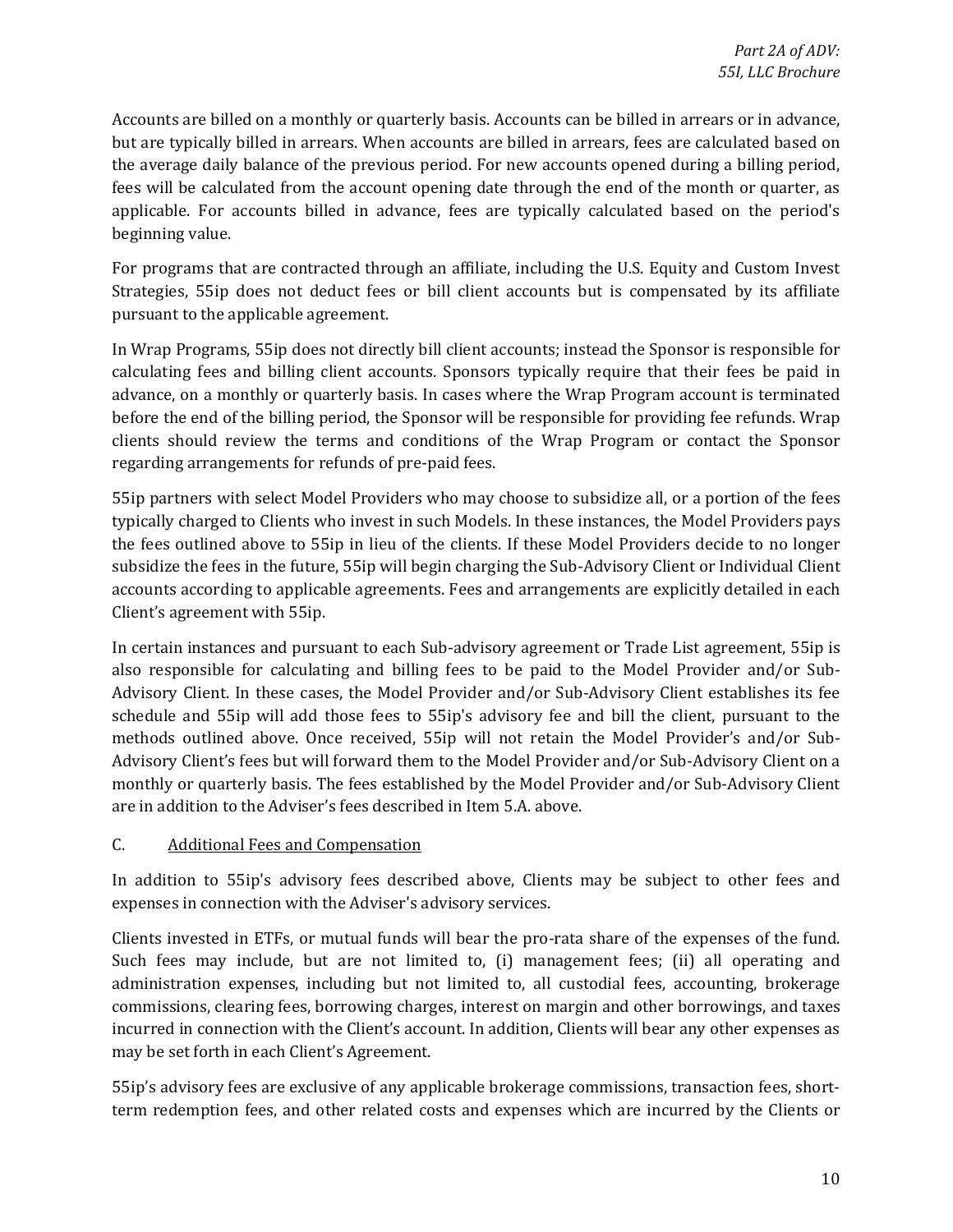Accounts are billed on a monthly or quarterly basis. Accounts can be billed in arrears or in advance, fees will be calculated from the account opening date through the end of the month or quarter, as but are typically billed in arrears. When accounts are billed in arrears, fees are calculated based on the average daily balance of the previous period. For new accounts opened during a billing period, applicable. For accounts billed in advance, fees are typically calculated based on the period's beginning value.

For programs that are contracted through an affiliate, including the U.S. Equity and Custom Invest Strategies, 55ip does not deduct fees or bill client accounts but is compensated by its affiliate pursuant to the applicable agreement.

In Wrap Programs, 55ip does not directly bill client accounts; instead the Sponsor is responsible for calculating fees and billing client accounts. Sponsors typically require that their fees be paid in advance, on a monthly or quarterly basis. In cases where the Wrap Program account is terminated before the end of the billing period, the Sponsor will be responsible for providing fee refunds. Wrap clients should review the terms and conditions of the Wrap Program or contact the Sponsor regarding arrangements for refunds of pre-paid fees.

 the fees outlined above to 55ip in lieu of the clients. If these Model Providers decide to no longer 55ip partners with select Model Providers who may choose to subsidize all, or a portion of the fees typically charged to Clients who invest in such Models. In these instances, the Model Providers pays subsidize the fees in the future, 55ip will begin charging the Sub-Advisory Client or Individual Client accounts according to applicable agreements. Fees and arrangements are explicitly detailed in each Client's agreement with 55ip.

 In certain instances and pursuant to each Sub-advisory agreement or Trade List agreement, 55ip is also responsible for calculating and billing fees to be paid to the Model Provider and/or Sub- Advisory Client. In these cases, the Model Provider and/or Sub-Advisory Client establishes its fee Advisory Client's fees but will forward them to the Model Provider and/or Sub-Advisory Client on a monthly or quarterly basis. The fees established by the Model Provider and/or Sub-Advisory Client schedule and 55ip will add those fees to 55ip's advisory fee and bill the client, pursuant to the methods outlined above. Once received, 55ip will not retain the Model Provider's and/or Subare in addition to the Adviser's fees described in Item 5.A. above.

### C. Additional Fees and Compensation

 In addition to 55ip's advisory fees described above, Clients may be subject to other fees and expenses in connection with the Adviser's advisory services.

 incurred in connection with the Client's account. In addition, Clients will bear any other expenses as Clients invested in ETFs, or mutual funds will bear the pro-rata share of the expenses of the fund. Such fees may include, but are not limited to, (i) management fees; (ii) all operating and administration expenses, including but not limited to, all custodial fees, accounting, brokerage commissions, clearing fees, borrowing charges, interest on margin and other borrowings, and taxes may be set forth in each Client's Agreement.

55ip's advisory fees are exclusive of any applicable brokerage commissions, transaction fees, shortterm redemption fees, and other related costs and expenses which are incurred by the Clients or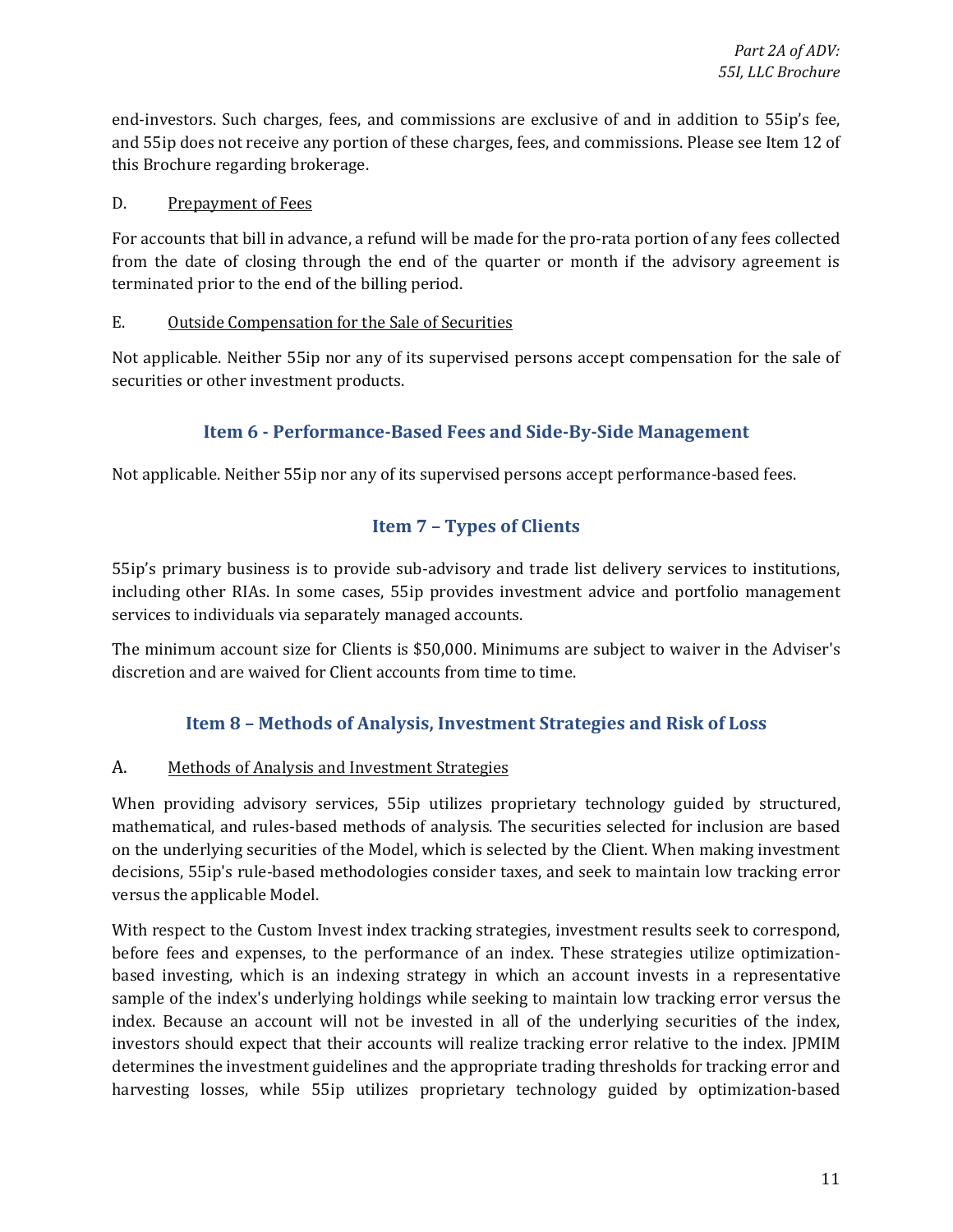<span id="page-10-0"></span>end-investors. Such charges, fees, and commissions are exclusive of and in addition to 55ip's fee, and 55ip does not receive any portion of these charges, fees, and commissions. Please see Item 12 of this Brochure regarding brokerage.

### D. Prepayment of Fees

 from the date of closing through the end of the quarter or month if the advisory agreement is For accounts that bill in advance, a refund will be made for the pro-rata portion of any fees collected terminated prior to the end of the billing period.

#### E. Outside Compensation for the Sale of Securities

 Not applicable. Neither 55ip nor any of its supervised persons accept compensation for the sale of securities or other investment products.

### **Item 6 - Performance-Based Fees and Side-By-Side Management**

Not applicable. Neither 55ip nor any of its supervised persons accept performance-based fees.

### **Item 7 – Types of Clients**

55ip's primary business is to provide sub-advisory and trade list delivery services to institutions, including other RIAs. In some cases, 55ip provides investment advice and portfolio management services to individuals via separately managed accounts.

 The minimum account size for Clients is \$50,000. Minimums are subject to waiver in the Adviser's discretion and are waived for Client accounts from time to time.

### **Item 8 - Methods of Analysis, Investment Strategies and Risk of Loss**

### A. Methods of Analysis and Investment Strategies

When providing advisory services, 55ip utilizes proprietary technology guided by structured, mathematical, and rules-based methods of analysis. The securities selected for inclusion are based on the underlying securities of the Model, which is selected by the Client. When making investment decisions, 55ip's rule-based methodologies consider taxes, and seek to maintain low tracking error versus the applicable Model.

 With respect to the Custom Invest index tracking strategies, investment results seek to correspond, investors should expect that their accounts will realize tracking error relative to the index. JPMIM before fees and expenses, to the performance of an index. These strategies utilize optimizationbased investing, which is an indexing strategy in which an account invests in a representative sample of the index's underlying holdings while seeking to maintain low tracking error versus the index. Because an account will not be invested in all of the underlying securities of the index, determines the investment guidelines and the appropriate trading thresholds for tracking error and harvesting losses, while 55ip utilizes proprietary technology guided by optimization-based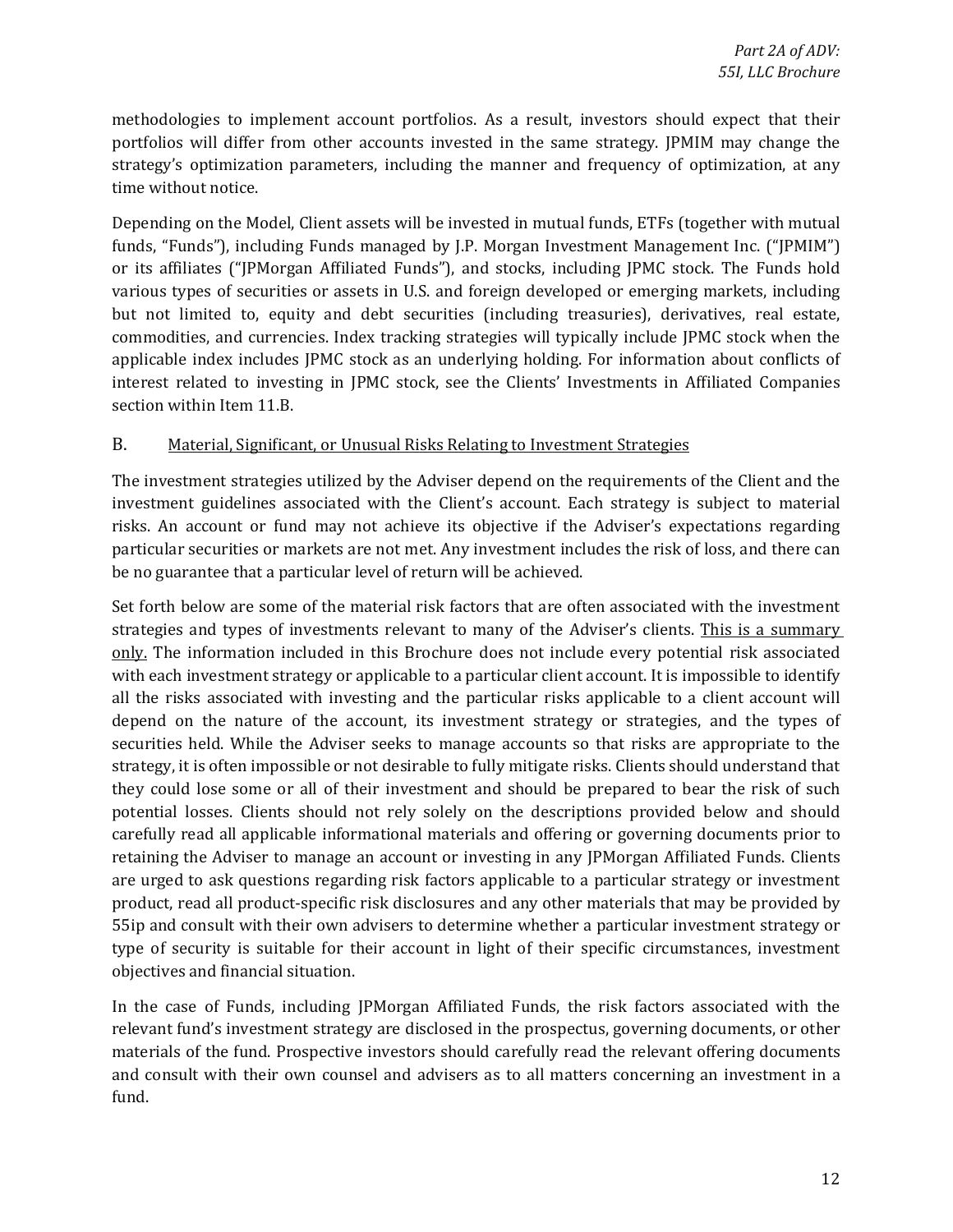portfolios will differ from other accounts invested in the same strategy. JPMIM may change the methodologies to implement account portfolios. As a result, investors should expect that their strategy's optimization parameters, including the manner and frequency of optimization, at any time without notice.

 Depending on the Model, Client assets will be invested in mutual funds, ETFs (together with mutual funds, "Funds"), including Funds managed by J.P. Morgan Investment Management Inc. ("JPMIM") or its affiliates ("JPMorgan Affiliated Funds"), and stocks, including JPMC stock. The Funds hold various types of securities or assets in U.S. and foreign developed or emerging markets, including but not limited to, equity and debt securities (including treasuries), derivatives, real estate, commodities, and currencies. Index tracking strategies will typically include JPMC stock when the applicable index includes JPMC stock as an underlying holding. For information about conflicts of interest related to investing in JPMC stock, see the Clients' Investments in Affiliated Companies section within Item 11.B.

#### B. Material, Significant, or Unusual Risks Relating to Investment Strategies

The investment strategies utilized by the Adviser depend on the requirements of the Client and the investment guidelines associated with the Client's account. Each strategy is subject to material risks. An account or fund may not achieve its objective if the Adviser's expectations regarding particular securities or markets are not met. Any investment includes the risk of loss, and there can be no guarantee that a particular level of return will be achieved.

 with each investment strategy or applicable to a particular client account. It is impossible to identify securities held. While the Adviser seeks to manage accounts so that risks are appropriate to the they could lose some or all of their investment and should be prepared to bear the risk of such carefully read all applicable informational materials and offering or governing documents prior to retaining the Adviser to manage an account or investing in any JPMorgan Affiliated Funds. Clients are urged to ask questions regarding risk factors applicable to a particular strategy or investment 55ip and consult with their own advisers to determine whether a particular investment strategy or type of security is suitable for their account in light of their specific circumstances, investment Set forth below are some of the material risk factors that are often associated with the investment strategies and types of investments relevant to many of the Adviser's clients. This is a summary only. The information included in this Brochure does not include every potential risk associated all the risks associated with investing and the particular risks applicable to a client account will depend on the nature of the account, its investment strategy or strategies, and the types of strategy, it is often impossible or not desirable to fully mitigate risks. Clients should understand that potential losses. Clients should not rely solely on the descriptions provided below and should product, read all product-specific risk disclosures and any other materials that may be provided by objectives and financial situation.

 relevant fund's investment strategy are disclosed in the prospectus, governing documents, or other and consult with their own counsel and advisers as to all matters concerning an investment in a In the case of Funds, including JPMorgan Affiliated Funds, the risk factors associated with the materials of the fund. Prospective investors should carefully read the relevant offering documents fund.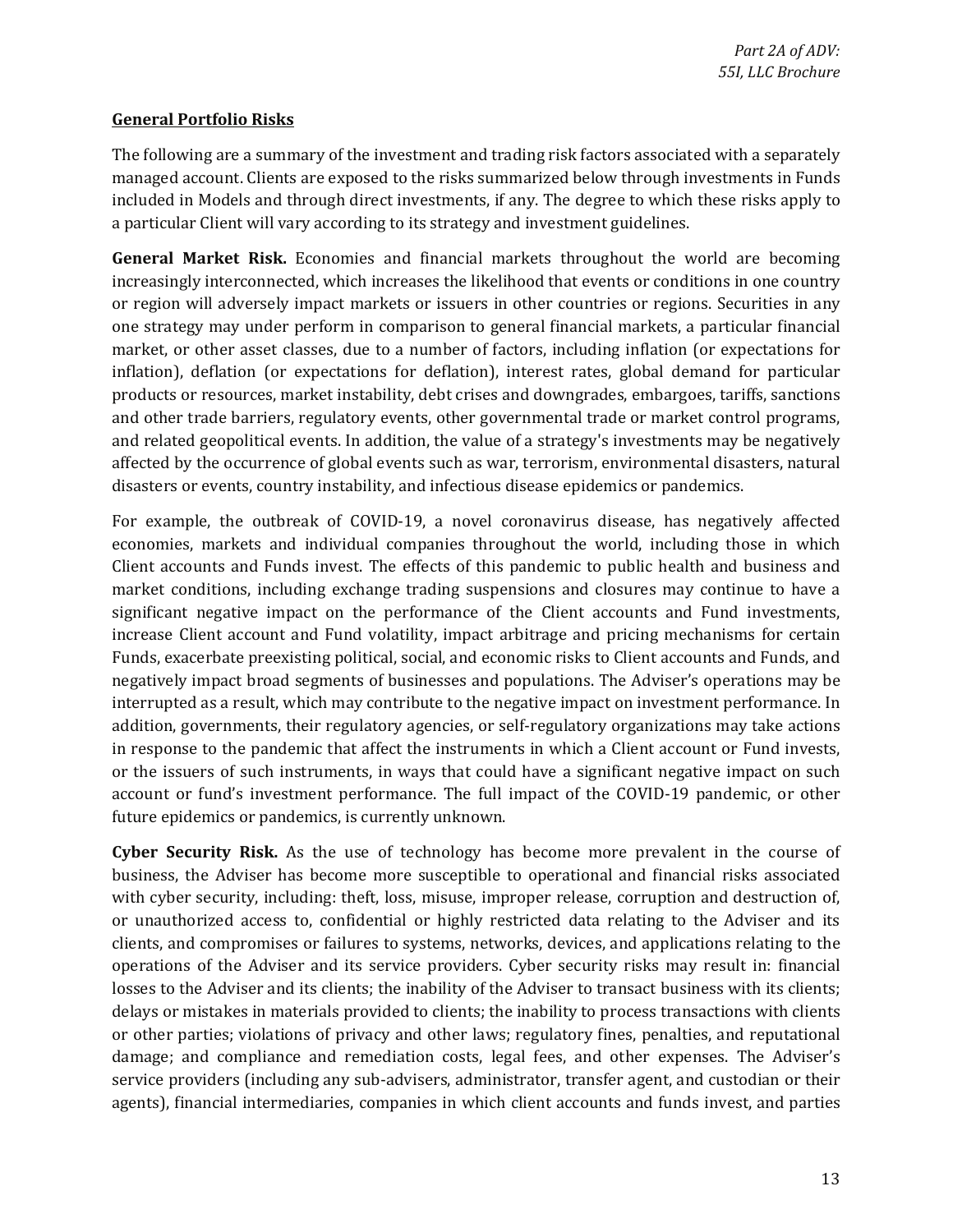### **General Portfolio Risks**

 included in Models and through direct investments, if any. The degree to which these risks apply to The following are a summary of the investment and trading risk factors associated with a separately managed account. Clients are exposed to the risks summarized below through investments in Funds a particular Client will vary according to its strategy and investment guidelines.

 market, or other asset classes, due to a number of factors, including inflation (or expectations for inflation), deflation (or expectations for deflation), interest rates, global demand for particular **General Market Risk.** Economies and financial markets throughout the world are becoming increasingly interconnected, which increases the likelihood that events or conditions in one country or region will adversely impact markets or issuers in other countries or regions. Securities in any one strategy may under perform in comparison to general financial markets, a particular financial products or resources, market instability, debt crises and downgrades, embargoes, tariffs, sanctions and other trade barriers, regulatory events, other governmental trade or market control programs, and related geopolitical events. In addition, the value of a strategy's investments may be negatively affected by the occurrence of global events such as war, terrorism, environmental disasters, natural disasters or events, country instability, and infectious disease epidemics or pandemics.

 account or fund's investment performance. The full impact of the COVID-19 pandemic, or other For example, the outbreak of COVID-19, a novel coronavirus disease, has negatively affected economies, markets and individual companies throughout the world, including those in which Client accounts and Funds invest. The effects of this pandemic to public health and business and market conditions, including exchange trading suspensions and closures may continue to have a significant negative impact on the performance of the Client accounts and Fund investments, increase Client account and Fund volatility, impact arbitrage and pricing mechanisms for certain Funds, exacerbate preexisting political, social, and economic risks to Client accounts and Funds, and negatively impact broad segments of businesses and populations. The Adviser's operations may be interrupted as a result, which may contribute to the negative impact on investment performance. In addition, governments, their regulatory agencies, or self-regulatory organizations may take actions in response to the pandemic that affect the instruments in which a Client account or Fund invests, or the issuers of such instruments, in ways that could have a significant negative impact on such future epidemics or pandemics, is currently unknown.

 with cyber security, including: theft, loss, misuse, improper release, corruption and destruction of, clients, and compromises or failures to systems, networks, devices, and applications relating to the losses to the Adviser and its clients; the inability of the Adviser to transact business with its clients; or other parties; violations of privacy and other laws; regulatory fines, penalties, and reputational service providers (including any sub-advisers, administrator, transfer agent, and custodian or their **Cyber Security Risk.** As the use of technology has become more prevalent in the course of business, the Adviser has become more susceptible to operational and financial risks associated or unauthorized access to, confidential or highly restricted data relating to the Adviser and its operations of the Adviser and its service providers. Cyber security risks may result in: financial delays or mistakes in materials provided to clients; the inability to process transactions with clients damage; and compliance and remediation costs, legal fees, and other expenses. The Adviser's agents), financial intermediaries, companies in which client accounts and funds invest, and parties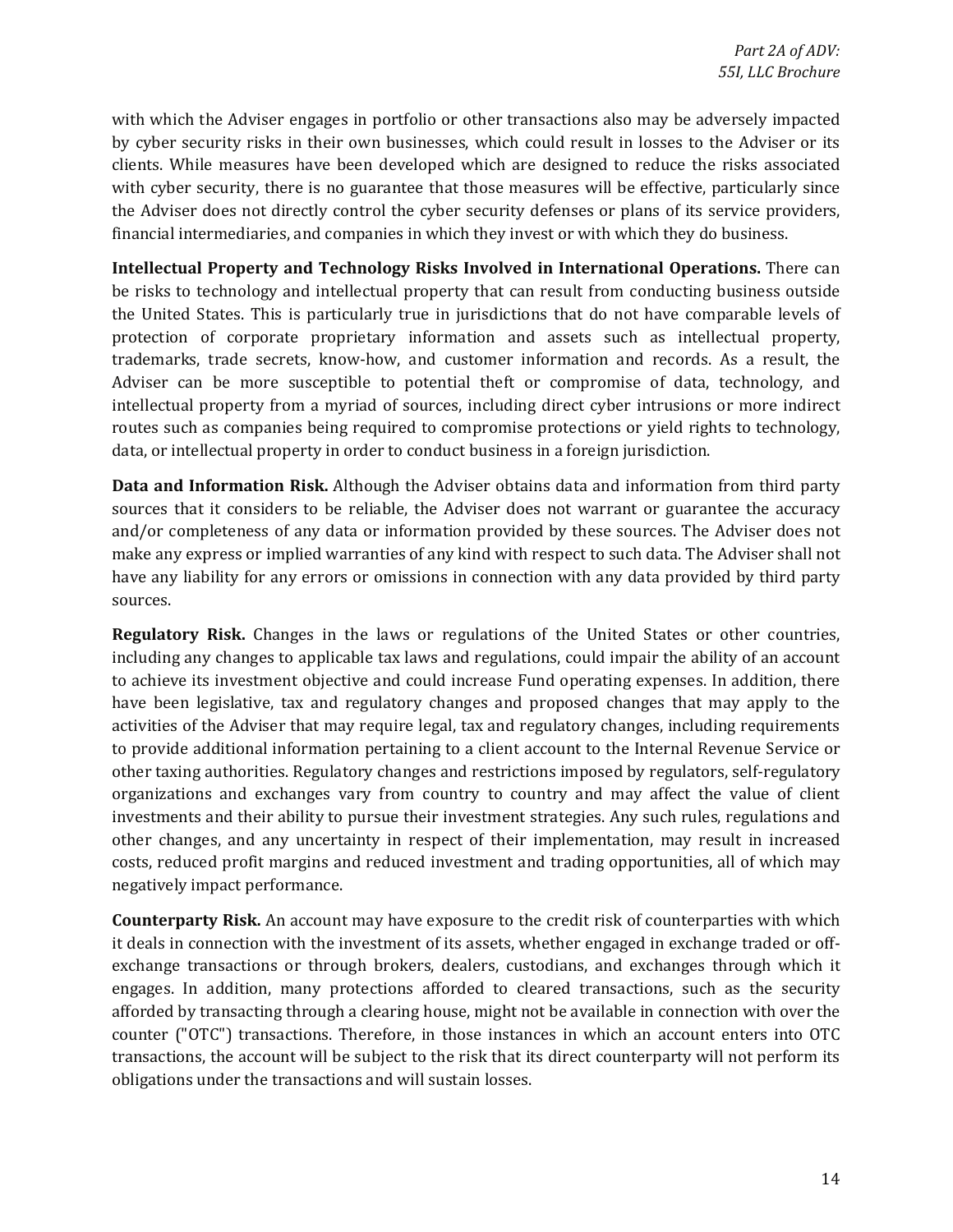with which the Adviser engages in portfolio or other transactions also may be adversely impacted by cyber security risks in their own businesses, which could result in losses to the Adviser or its with cyber security, there is no guarantee that those measures will be effective, particularly since clients. While measures have been developed which are designed to reduce the risks associated the Adviser does not directly control the cyber security defenses or plans of its service providers, financial intermediaries, and companies in which they invest or with which they do business.

**Intellectual Property and Technology Risks Involved in International Operations.** There can be risks to technology and intellectual property that can result from conducting business outside the United States. This is particularly true in jurisdictions that do not have comparable levels of protection of corporate proprietary information and assets such as intellectual property, trademarks, trade secrets, know-how, and customer information and records. As a result, the Adviser can be more susceptible to potential theft or compromise of data, technology, and intellectual property from a myriad of sources, including direct cyber intrusions or more indirect routes such as companies being required to compromise protections or yield rights to technology, data, or intellectual property in order to conduct business in a foreign jurisdiction.

 make any express or implied warranties of any kind with respect to such data. The Adviser shall not **Data and Information Risk.** Although the Adviser obtains data and information from third party sources that it considers to be reliable, the Adviser does not warrant or guarantee the accuracy and/or completeness of any data or information provided by these sources. The Adviser does not have any liability for any errors or omissions in connection with any data provided by third party sources.

**Regulatory Risk.** Changes in the laws or regulations of the United States or other countries, investments and their ability to pursue their investment strategies. Any such rules, regulations and including any changes to applicable tax laws and regulations, could impair the ability of an account to achieve its investment objective and could increase Fund operating expenses. In addition, there have been legislative, tax and regulatory changes and proposed changes that may apply to the activities of the Adviser that may require legal, tax and regulatory changes, including requirements to provide additional information pertaining to a client account to the Internal Revenue Service or other taxing authorities. Regulatory changes and restrictions imposed by regulators, self-regulatory organizations and exchanges vary from country to country and may affect the value of client other changes, and any uncertainty in respect of their implementation, may result in increased costs, reduced profit margins and reduced investment and trading opportunities, all of which may negatively impact performance.

 **Counterparty Risk.** An account may have exposure to the credit risk of counterparties with which exchange transactions or through brokers, dealers, custodians, and exchanges through which it afforded by transacting through a clearing house, might not be available in connection with over the counter ("OTC") transactions. Therefore, in those instances in which an account enters into OTC it deals in connection with the investment of its assets, whether engaged in exchange traded or offengages. In addition, many protections afforded to cleared transactions, such as the security transactions, the account will be subject to the risk that its direct counterparty will not perform its obligations under the transactions and will sustain losses.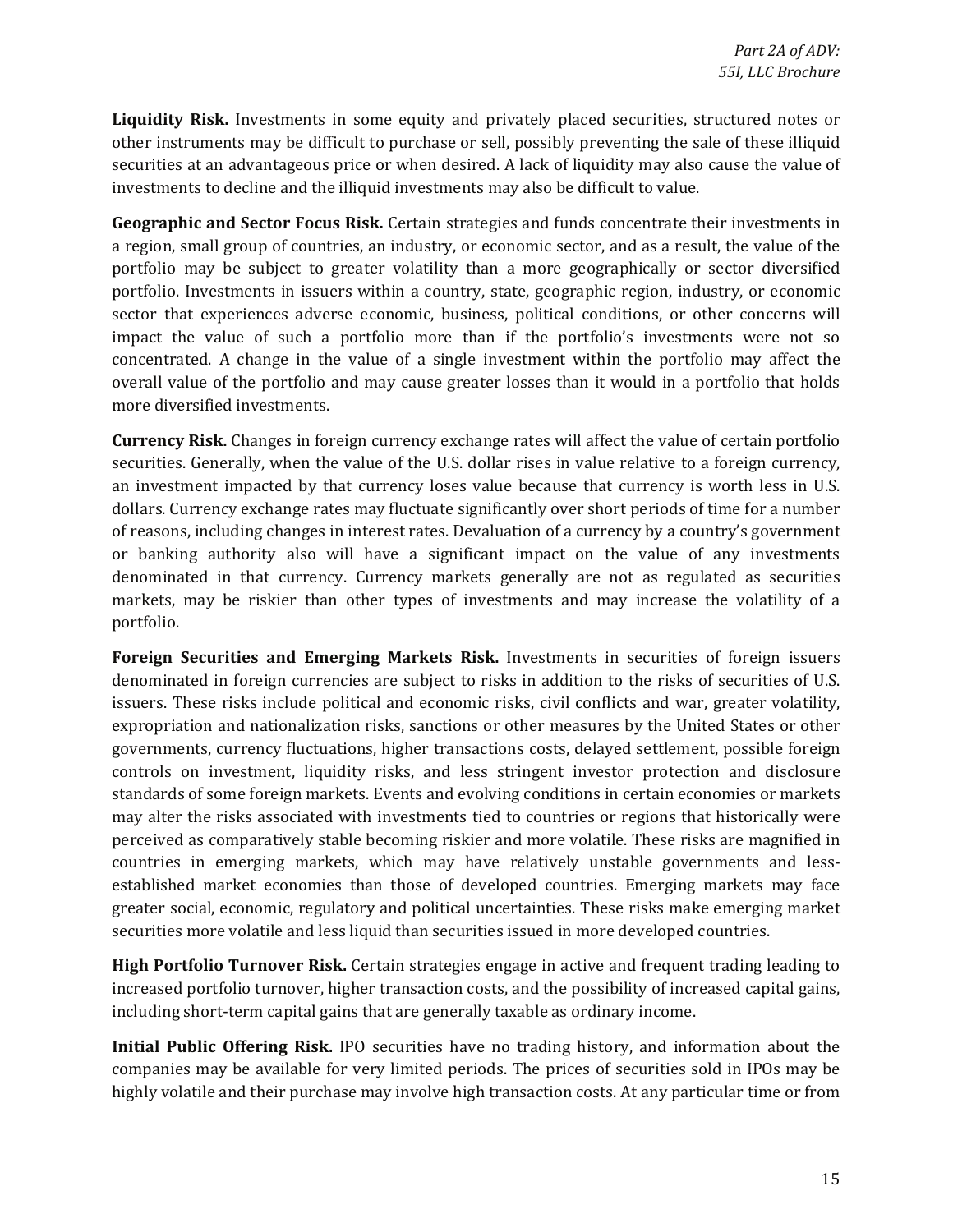**Liquidity Risk.** Investments in some equity and privately placed securities, structured notes or other instruments may be difficult to purchase or sell, possibly preventing the sale of these illiquid securities at an advantageous price or when desired. A lack of liquidity may also cause the value of investments to decline and the illiquid investments may also be difficult to value.

 portfolio may be subject to greater volatility than a more geographically or sector diversified sector that experiences adverse economic, business, political conditions, or other concerns will **Geographic and Sector Focus Risk.** Certain strategies and funds concentrate their investments in a region, small group of countries, an industry, or economic sector, and as a result, the value of the portfolio. Investments in issuers within a country, state, geographic region, industry, or economic impact the value of such a portfolio more than if the portfolio's investments were not so concentrated. A change in the value of a single investment within the portfolio may affect the overall value of the portfolio and may cause greater losses than it would in a portfolio that holds more diversified investments.

 dollars. Currency exchange rates may fluctuate significantly over short periods of time for a number markets, may be riskier than other types of investments and may increase the volatility of a **Currency Risk.** Changes in foreign currency exchange rates will affect the value of certain portfolio securities. Generally, when the value of the U.S. dollar rises in value relative to a foreign currency, an investment impacted by that currency loses value because that currency is worth less in U.S. of reasons, including changes in interest rates. Devaluation of a currency by a country's government or banking authority also will have a significant impact on the value of any investments denominated in that currency. Currency markets generally are not as regulated as securities portfolio.

 expropriation and nationalization risks, sanctions or other measures by the United States or other Foreign Securities and Emerging Markets Risk. Investments in securities of foreign issuers denominated in foreign currencies are subject to risks in addition to the risks of securities of U.S. issuers. These risks include political and economic risks, civil conflicts and war, greater volatility, governments, currency fluctuations, higher transactions costs, delayed settlement, possible foreign controls on investment, liquidity risks, and less stringent investor protection and disclosure standards of some foreign markets. Events and evolving conditions in certain economies or markets may alter the risks associated with investments tied to countries or regions that historically were perceived as comparatively stable becoming riskier and more volatile. These risks are magnified in countries in emerging markets, which may have relatively unstable governments and lessestablished market economies than those of developed countries. Emerging markets may face greater social, economic, regulatory and political uncertainties. These risks make emerging market securities more volatile and less liquid than securities issued in more developed countries.

**High Portfolio Turnover Risk.** Certain strategies engage in active and frequent trading leading to increased portfolio turnover, higher transaction costs, and the possibility of increased capital gains, including short-term capital gains that are generally taxable as ordinary income.

 highly volatile and their purchase may involve high transaction costs. At any particular time or from **Initial Public Offering Risk.** IPO securities have no trading history, and information about the companies may be available for very limited periods. The prices of securities sold in IPOs may be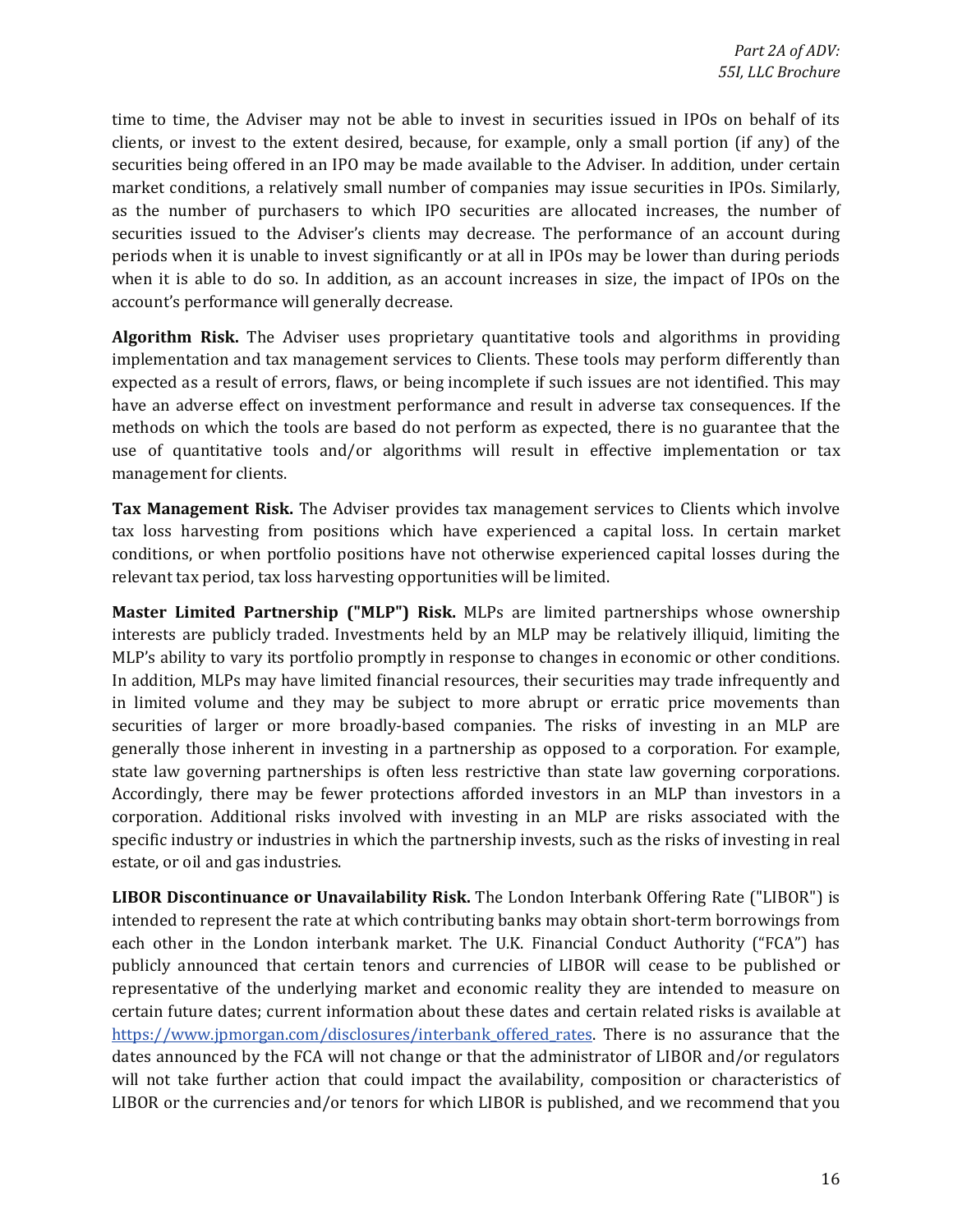clients, or invest to the extent desired, because, for example, only a small portion (if any) of the as the number of purchasers to which IPO securities are allocated increases, the number of when it is able to do so. In addition, as an account increases in size, the impact of IPOs on the time to time, the Adviser may not be able to invest in securities issued in IPOs on behalf of its securities being offered in an IPO may be made available to the Adviser. In addition, under certain market conditions, a relatively small number of companies may issue securities in IPOs. Similarly, securities issued to the Adviser's clients may decrease. The performance of an account during periods when it is unable to invest significantly or at all in IPOs may be lower than during periods account's performance will generally decrease.

**Algorithm Risk.** The Adviser uses proprietary quantitative tools and algorithms in providing implementation and tax management services to Clients. These tools may perform differently than expected as a result of errors, flaws, or being incomplete if such issues are not identified. This may have an adverse effect on investment performance and result in adverse tax consequences. If the methods on which the tools are based do not perform as expected, there is no guarantee that the use of quantitative tools and/or algorithms will result in effective implementation or tax management for clients.

**Tax Management Risk.** The Adviser provides tax management services to Clients which involve tax loss harvesting from positions which have experienced a capital loss. In certain market conditions, or when portfolio positions have not otherwise experienced capital losses during the relevant tax period, tax loss harvesting opportunities will be limited.

 MLP's ability to vary its portfolio promptly in response to changes in economic or other conditions. securities of larger or more broadly-based companies. The risks of investing in an MLP are **Master Limited Partnership ("MLP") Risk.** MLPs are limited partnerships whose ownership interests are publicly traded. Investments held by an MLP may be relatively illiquid, limiting the In addition, MLPs may have limited financial resources, their securities may trade infrequently and in limited volume and they may be subject to more abrupt or erratic price movements than generally those inherent in investing in a partnership as opposed to a corporation. For example, state law governing partnerships is often less restrictive than state law governing corporations. Accordingly, there may be fewer protections afforded investors in an MLP than investors in a corporation. Additional risks involved with investing in an MLP are risks associated with the specific industry or industries in which the partnership invests, such as the risks of investing in real estate, or oil and gas industries.

 each other in the London interbank market. The U.K. Financial Conduct Authority ("FCA") has LIBOR or the currencies and/or tenors for which LIBOR is published, and we recommend that you **LIBOR Discontinuance or Unavailability Risk.** The London Interbank Offering Rate ("LIBOR") is intended to represent the rate at which contributing banks may obtain short-term borrowings from publicly announced that certain tenors and currencies of LIBOR will cease to be published or representative of the underlying market and economic reality they are intended to measure on certain future dates; current information about these dates and certain related risks is available at https://www.jpmorgan.com/disclosures/interbank offered rates. There is no assurance that the dates announced by the FCA will not change or that the administrator of LIBOR and/or regulators will not take further action that could impact the availability, composition or characteristics of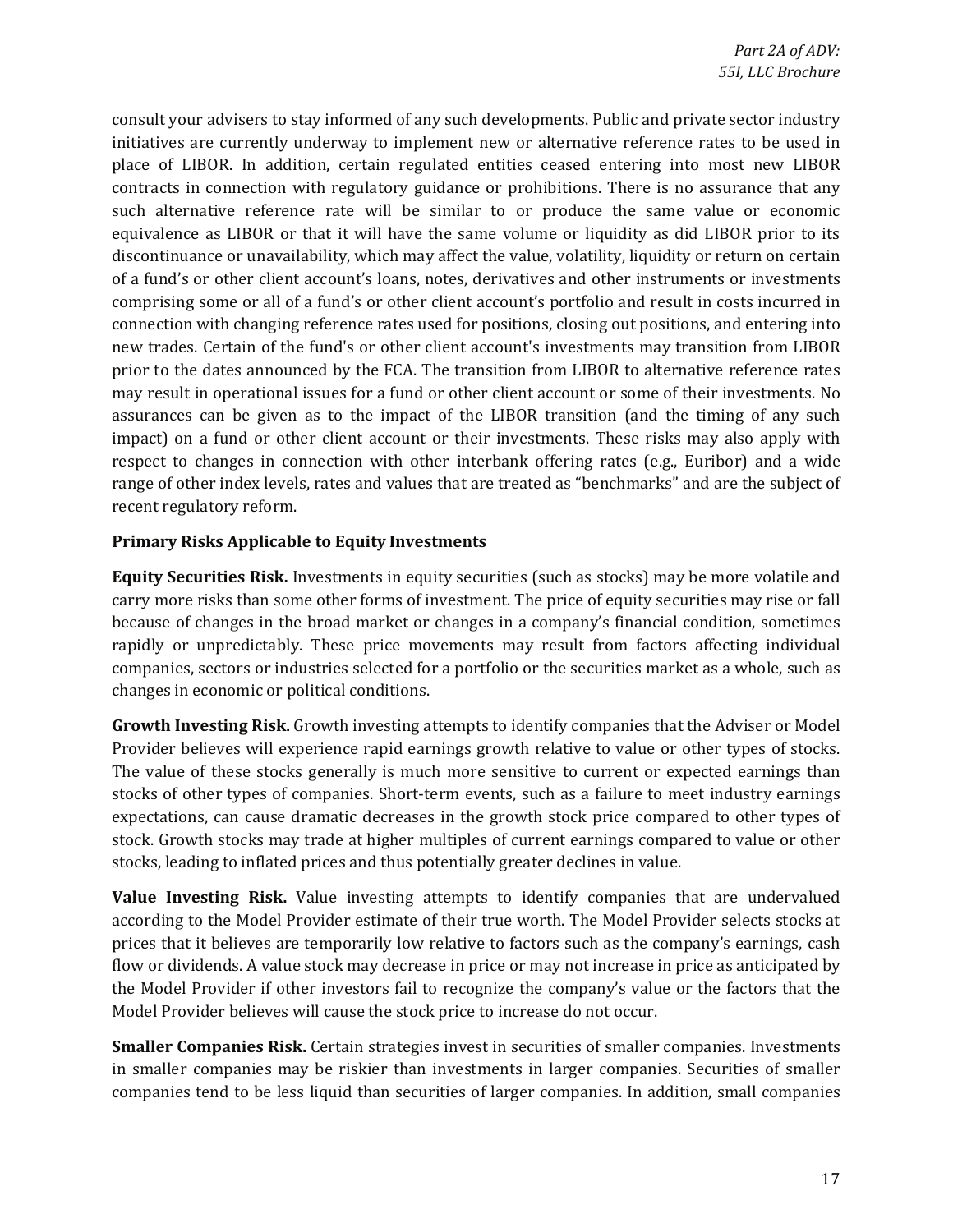such alternative reference rate will be similar to or produce the same value or economic equivalence as LIBOR or that it will have the same volume or liquidity as did LIBOR prior to its of a fund's or other client account's loans, notes, derivatives and other instruments or investments comprising some or all of a fund's or other client account's portfolio and result in costs incurred in new trades. Certain of the fund's or other client account's investments may transition from LIBOR prior to the dates announced by the FCA. The transition from LIBOR to alternative reference rates may result in operational issues for a fund or other client account or some of their investments. No impact) on a fund or other client account or their investments. These risks may also apply with respect to changes in connection with other interbank offering rates (e.g., Euribor) and a wide consult your advisers to stay informed of any such developments. Public and private sector industry initiatives are currently underway to implement new or alternative reference rates to be used in place of LIBOR. In addition, certain regulated entities ceased entering into most new LIBOR contracts in connection with regulatory guidance or prohibitions. There is no assurance that any discontinuance or unavailability, which may affect the value, volatility, liquidity or return on certain connection with changing reference rates used for positions, closing out positions, and entering into assurances can be given as to the impact of the LIBOR transition (and the timing of any such range of other index levels, rates and values that are treated as "benchmarks" and are the subject of recent regulatory reform.

#### **Primary Risks Applicable to Equity Investments**

 companies, sectors or industries selected for a portfolio or the securities market as a whole, such as **Equity Securities Risk.** Investments in equity securities (such as stocks) may be more volatile and carry more risks than some other forms of investment. The price of equity securities may rise or fall because of changes in the broad market or changes in a company's financial condition, sometimes rapidly or unpredictably. These price movements may result from factors affecting individual changes in economic or political conditions.

**Growth Investing Risk.** Growth investing attempts to identify companies that the Adviser or Model Provider believes will experience rapid earnings growth relative to value or other types of stocks. The value of these stocks generally is much more sensitive to current or expected earnings than expectations, can cause dramatic decreases in the growth stock price compared to other types of stock. Growth stocks may trade at higher multiples of current earnings compared to value or other stocks of other types of companies. Short-term events, such as a failure to meet industry earnings stocks, leading to inflated prices and thus potentially greater declines in value.

 the Model Provider if other investors fail to recognize the company's value or the factors that the **Value Investing Risk.** Value investing attempts to identify companies that are undervalued according to the Model Provider estimate of their true worth. The Model Provider selects stocks at prices that it believes are temporarily low relative to factors such as the company's earnings, cash flow or dividends. A value stock may decrease in price or may not increase in price as anticipated by Model Provider believes will cause the stock price to increase do not occur.

**Smaller Companies Risk.** Certain strategies invest in securities of smaller companies. Investments in smaller companies may be riskier than investments in larger companies. Securities of smaller companies tend to be less liquid than securities of larger companies. In addition, small companies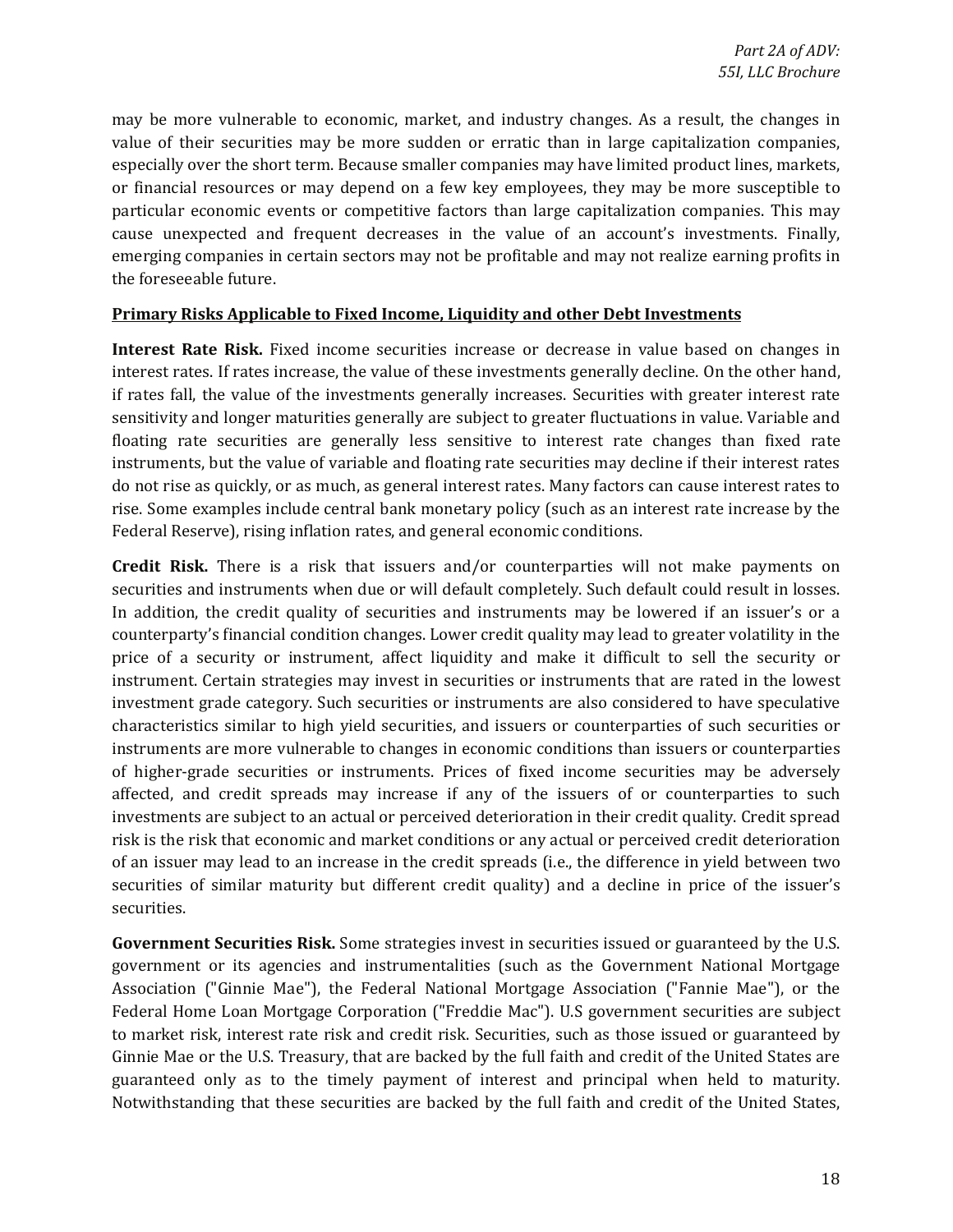may be more vulnerable to economic, market, and industry changes. As a result, the changes in value of their securities may be more sudden or erratic than in large capitalization companies, especially over the short term. Because smaller companies may have limited product lines, markets, or financial resources or may depend on a few key employees, they may be more susceptible to particular economic events or competitive factors than large capitalization companies. This may cause unexpected and frequent decreases in the value of an account's investments. Finally, emerging companies in certain sectors may not be profitable and may not realize earning profits in the foreseeable future.

#### **Primary Risks Applicable to Fixed Income, Liquidity and other Debt Investments**

 if rates fall, the value of the investments generally increases. Securities with greater interest rate sensitivity and longer maturities generally are subject to greater fluctuations in value. Variable and **Interest Rate Risk.** Fixed income securities increase or decrease in value based on changes in interest rates. If rates increase, the value of these investments generally decline. On the other hand, floating rate securities are generally less sensitive to interest rate changes than fixed rate instruments, but the value of variable and floating rate securities may decline if their interest rates do not rise as quickly, or as much, as general interest rates. Many factors can cause interest rates to rise. Some examples include central bank monetary policy (such as an interest rate increase by the Federal Reserve), rising inflation rates, and general economic conditions.

 counterparty's financial condition changes. Lower credit quality may lead to greater volatility in the characteristics similar to high yield securities, and issuers or counterparties of such securities or affected, and credit spreads may increase if any of the issuers of or counterparties to such **Credit Risk.** There is a risk that issuers and/or counterparties will not make payments on securities and instruments when due or will default completely. Such default could result in losses. In addition, the credit quality of securities and instruments may be lowered if an issuer's or a price of a security or instrument, affect liquidity and make it difficult to sell the security or instrument. Certain strategies may invest in securities or instruments that are rated in the lowest investment grade category. Such securities or instruments are also considered to have speculative instruments are more vulnerable to changes in economic conditions than issuers or counterparties of higher-grade securities or instruments. Prices of fixed income securities may be adversely investments are subject to an actual or perceived deterioration in their credit quality. Credit spread risk is the risk that economic and market conditions or any actual or perceived credit deterioration of an issuer may lead to an increase in the credit spreads (i.e., the difference in yield between two securities of similar maturity but different credit quality) and a decline in price of the issuer's securities.

**Government Securities Risk.** Some strategies invest in securities issued or guaranteed by the U.S. government or its agencies and instrumentalities (such as the Government National Mortgage Association ("Ginnie Mae"), the Federal National Mortgage Association ("Fannie Mae"), or the Federal Home Loan Mortgage Corporation ("Freddie Mac"). U.S government securities are subject to market risk, interest rate risk and credit risk. Securities, such as those issued or guaranteed by Ginnie Mae or the U.S. Treasury, that are backed by the full faith and credit of the United States are guaranteed only as to the timely payment of interest and principal when held to maturity. Notwithstanding that these securities are backed by the full faith and credit of the United States,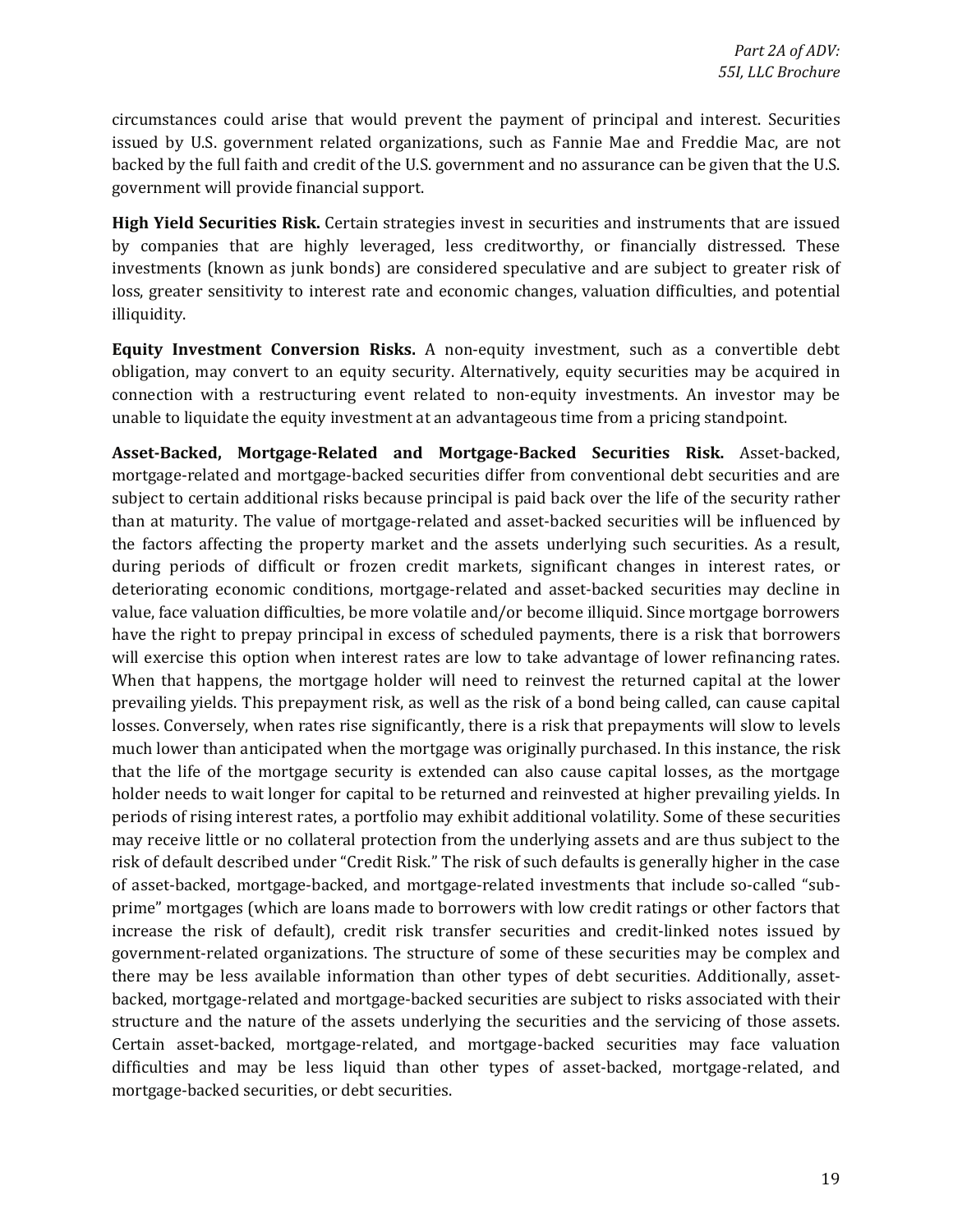circumstances could arise that would prevent the payment of principal and interest. Securities issued by U.S. government related organizations, such as Fannie Mae and Freddie Mac, are not backed by the full faith and credit of the U.S. government and no assurance can be given that the U.S. government will provide financial support.

 investments (known as junk bonds) are considered speculative and are subject to greater risk of **High Yield Securities Risk.** Certain strategies invest in securities and instruments that are issued by companies that are highly leveraged, less creditworthy, or financially distressed. These loss, greater sensitivity to interest rate and economic changes, valuation difficulties, and potential illiquidity.

**Equity Investment Conversion Risks.** A non-equity investment, such as a convertible debt obligation, may convert to an equity security. Alternatively, equity securities may be acquired in connection with a restructuring event related to non-equity investments. An investor may be unable to liquidate the equity investment at an advantageous time from a pricing standpoint.

 much lower than anticipated when the mortgage was originally purchased. In this instance, the risk holder needs to wait longer for capital to be returned and reinvested at higher prevailing yields. In may receive little or no collateral protection from the underlying assets and are thus subject to the prime" mortgages (which are loans made to borrowers with low credit ratings or other factors that backed, mortgage-related and mortgage-backed securities are subject to risks associated with their **Asset-Backed, Mortgage-Related and Mortgage-Backed Securities Risk.**  Asset-backed, mortgage-related and mortgage-backed securities differ from conventional debt securities and are subject to certain additional risks because principal is paid back over the life of the security rather than at maturity. The value of mortgage-related and asset-backed securities will be influenced by the factors affecting the property market and the assets underlying such securities. As a result, during periods of difficult or frozen credit markets, significant changes in interest rates, or deteriorating economic conditions, mortgage-related and asset-backed securities may decline in value, face valuation difficulties, be more volatile and/or become illiquid. Since mortgage borrowers have the right to prepay principal in excess of scheduled payments, there is a risk that borrowers will exercise this option when interest rates are low to take advantage of lower refinancing rates. When that happens, the mortgage holder will need to reinvest the returned capital at the lower prevailing yields. This prepayment risk, as well as the risk of a bond being called, can cause capital losses. Conversely, when rates rise significantly, there is a risk that prepayments will slow to levels that the life of the mortgage security is extended can also cause capital losses, as the mortgage periods of rising interest rates, a portfolio may exhibit additional volatility. Some of these securities risk of default described under "Credit Risk." The risk of such defaults is generally higher in the case of asset-backed, mortgage-backed, and mortgage-related investments that include so-called "subincrease the risk of default), credit risk transfer securities and credit-linked notes issued by government-related organizations. The structure of some of these securities may be complex and there may be less available information than other types of debt securities. Additionally, assetstructure and the nature of the assets underlying the securities and the servicing of those assets. Certain asset-backed, mortgage-related, and mortgage-backed securities may face valuation difficulties and may be less liquid than other types of asset-backed, mortgage-related, and mortgage-backed securities, or debt securities.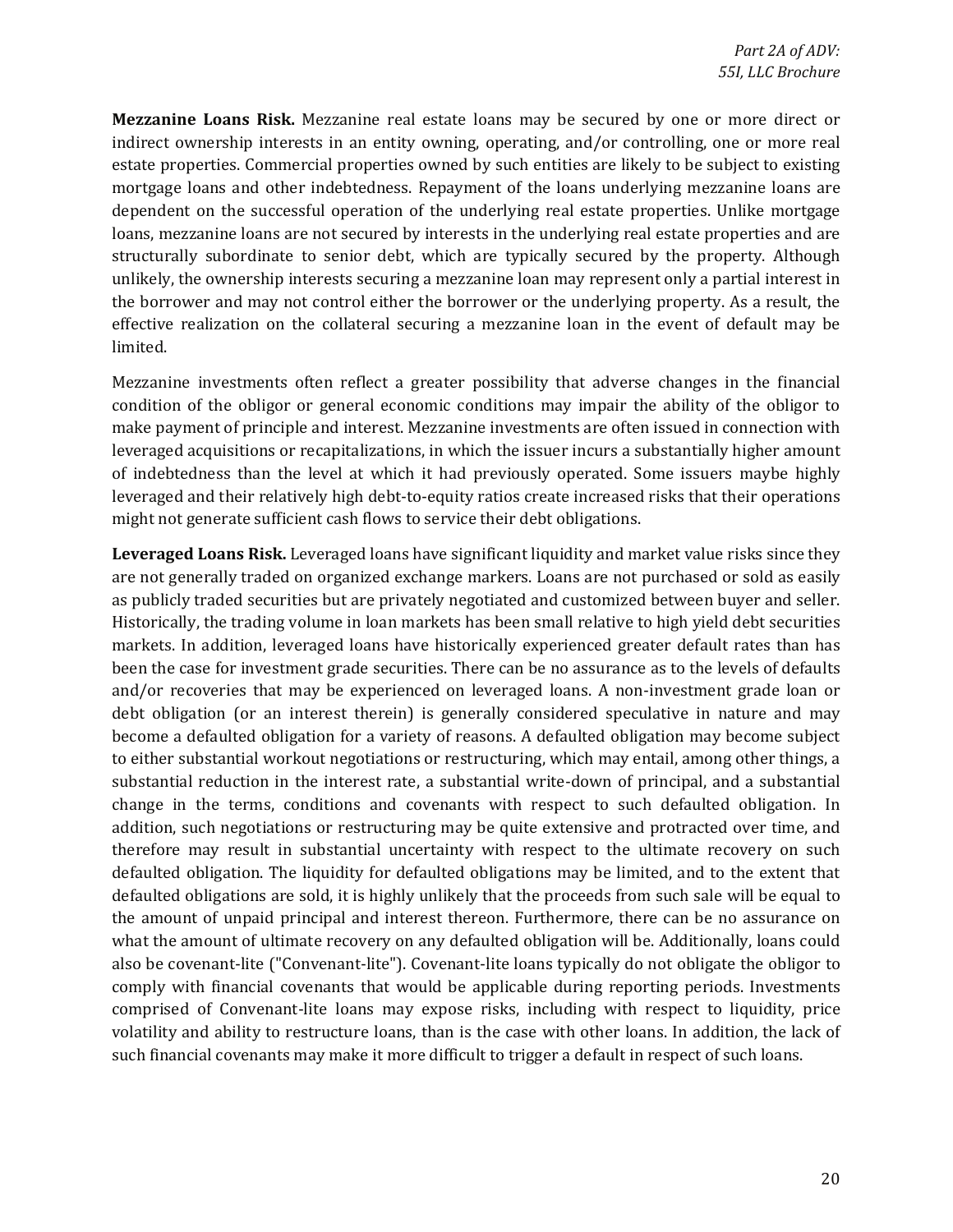structurally subordinate to senior debt, which are typically secured by the property. Although the borrower and may not control either the borrower or the underlying property. As a result, the **Mezzanine Loans Risk.** Mezzanine real estate loans may be secured by one or more direct or indirect ownership interests in an entity owning, operating, and/or controlling, one or more real estate properties. Commercial properties owned by such entities are likely to be subject to existing mortgage loans and other indebtedness. Repayment of the loans underlying mezzanine loans are dependent on the successful operation of the underlying real estate properties. Unlike mortgage loans, mezzanine loans are not secured by interests in the underlying real estate properties and are unlikely, the ownership interests securing a mezzanine loan may represent only a partial interest in effective realization on the collateral securing a mezzanine loan in the event of default may be limited.

 condition of the obligor or general economic conditions may impair the ability of the obligor to leveraged acquisitions or recapitalizations, in which the issuer incurs a substantially higher amount Mezzanine investments often reflect a greater possibility that adverse changes in the financial make payment of principle and interest. Mezzanine investments are often issued in connection with of indebtedness than the level at which it had previously operated. Some issuers maybe highly leveraged and their relatively high debt-to-equity ratios create increased risks that their operations might not generate sufficient cash flows to service their debt obligations.

 Historically, the trading volume in loan markets has been small relative to high yield debt securities to either substantial workout negotiations or restructuring, which may entail, among other things, a change in the terms, conditions and covenants with respect to such defaulted obligation. In therefore may result in substantial uncertainty with respect to the ultimate recovery on such also be covenant-lite ("Convenant-lite"). Covenant-lite loans typically do not obligate the obligor to comprised of Convenant-lite loans may expose risks, including with respect to liquidity, price volatility and ability to restructure loans, than is the case with other loans. In addition, the lack of Leveraged Loans Risk. Leveraged loans have significant liquidity and market value risks since they are not generally traded on organized exchange markers. Loans are not purchased or sold as easily as publicly traded securities but are privately negotiated and customized between buyer and seller. markets. In addition, leveraged loans have historically experienced greater default rates than has been the case for investment grade securities. There can be no assurance as to the levels of defaults and/or recoveries that may be experienced on leveraged loans. A non-investment grade loan or debt obligation (or an interest therein) is generally considered speculative in nature and may become a defaulted obligation for a variety of reasons. A defaulted obligation may become subject substantial reduction in the interest rate, a substantial write-down of principal, and a substantial addition, such negotiations or restructuring may be quite extensive and protracted over time, and defaulted obligation. The liquidity for defaulted obligations may be limited, and to the extent that defaulted obligations are sold, it is highly unlikely that the proceeds from such sale will be equal to the amount of unpaid principal and interest thereon. Furthermore, there can be no assurance on what the amount of ultimate recovery on any defaulted obligation will be. Additionally, loans could comply with financial covenants that would be applicable during reporting periods. Investments such financial covenants may make it more difficult to trigger a default in respect of such loans.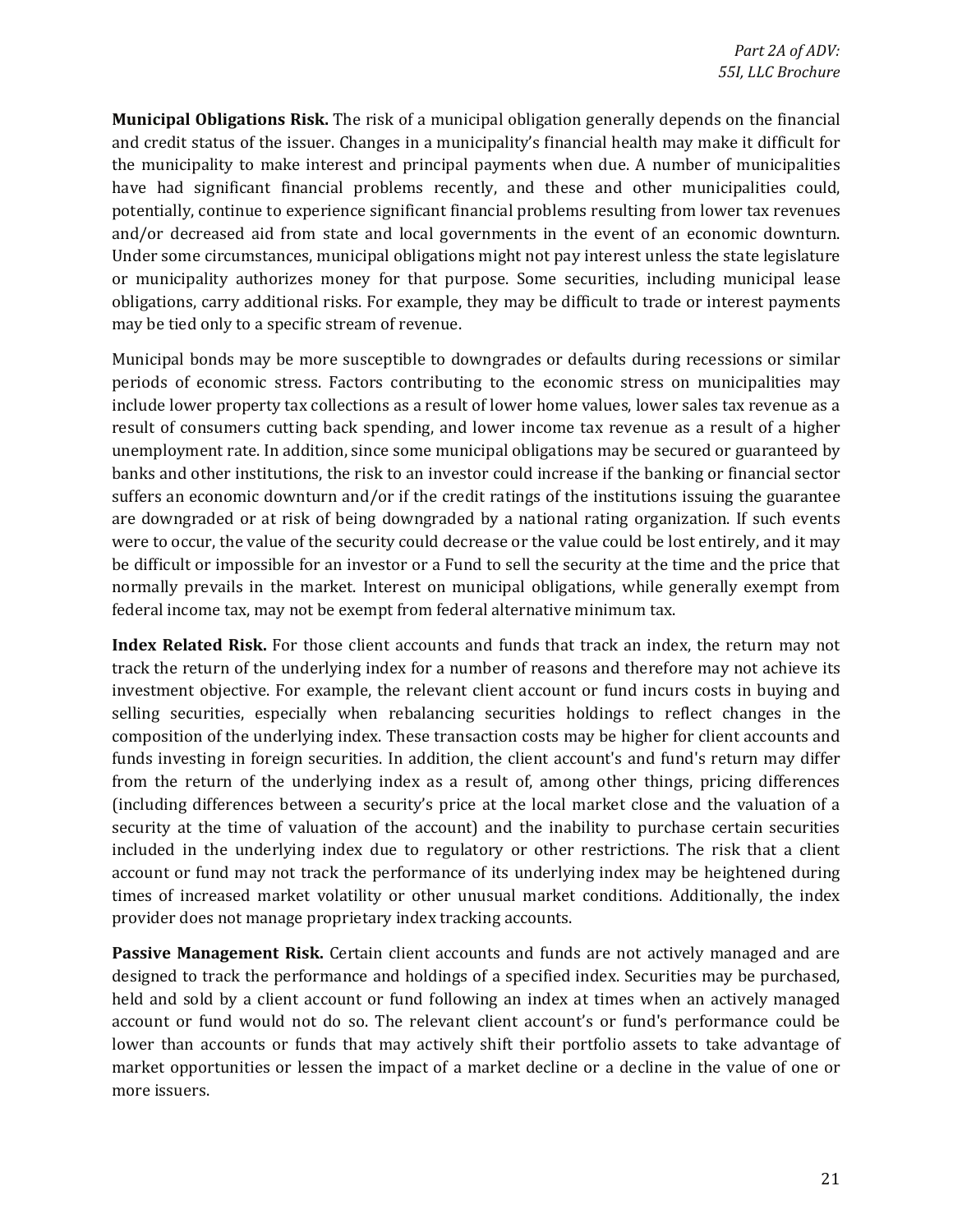obligations, carry additional risks. For example, they may be difficult to trade or interest payments **Municipal Obligations Risk.** The risk of a municipal obligation generally depends on the financial and credit status of the issuer. Changes in a municipality's financial health may make it difficult for the municipality to make interest and principal payments when due. A number of municipalities have had significant financial problems recently, and these and other municipalities could, potentially, continue to experience significant financial problems resulting from lower tax revenues and/or decreased aid from state and local governments in the event of an economic downturn. Under some circumstances, municipal obligations might not pay interest unless the state legislature or municipality authorizes money for that purpose. Some securities, including municipal lease may be tied only to a specific stream of revenue.

 Municipal bonds may be more susceptible to downgrades or defaults during recessions or similar banks and other institutions, the risk to an investor could increase if the banking or financial sector be difficult or impossible for an investor or a Fund to sell the security at the time and the price that periods of economic stress. Factors contributing to the economic stress on municipalities may include lower property tax collections as a result of lower home values, lower sales tax revenue as a result of consumers cutting back spending, and lower income tax revenue as a result of a higher unemployment rate. In addition, since some municipal obligations may be secured or guaranteed by suffers an economic downturn and/or if the credit ratings of the institutions issuing the guarantee are downgraded or at risk of being downgraded by a national rating organization. If such events were to occur, the value of the security could decrease or the value could be lost entirely, and it may normally prevails in the market. Interest on municipal obligations, while generally exempt from federal income tax, may not be exempt from federal alternative minimum tax.

Index Related Risk. For those client accounts and funds that track an index, the return may not track the return of the underlying index for a number of reasons and therefore may not achieve its composition of the underlying index. These transaction costs may be higher for client accounts and included in the underlying index due to regulatory or other restrictions. The risk that a client times of increased market volatility or other unusual market conditions. Additionally, the index investment objective. For example, the relevant client account or fund incurs costs in buying and selling securities, especially when rebalancing securities holdings to reflect changes in the funds investing in foreign securities. In addition, the client account's and fund's return may differ from the return of the underlying index as a result of, among other things, pricing differences (including differences between a security's price at the local market close and the valuation of a security at the time of valuation of the account) and the inability to purchase certain securities account or fund may not track the performance of its underlying index may be heightened during provider does not manage proprietary index tracking accounts.

 lower than accounts or funds that may actively shift their portfolio assets to take advantage of **Passive Management Risk.** Certain client accounts and funds are not actively managed and are designed to track the performance and holdings of a specified index. Securities may be purchased, held and sold by a client account or fund following an index at times when an actively managed account or fund would not do so. The relevant client account's or fund's performance could be market opportunities or lessen the impact of a market decline or a decline in the value of one or more issuers.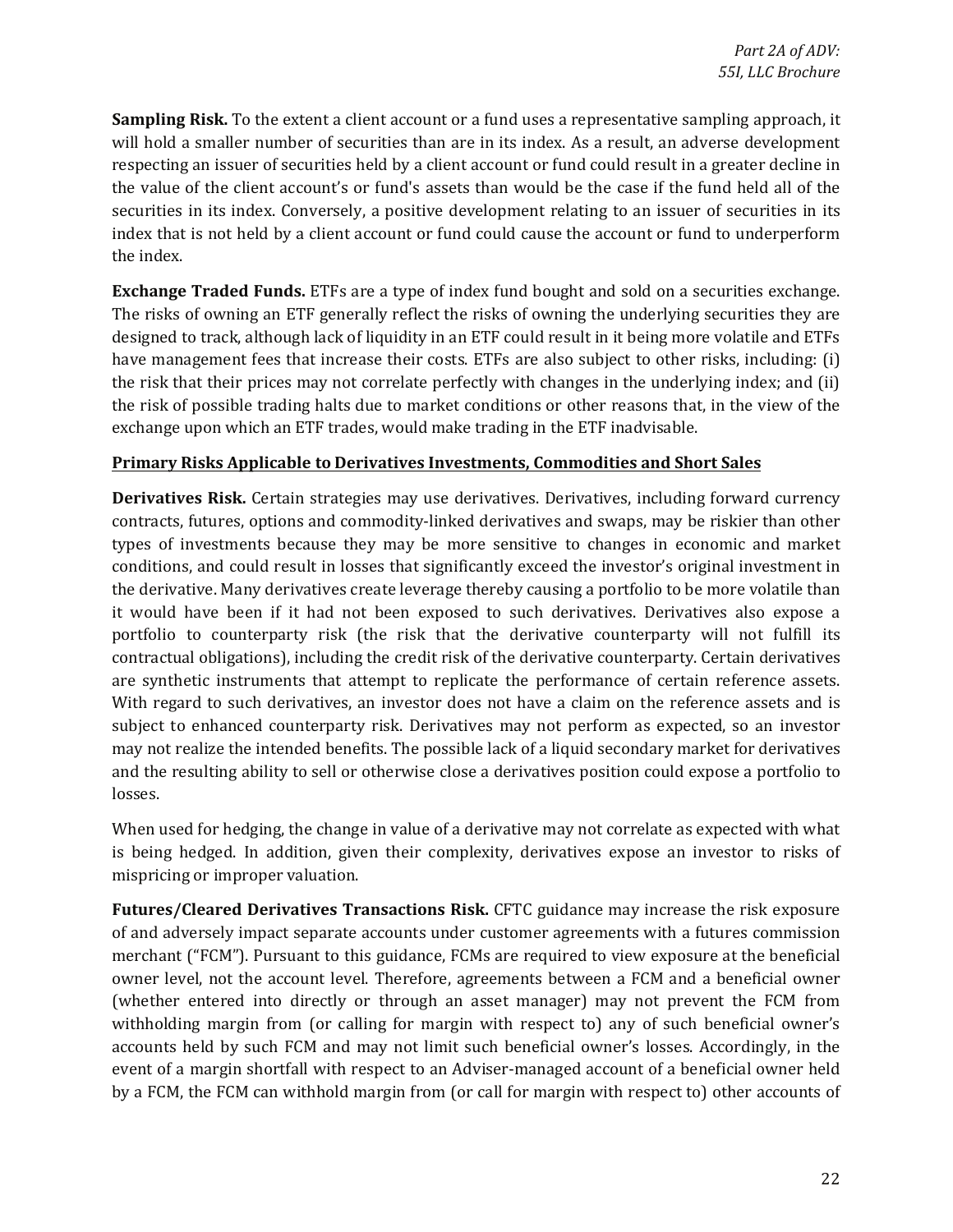**Sampling Risk.** To the extent a client account or a fund uses a representative sampling approach, it will hold a smaller number of securities than are in its index. As a result, an adverse development securities in its index. Conversely, a positive development relating to an issuer of securities in its index that is not held by a client account or fund could cause the account or fund to underperform respecting an issuer of securities held by a client account or fund could result in a greater decline in the value of the client account's or fund's assets than would be the case if the fund held all of the the index.

 have management fees that increase their costs. ETFs are also subject to other risks, including: (i) the risk of possible trading halts due to market conditions or other reasons that, in the view of the **Exchange Traded Funds.** ETFs are a type of index fund bought and sold on a securities exchange. The risks of owning an ETF generally reflect the risks of owning the underlying securities they are designed to track, although lack of liquidity in an ETF could result in it being more volatile and ETFs the risk that their prices may not correlate perfectly with changes in the underlying index; and (ii) exchange upon which an ETF trades, would make trading in the ETF inadvisable.

#### **Primary Risks Applicable to Derivatives Investments, Commodities and Short Sales**

 contracts, futures, options and commodity-linked derivatives and swaps, may be riskier than other the derivative. Many derivatives create leverage thereby causing a portfolio to be more volatile than it would have been if it had not been exposed to such derivatives. Derivatives also expose a portfolio to counterparty risk (the risk that the derivative counterparty will not fulfill its With regard to such derivatives, an investor does not have a claim on the reference assets and is and the resulting ability to sell or otherwise close a derivatives position could expose a portfolio to **Derivatives Risk.** Certain strategies may use derivatives. Derivatives, including forward currency types of investments because they may be more sensitive to changes in economic and market conditions, and could result in losses that significantly exceed the investor's original investment in contractual obligations), including the credit risk of the derivative counterparty. Certain derivatives are synthetic instruments that attempt to replicate the performance of certain reference assets. subject to enhanced counterparty risk. Derivatives may not perform as expected, so an investor may not realize the intended benefits. The possible lack of a liquid secondary market for derivatives losses.

 is being hedged. In addition, given their complexity, derivatives expose an investor to risks of When used for hedging, the change in value of a derivative may not correlate as expected with what mispricing or improper valuation.

Futures/Cleared Derivatives Transactions Risk. CFTC guidance may increase the risk exposure of and adversely impact separate accounts under customer agreements with a futures commission (whether entered into directly or through an asset manager) may not prevent the FCM from withholding margin from (or calling for margin with respect to) any of such beneficial owner's event of a margin shortfall with respect to an Adviser-managed account of a beneficial owner held by a FCM, the FCM can withhold margin from (or call for margin with respect to) other accounts of merchant ("FCM"). Pursuant to this guidance, FCMs are required to view exposure at the beneficial owner level, not the account level. Therefore, agreements between a FCM and a beneficial owner accounts held by such FCM and may not limit such beneficial owner's losses. Accordingly, in the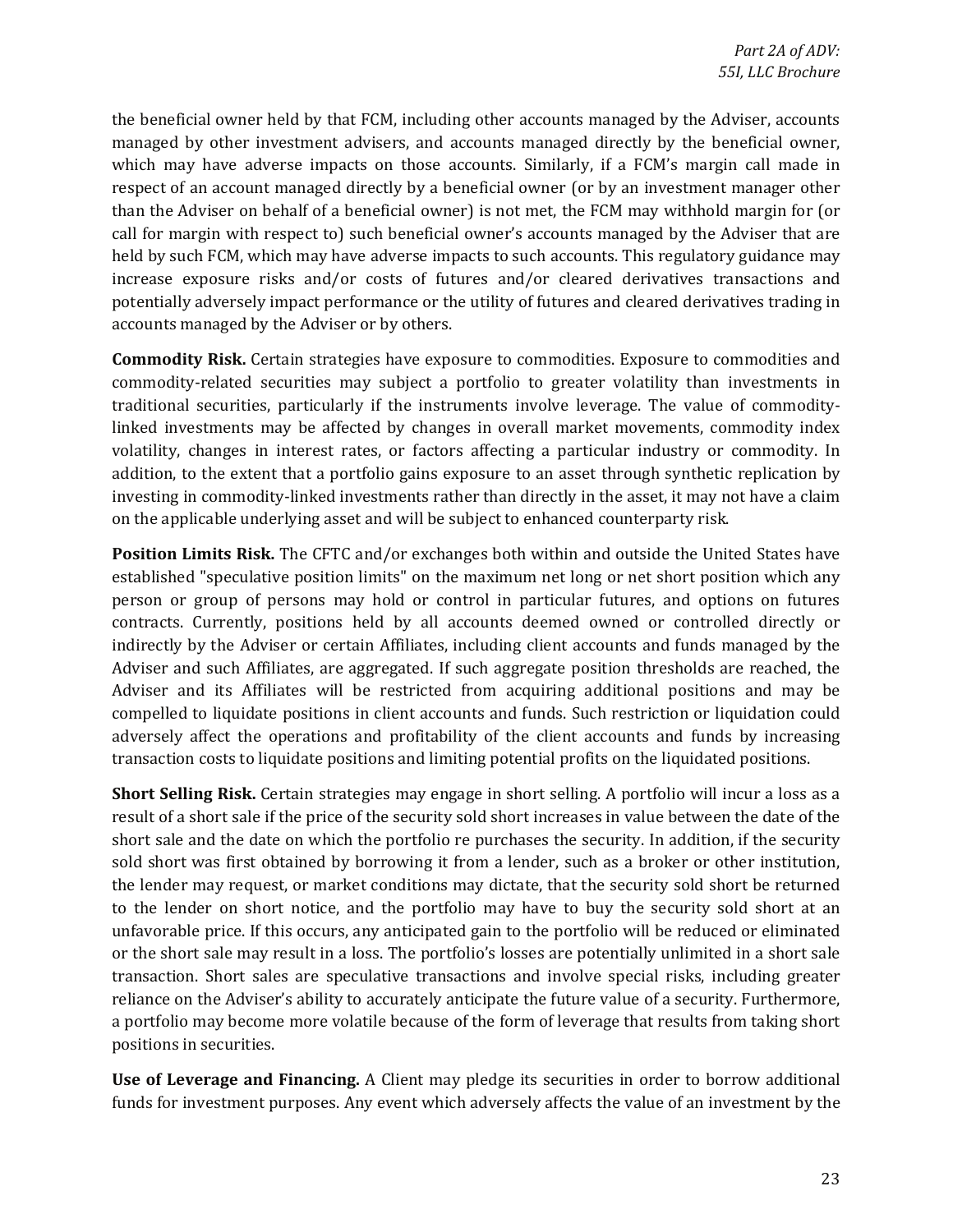respect of an account managed directly by a beneficial owner (or by an investment manager other than the Adviser on behalf of a beneficial owner) is not met, the FCM may withhold margin for (or held by such FCM, which may have adverse impacts to such accounts. This regulatory guidance may the beneficial owner held by that FCM, including other accounts managed by the Adviser, accounts managed by other investment advisers, and accounts managed directly by the beneficial owner, which may have adverse impacts on those accounts. Similarly, if a FCM's margin call made in call for margin with respect to) such beneficial owner's accounts managed by the Adviser that are increase exposure risks and/or costs of futures and/or cleared derivatives transactions and potentially adversely impact performance or the utility of futures and cleared derivatives trading in accounts managed by the Adviser or by others.

 commodity-related securities may subject a portfolio to greater volatility than investments in **Commodity Risk.** Certain strategies have exposure to commodities. Exposure to commodities and traditional securities, particularly if the instruments involve leverage. The value of commoditylinked investments may be affected by changes in overall market movements, commodity index volatility, changes in interest rates, or factors affecting a particular industry or commodity. In addition, to the extent that a portfolio gains exposure to an asset through synthetic replication by investing in commodity-linked investments rather than directly in the asset, it may not have a claim on the applicable underlying asset and will be subject to enhanced counterparty risk.

Position Limits Risk. The CFTC and/or exchanges both within and outside the United States have indirectly by the Adviser or certain Affiliates, including client accounts and funds managed by the Adviser and such Affiliates, are aggregated. If such aggregate position thresholds are reached, the established "speculative position limits" on the maximum net long or net short position which any person or group of persons may hold or control in particular futures, and options on futures contracts. Currently, positions held by all accounts deemed owned or controlled directly or Adviser and its Affiliates will be restricted from acquiring additional positions and may be compelled to liquidate positions in client accounts and funds. Such restriction or liquidation could adversely affect the operations and profitability of the client accounts and funds by increasing transaction costs to liquidate positions and limiting potential profits on the liquidated positions.

**Short Selling Risk.** Certain strategies may engage in short selling. A portfolio will incur a loss as a sold short was first obtained by borrowing it from a lender, such as a broker or other institution, to the lender on short notice, and the portfolio may have to buy the security sold short at an result of a short sale if the price of the security sold short increases in value between the date of the short sale and the date on which the portfolio re purchases the security. In addition, if the security the lender may request, or market conditions may dictate, that the security sold short be returned unfavorable price. If this occurs, any anticipated gain to the portfolio will be reduced or eliminated or the short sale may result in a loss. The portfolio's losses are potentially unlimited in a short sale transaction. Short sales are speculative transactions and involve special risks, including greater reliance on the Adviser's ability to accurately anticipate the future value of a security. Furthermore, a portfolio may become more volatile because of the form of leverage that results from taking short positions in securities.

**Use of Leverage and Financing.** A Client may pledge its securities in order to borrow additional funds for investment purposes. Any event which adversely affects the value of an investment by the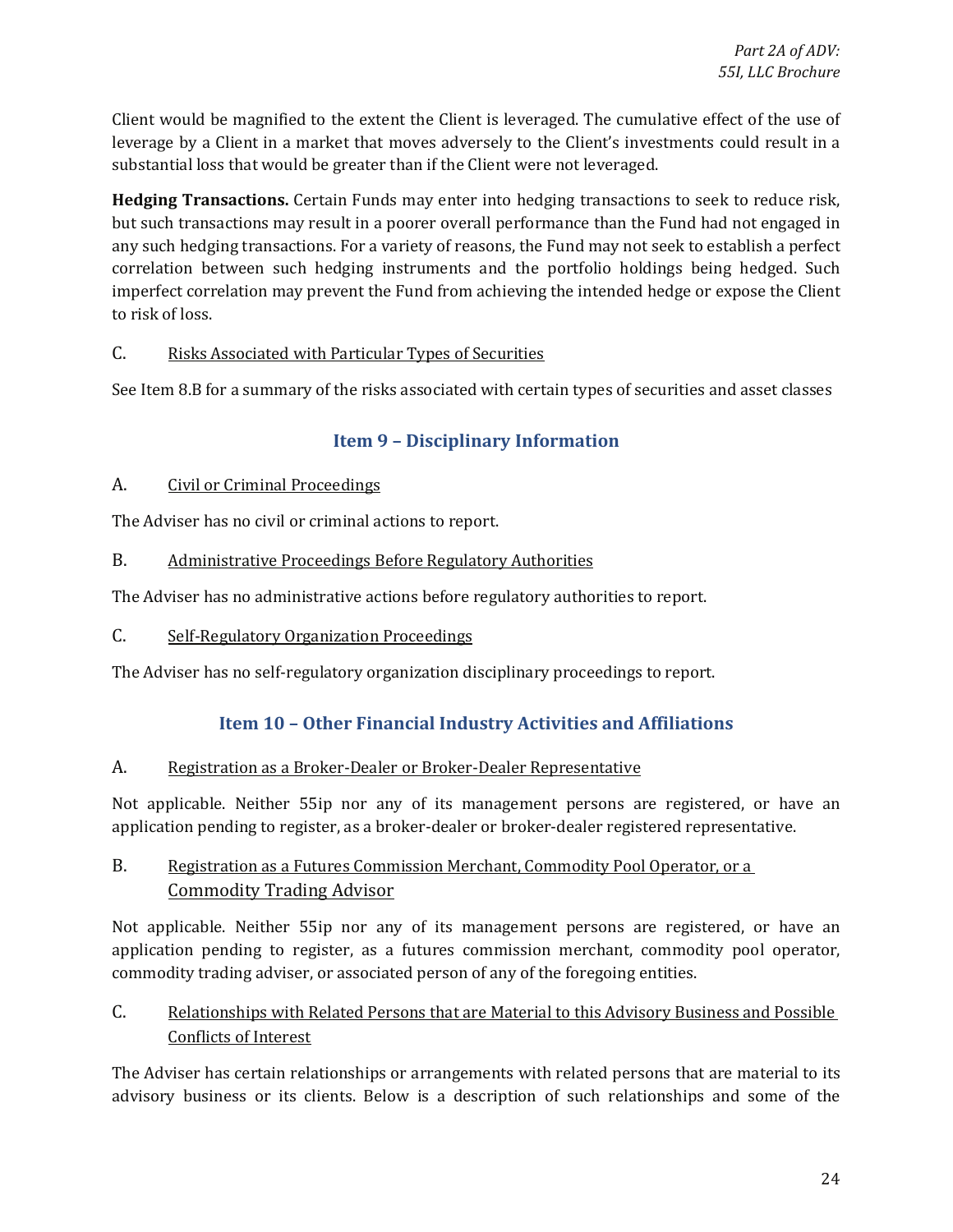<span id="page-23-0"></span>Client would be magnified to the extent the Client is leveraged. The cumulative effect of the use of leverage by a Client in a market that moves adversely to the Client's investments could result in a substantial loss that would be greater than if the Client were not leveraged.

Hedging Transactions. Certain Funds may enter into hedging transactions to seek to reduce risk, any such hedging transactions. For a variety of reasons, the Fund may not seek to establish a perfect but such transactions may result in a poorer overall performance than the Fund had not engaged in correlation between such hedging instruments and the portfolio holdings being hedged. Such imperfect correlation may prevent the Fund from achieving the intended hedge or expose the Client to risk of loss.

### C. Risks Associated with Particular Types of Securities

See Item 8.B for a summary of the risks associated with certain types of securities and asset classes

# **Item 9 – Disciplinary Information**

### A. Civil or Criminal Proceedings

The Adviser has no civil or criminal actions to report.

B. Administrative Proceedings Before Regulatory Authorities

The Adviser has no administrative actions before regulatory authorities to report.

C. Self-Regulatory Organization Proceedings

The Adviser has no self-regulatory organization disciplinary proceedings to report.

# **Item 10 - Other Financial Industry Activities and Affiliations**

### A. Registration as a Broker-Dealer or Broker-Dealer Representative

 Not applicable. Neither 55ip nor any of its management persons are registered, or have an application pending to register, as a broker-dealer or broker-dealer registered representative.

### B. Registration as a Futures Commission Merchant, Commodity Pool Operator, or a Commodity Trading Advisor

 Not applicable. Neither 55ip nor any of its management persons are registered, or have an application pending to register, as a futures commission merchant, commodity pool operator, commodity trading adviser, or associated person of any of the foregoing entities.

### C. Relationships with Related Persons that are Material to this Advisory Business and Possible Conflicts of Interest

The Adviser has certain relationships or arrangements with related persons that are material to its advisory business or its clients. Below is a description of such relationships and some of the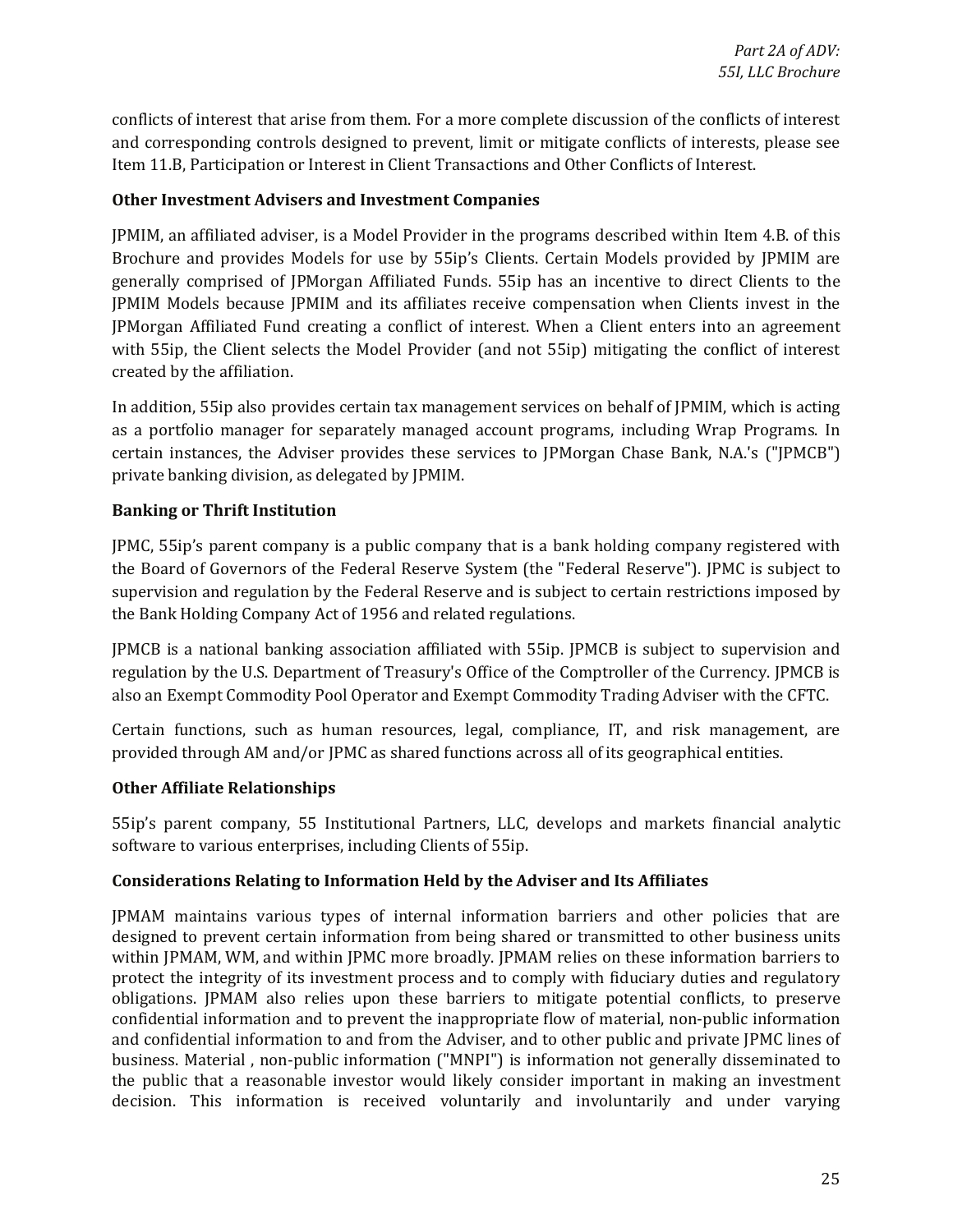conflicts of interest that arise from them. For a more complete discussion of the conflicts of interest and corresponding controls designed to prevent, limit or mitigate conflicts of interests, please see Item 11.B, Participation or Interest in Client Transactions and Other Conflicts of Interest.

#### **Other Investment Advisers and Investment Companies**

JPMIM, an affiliated adviser, is a Model Provider in the programs described within Item 4.B. of this Brochure and provides Models for use by 55ip's Clients. Certain Models provided by JPMIM are generally comprised of JPMorgan Affiliated Funds. 55ip has an incentive to direct Clients to the JPMIM Models because JPMIM and its affiliates receive compensation when Clients invest in the JPMorgan Affiliated Fund creating a conflict of interest. When a Client enters into an agreement with 55ip, the Client selects the Model Provider (and not 55ip) mitigating the conflict of interest created by the affiliation.

 as a portfolio manager for separately managed account programs, including Wrap Programs. In In addition, 55ip also provides certain tax management services on behalf of JPMIM, which is acting certain instances, the Adviser provides these services to JPMorgan Chase Bank, N.A.'s ("JPMCB") private banking division, as delegated by JPMIM.

#### **Banking or Thrift Institution**

JPMC, 55ip's parent company is a public company that is a bank holding company registered with the Board of Governors of the Federal Reserve System (the "Federal Reserve"). JPMC is subject to supervision and regulation by the Federal Reserve and is subject to certain restrictions imposed by the Bank Holding Company Act of 1956 and related regulations.

JPMCB is a national banking association affiliated with 55ip. JPMCB is subject to supervision and regulation by the U.S. Department of Treasury's Office of the Comptroller of the Currency. JPMCB is also an Exempt Commodity Pool Operator and Exempt Commodity Trading Adviser with the CFTC.

Certain functions, such as human resources, legal, compliance, IT, and risk management, are provided through AM and/or JPMC as shared functions across all of its geographical entities.

#### **Other Affiliate Relationships**

55ip's parent company, 55 Institutional Partners, LLC, develops and markets financial analytic software to various enterprises, including Clients of 55ip.

#### Considerations Relating to Information Held by the Adviser and Its Affiliates

 designed to prevent certain information from being shared or transmitted to other business units and confidential information to and from the Adviser, and to other public and private JPMC lines of JPMAM maintains various types of internal information barriers and other policies that are within JPMAM, WM, and within JPMC more broadly. JPMAM relies on these information barriers to protect the integrity of its investment process and to comply with fiduciary duties and regulatory obligations. JPMAM also relies upon these barriers to mitigate potential conflicts, to preserve confidential information and to prevent the inappropriate flow of material, non-public information business. Material , non-public information ("MNPI") is information not generally disseminated to the public that a reasonable investor would likely consider important in making an investment decision. This information is received voluntarily and involuntarily and under varying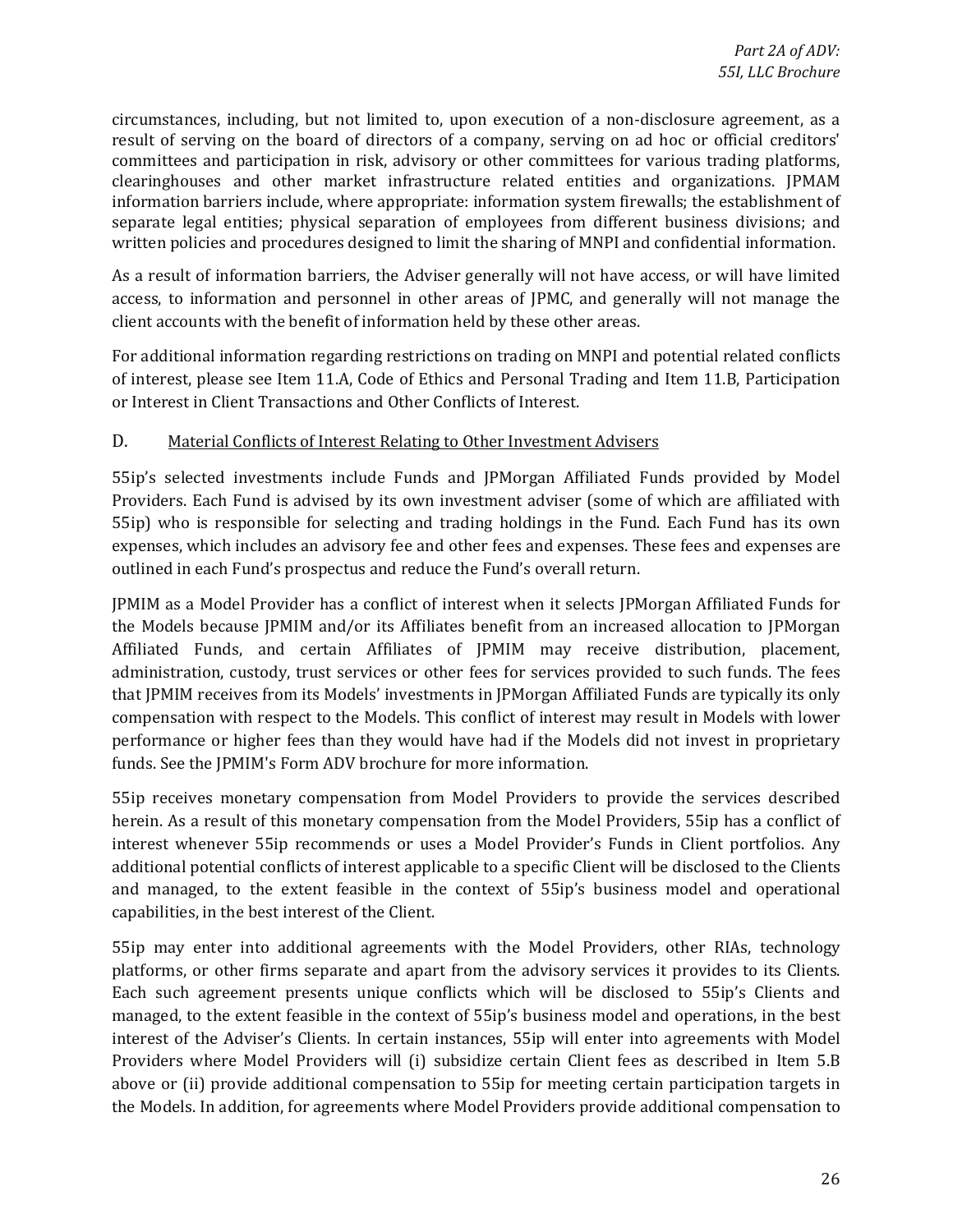committees and participation in risk, advisory or other committees for various trading platforms, circumstances, including, but not limited to, upon execution of a non-disclosure agreement, as a result of serving on the board of directors of a company, serving on ad hoc or official creditors' clearinghouses and other market infrastructure related entities and organizations. JPMAM information barriers include, where appropriate: information system firewalls; the establishment of separate legal entities; physical separation of employees from different business divisions; and written policies and procedures designed to limit the sharing of MNPI and confidential information.

As a result of information barriers, the Adviser generally will not have access, or will have limited access, to information and personnel in other areas of JPMC, and generally will not manage the client accounts with the benefit of information held by these other areas.

For additional information regarding restrictions on trading on MNPI and potential related conflicts of interest, please see Item 11.A, Code of Ethics and Personal Trading and Item 11.B, Participation or Interest in Client Transactions and Other Conflicts of Interest.

#### D. Material Conflicts of Interest Relating to Other Investment Advisers

55ip's selected investments include Funds and JPMorgan Affiliated Funds provided by Model Providers. Each Fund is advised by its own investment adviser (some of which are affiliated with 55ip) who is responsible for selecting and trading holdings in the Fund. Each Fund has its own expenses, which includes an advisory fee and other fees and expenses. These fees and expenses are outlined in each Fund's prospectus and reduce the Fund's overall return.

 administration, custody, trust services or other fees for services provided to such funds. The fees compensation with respect to the Models. This conflict of interest may result in Models with lower performance or higher fees than they would have had if the Models did not invest in proprietary JPMIM as a Model Provider has a conflict of interest when it selects JPMorgan Affiliated Funds for the Models because JPMIM and/or its Affiliates benefit from an increased allocation to JPMorgan Affiliated Funds, and certain Affiliates of JPMIM may receive distribution, placement, that JPMIM receives from its Models' investments in JPMorgan Affiliated Funds are typically its only funds. See the JPMIM's Form ADV brochure for more information.

55ip receives monetary compensation from Model Providers to provide the services described herein. As a result of this monetary compensation from the Model Providers, 55ip has a conflict of interest whenever 55ip recommends or uses a Model Provider's Funds in Client portfolios. Any additional potential conflicts of interest applicable to a specific Client will be disclosed to the Clients and managed, to the extent feasible in the context of 55ip's business model and operational capabilities, in the best interest of the Client.

 55ip may enter into additional agreements with the Model Providers, other RIAs, technology platforms, or other firms separate and apart from the advisory services it provides to its Clients. Each such agreement presents unique conflicts which will be disclosed to 55ip's Clients and interest of the Adviser's Clients. In certain instances, 55ip will enter into agreements with Model above or (ii) provide additional compensation to 55ip for meeting certain participation targets in managed, to the extent feasible in the context of 55ip's business model and operations, in the best Providers where Model Providers will (i) subsidize certain Client fees as described in Item 5.B the Models. In addition, for agreements where Model Providers provide additional compensation to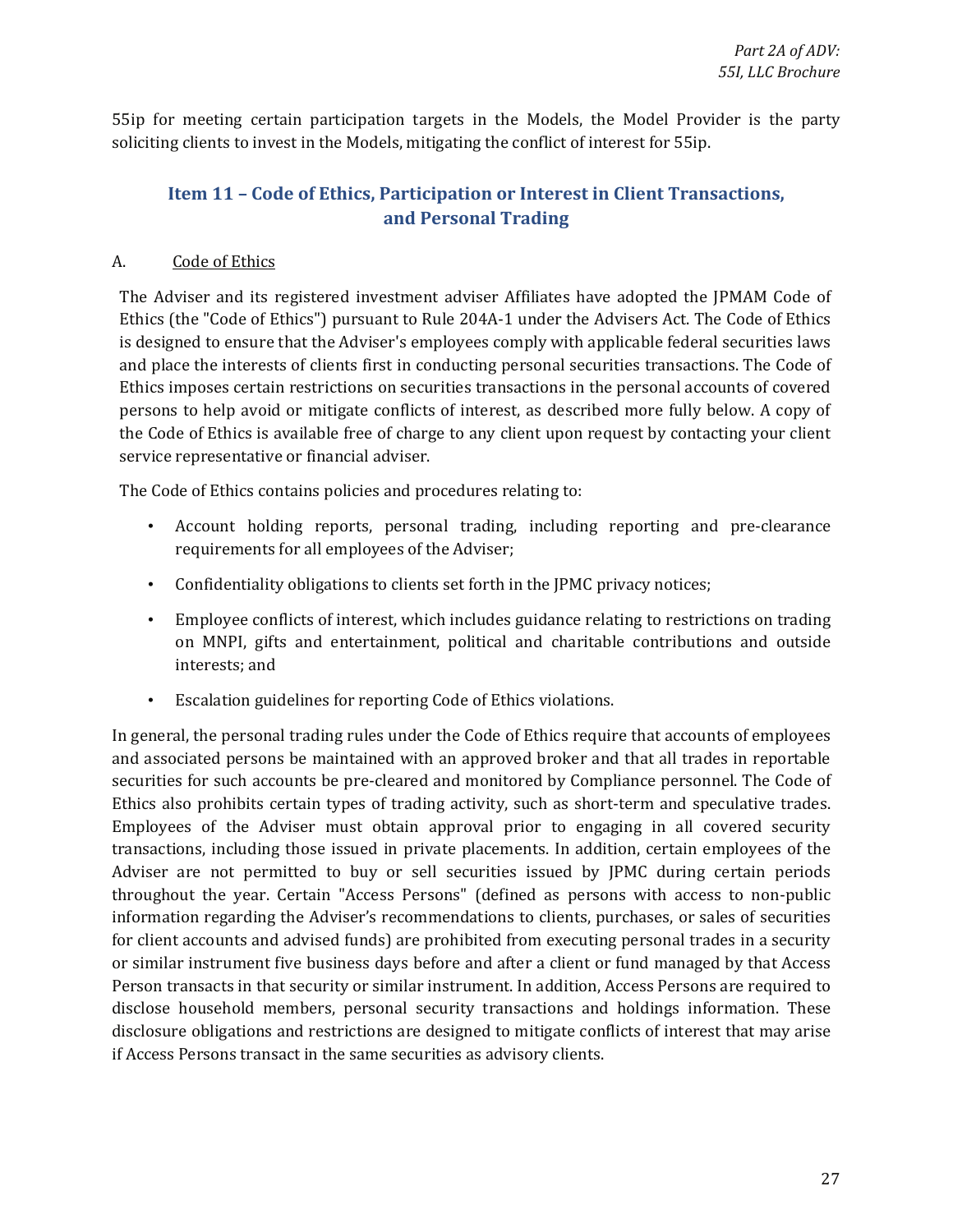<span id="page-26-0"></span>55ip for meeting certain participation targets in the Models, the Model Provider is the party soliciting clients to invest in the Models, mitigating the conflict of interest for 55ip.

# **Item 11 - Code of Ethics, Participation or Interest in Client Transactions, and Personal Trading**

### A. Code of Ethics

The Adviser and its registered investment adviser Affiliates have adopted the JPMAM Code of Ethics (the "Code of Ethics") pursuant to Rule 204A-1 under the Advisers Act. The Code of Ethics is designed to ensure that the Adviser's employees comply with applicable federal securities laws and place the interests of clients first in conducting personal securities transactions. The Code of Ethics imposes certain restrictions on securities transactions in the personal accounts of covered persons to help avoid or mitigate conflicts of interest, as described more fully below. A copy of the Code of Ethics is available free of charge to any client upon request by contacting your client service representative or financial adviser.

The Code of Ethics contains policies and procedures relating to:

- Account holding reports, personal trading, including reporting and pre-clearance requirements for all employees of the Adviser;
- Confidentiality obligations to clients set forth in the JPMC privacy notices;
- Employee conflicts of interest, which includes guidance relating to restrictions on trading on MNPI, gifts and entertainment, political and charitable contributions and outside interests; and
- Escalation guidelines for reporting Code of Ethics violations.

 securities for such accounts be pre-cleared and monitored by Compliance personnel. The Code of Employees of the Adviser must obtain approval prior to engaging in all covered security Adviser are not permitted to buy or sell securities issued by JPMC during certain periods throughout the year. Certain "Access Persons" (defined as persons with access to non-public or similar instrument five business days before and after a client or fund managed by that Access Person transacts in that security or similar instrument. In addition, Access Persons are required to In general, the personal trading rules under the Code of Ethics require that accounts of employees and associated persons be maintained with an approved broker and that all trades in reportable Ethics also prohibits certain types of trading activity, such as short-term and speculative trades. transactions, including those issued in private placements. In addition, certain employees of the information regarding the Adviser's recommendations to clients, purchases, or sales of securities for client accounts and advised funds) are prohibited from executing personal trades in a security disclose household members, personal security transactions and holdings information. These disclosure obligations and restrictions are designed to mitigate conflicts of interest that may arise if Access Persons transact in the same securities as advisory clients.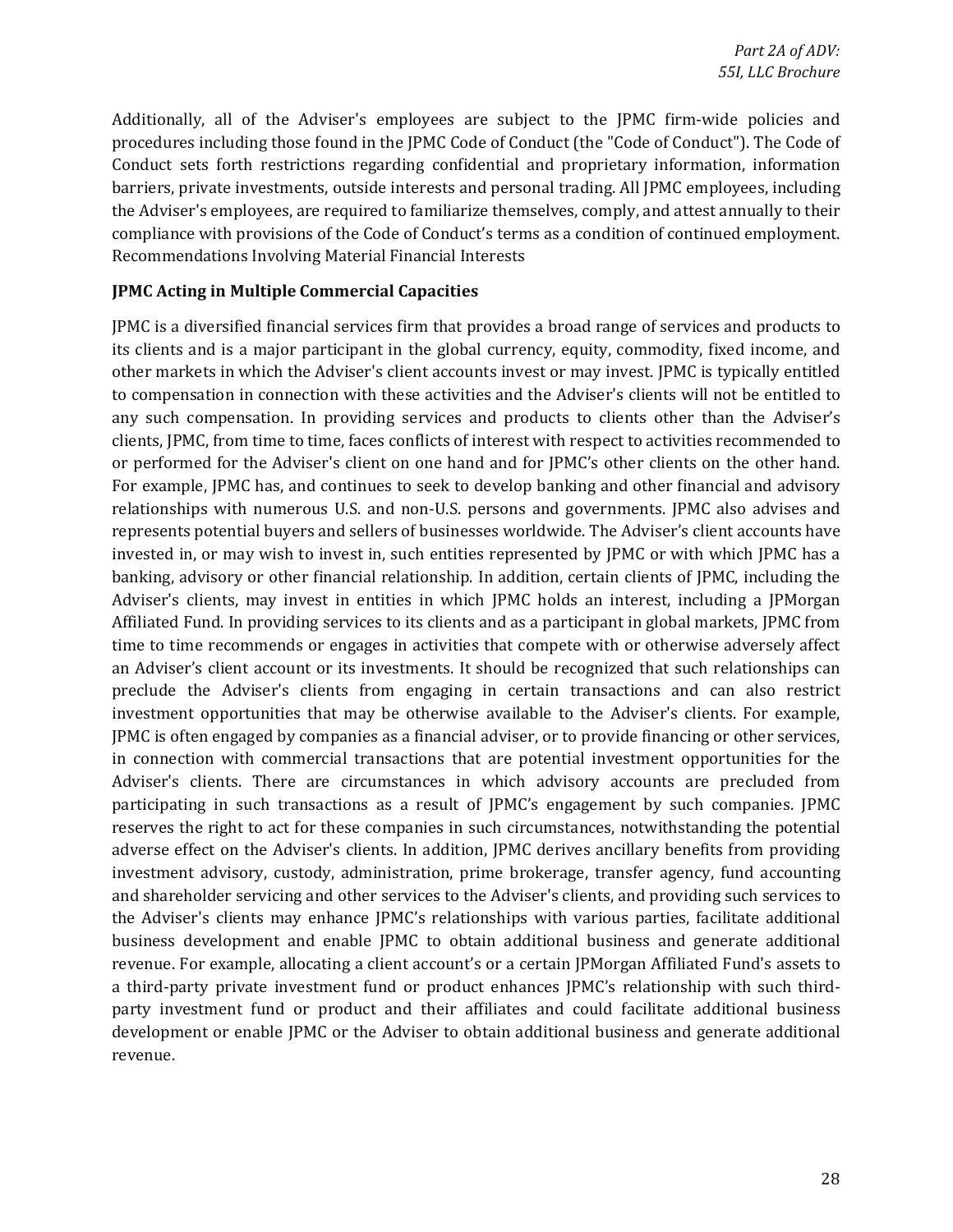Additionally, all of the Adviser's employees are subject to the JPMC firm-wide policies and procedures including those found in the JPMC Code of Conduct (the "Code of Conduct"). The Code of Conduct sets forth restrictions regarding confidential and proprietary information, information barriers, private investments, outside interests and personal trading. All JPMC employees, including the Adviser's employees, are required to familiarize themselves, comply, and attest annually to their compliance with provisions of the Code of Conduct's terms as a condition of continued employment. Recommendations Involving Material Financial Interests

#### **JPMC Acting in Multiple Commercial Capacities**

 For example, JPMC has, and continues to seek to develop banking and other financial and advisory relationships with numerous U.S. and non-U.S. persons and governments. JPMC also advises and invested in, or may wish to invest in, such entities represented by JPMC or with which JPMC has a banking, advisory or other financial relationship. In addition, certain clients of JPMC, including the Adviser's clients, may invest in entities in which JPMC holds an interest, including a JPMorgan time to time recommends or engages in activities that compete with or otherwise adversely affect JPMC is often engaged by companies as a financial adviser, or to provide financing or other services, reserves the right to act for these companies in such circumstances, notwithstanding the potential and shareholder servicing and other services to the Adviser's clients, and providing such services to business development and enable JPMC to obtain additional business and generate additional a third-party private investment fund or product enhances JPMC's relationship with such third- development or enable JPMC or the Adviser to obtain additional business and generate additional JPMC is a diversified financial services firm that provides a broad range of services and products to its clients and is a major participant in the global currency, equity, commodity, fixed income, and other markets in which the Adviser's client accounts invest or may invest. JPMC is typically entitled to compensation in connection with these activities and the Adviser's clients will not be entitled to any such compensation. In providing services and products to clients other than the Adviser's clients, JPMC, from time to time, faces conflicts of interest with respect to activities recommended to or performed for the Adviser's client on one hand and for JPMC's other clients on the other hand. represents potential buyers and sellers of businesses worldwide. The Adviser's client accounts have Affiliated Fund. In providing services to its clients and as a participant in global markets, JPMC from an Adviser's client account or its investments. It should be recognized that such relationships can preclude the Adviser's clients from engaging in certain transactions and can also restrict investment opportunities that may be otherwise available to the Adviser's clients. For example, in connection with commercial transactions that are potential investment opportunities for the Adviser's clients. There are circumstances in which advisory accounts are precluded from participating in such transactions as a result of JPMC's engagement by such companies. JPMC adverse effect on the Adviser's clients. In addition, JPMC derives ancillary benefits from providing investment advisory, custody, administration, prime brokerage, transfer agency, fund accounting the Adviser's clients may enhance JPMC's relationships with various parties, facilitate additional revenue. For example, allocating a client account's or a certain JPMorgan Affiliated Fund's assets to party investment fund or product and their affiliates and could facilitate additional business revenue.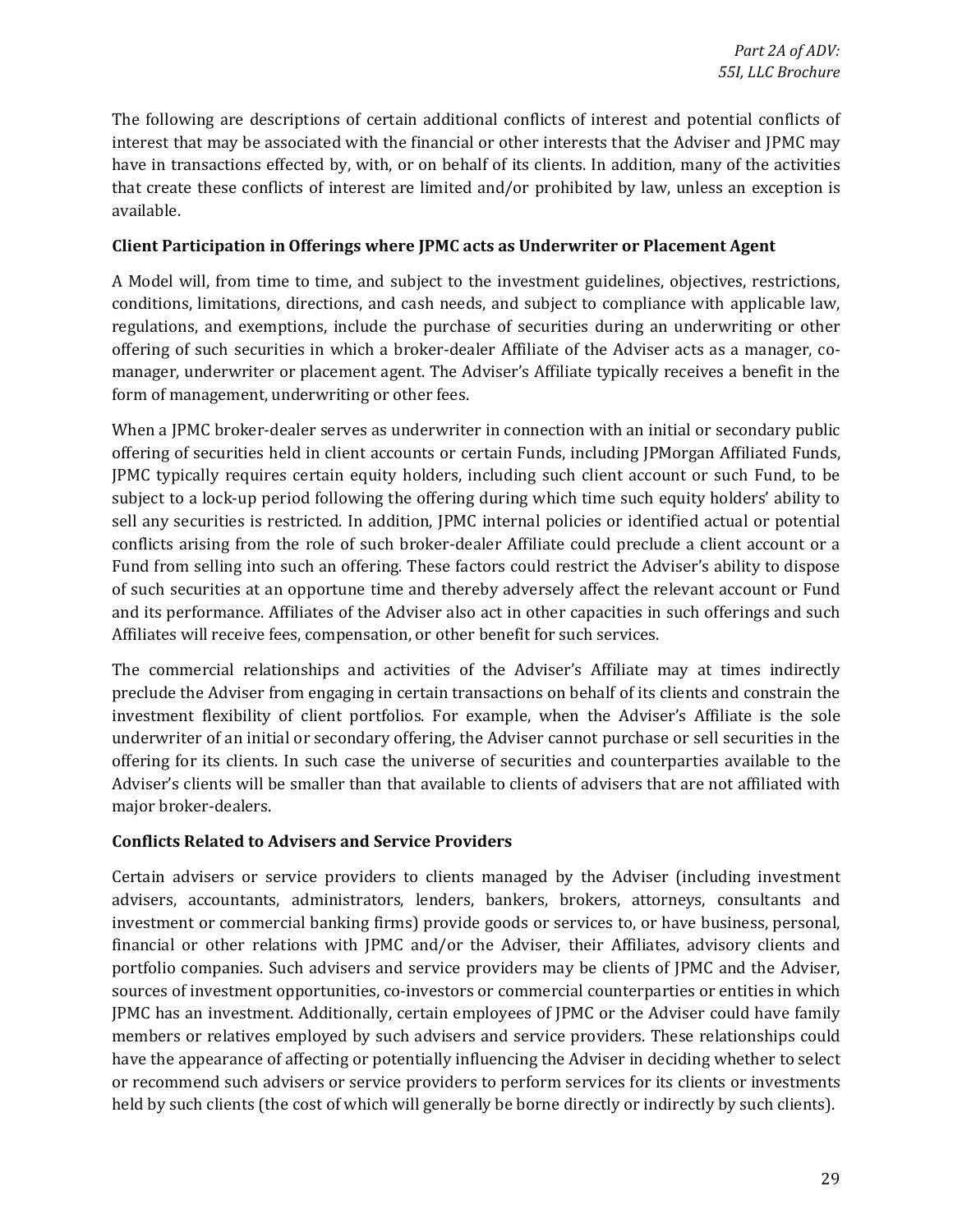interest that may be associated with the financial or other interests that the Adviser and JPMC may The following are descriptions of certain additional conflicts of interest and potential conflicts of have in transactions effected by, with, or on behalf of its clients. In addition, many of the activities that create these conflicts of interest are limited and/or prohibited by law, unless an exception is available.

#### **Client Participation in Offerings where JPMC acts as Underwriter or Placement Agent**

 regulations, and exemptions, include the purchase of securities during an underwriting or other manager, underwriter or placement agent. The Adviser's Affiliate typically receives a benefit in the A Model will, from time to time, and subject to the investment guidelines, objectives, restrictions, conditions, limitations, directions, and cash needs, and subject to compliance with applicable law, offering of such securities in which a broker-dealer Affiliate of the Adviser acts as a manager, coform of management, underwriting or other fees.

 When a JPMC broker-dealer serves as underwriter in connection with an initial or secondary public JPMC typically requires certain equity holders, including such client account or such Fund, to be subject to a lock-up period following the offering during which time such equity holders' ability to Fund from selling into such an offering. These factors could restrict the Adviser's ability to dispose and its performance. Affiliates of the Adviser also act in other capacities in such offerings and such offering of securities held in client accounts or certain Funds, including JPMorgan Affiliated Funds, sell any securities is restricted. In addition, JPMC internal policies or identified actual or potential conflicts arising from the role of such broker-dealer Affiliate could preclude a client account or a of such securities at an opportune time and thereby adversely affect the relevant account or Fund Affiliates will receive fees, compensation, or other benefit for such services.

The commercial relationships and activities of the Adviser's Affiliate may at times indirectly preclude the Adviser from engaging in certain transactions on behalf of its clients and constrain the investment flexibility of client portfolios. For example, when the Adviser's Affiliate is the sole underwriter of an initial or secondary offering, the Adviser cannot purchase or sell securities in the offering for its clients. In such case the universe of securities and counterparties available to the Adviser's clients will be smaller than that available to clients of advisers that are not affiliated with major broker-dealers.

#### **Conflicts Related to Advisers and Service Providers**

 financial or other relations with JPMC and/or the Adviser, their Affiliates, advisory clients and JPMC has an investment. Additionally, certain employees of JPMC or the Adviser could have family have the appearance of affecting or potentially influencing the Adviser in deciding whether to select or recommend such advisers or service providers to perform services for its clients or investments Certain advisers or service providers to clients managed by the Adviser (including investment advisers, accountants, administrators, lenders, bankers, brokers, attorneys, consultants and investment or commercial banking firms) provide goods or services to, or have business, personal, portfolio companies. Such advisers and service providers may be clients of JPMC and the Adviser, sources of investment opportunities, co-investors or commercial counterparties or entities in which members or relatives employed by such advisers and service providers. These relationships could held by such clients (the cost of which will generally be borne directly or indirectly by such clients).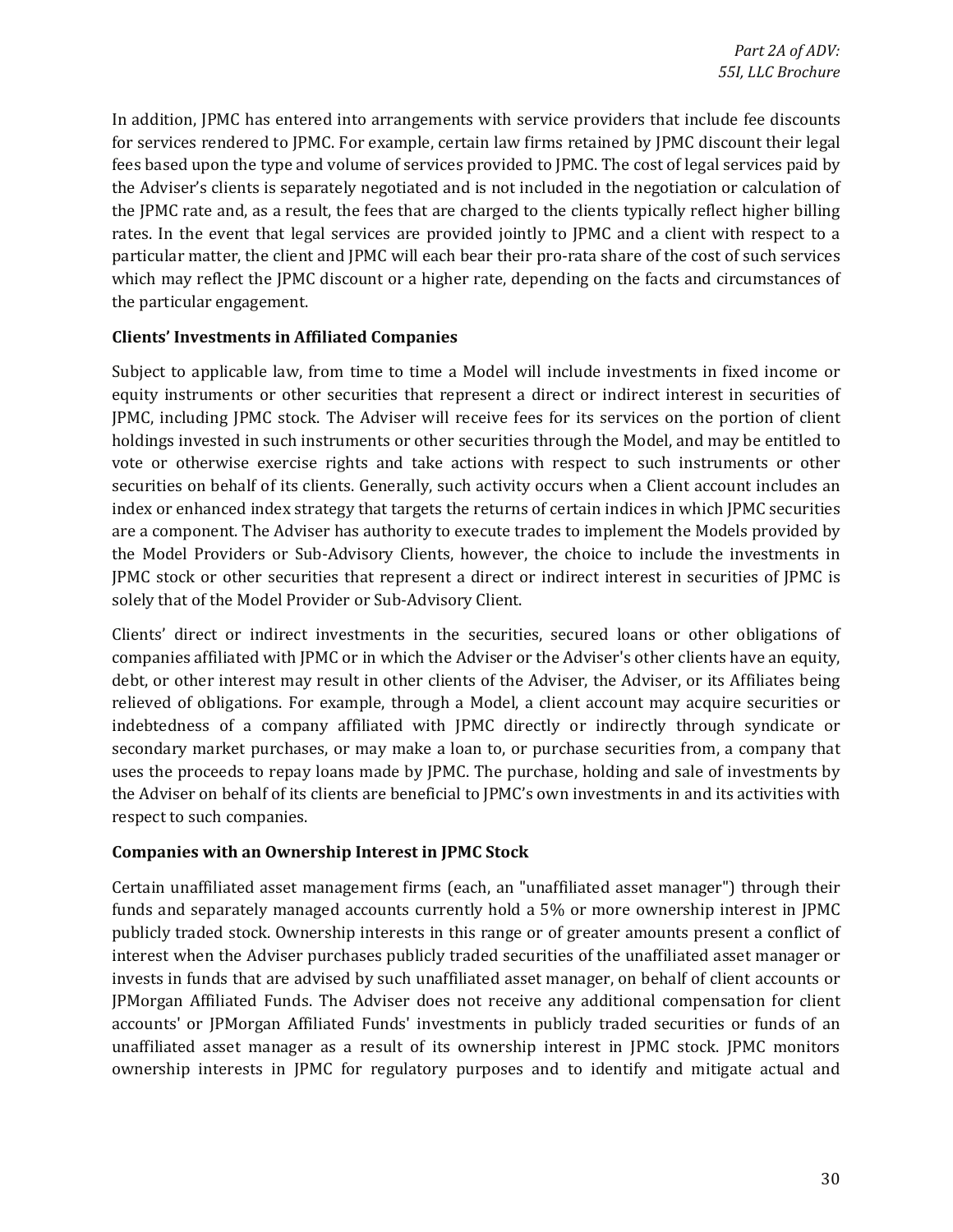for services rendered to JPMC. For example, certain law firms retained by JPMC discount their legal rates. In the event that legal services are provided jointly to JPMC and a client with respect to a particular matter, the client and JPMC will each bear their pro-rata share of the cost of such services which may reflect the JPMC discount or a higher rate, depending on the facts and circumstances of In addition, JPMC has entered into arrangements with service providers that include fee discounts fees based upon the type and volume of services provided to JPMC. The cost of legal services paid by the Adviser's clients is separately negotiated and is not included in the negotiation or calculation of the JPMC rate and, as a result, the fees that are charged to the clients typically reflect higher billing the particular engagement.

#### **Clients' Investments in Affiliated Companies**

 equity instruments or other securities that represent a direct or indirect interest in securities of holdings invested in such instruments or other securities through the Model, and may be entitled to vote or otherwise exercise rights and take actions with respect to such instruments or other index or enhanced index strategy that targets the returns of certain indices in which JPMC securities JPMC stock or other securities that represent a direct or indirect interest in securities of JPMC is Subject to applicable law, from time to time a Model will include investments in fixed income or JPMC, including JPMC stock. The Adviser will receive fees for its services on the portion of client securities on behalf of its clients. Generally, such activity occurs when a Client account includes an are a component. The Adviser has authority to execute trades to implement the Models provided by the Model Providers or Sub-Advisory Clients, however, the choice to include the investments in solely that of the Model Provider or Sub-Advisory Client.

 Clients' direct or indirect investments in the securities, secured loans or other obligations of companies affiliated with JPMC or in which the Adviser or the Adviser's other clients have an equity, debt, or other interest may result in other clients of the Adviser, the Adviser, or its Affiliates being indebtedness of a company affiliated with JPMC directly or indirectly through syndicate or relieved of obligations. For example, through a Model, a client account may acquire securities or secondary market purchases, or may make a loan to, or purchase securities from, a company that uses the proceeds to repay loans made by JPMC. The purchase, holding and sale of investments by the Adviser on behalf of its clients are beneficial to JPMC's own investments in and its activities with respect to such companies.

### **Companies with an Ownership Interest in JPMC Stock**

 Certain unaffiliated asset management firms (each, an "unaffiliated asset manager") through their publicly traded stock. Ownership interests in this range or of greater amounts present a conflict of interest when the Adviser purchases publicly traded securities of the unaffiliated asset manager or ownership interests in JPMC for regulatory purposes and to identify and mitigate actual and funds and separately managed accounts currently hold a 5% or more ownership interest in JPMC invests in funds that are advised by such unaffiliated asset manager, on behalf of client accounts or JPMorgan Affiliated Funds. The Adviser does not receive any additional compensation for client accounts' or JPMorgan Affiliated Funds' investments in publicly traded securities or funds of an unaffiliated asset manager as a result of its ownership interest in JPMC stock. JPMC monitors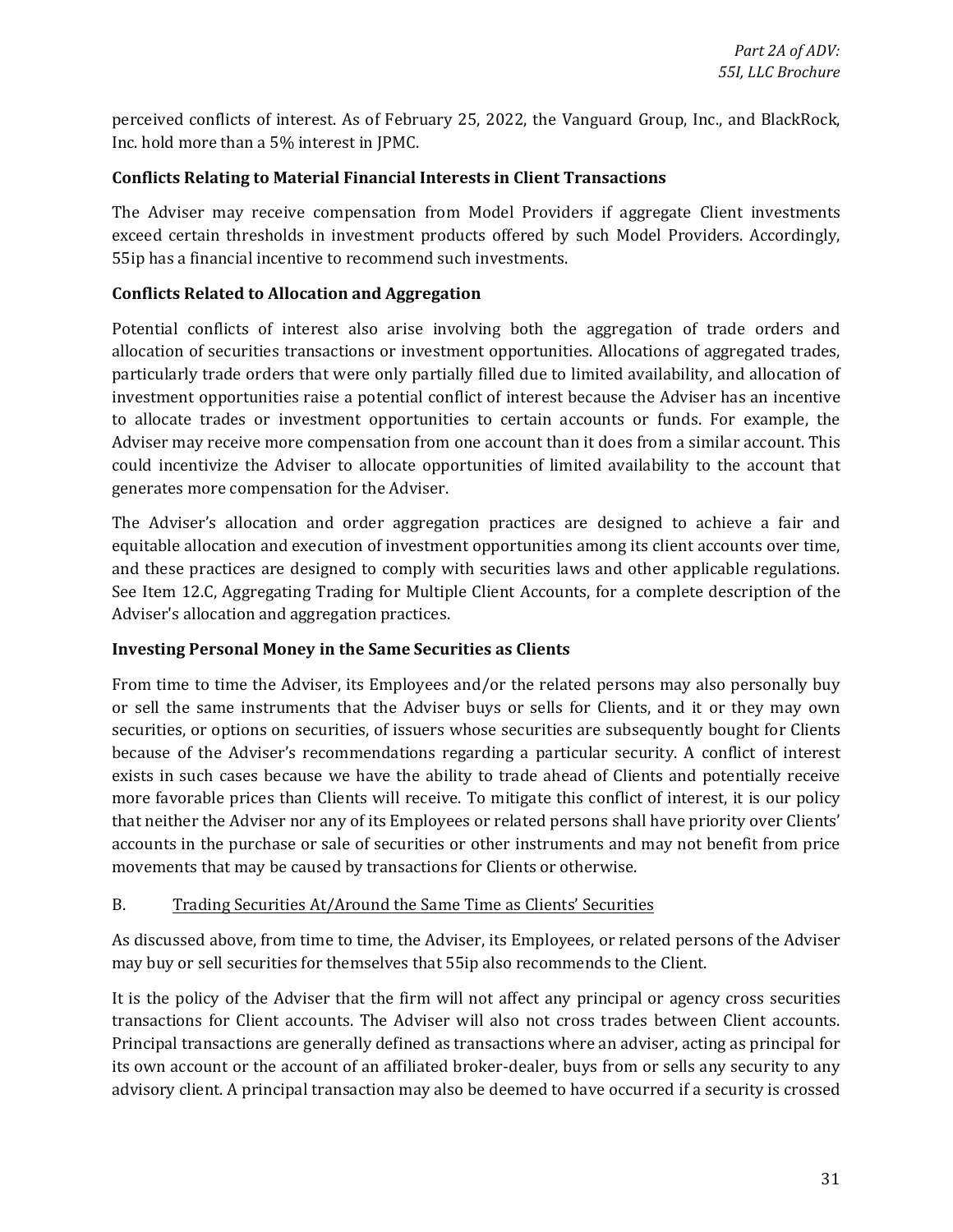perceived conflicts of interest. As of February 25, 2022, the Vanguard Group, Inc., and BlackRock, Inc. hold more than a 5% interest in JPMC.

#### **Conflicts Relating to Material Financial Interests in Client Transactions**

The Adviser may receive compensation from Model Providers if aggregate Client investments exceed certain thresholds in investment products offered by such Model Providers. Accordingly, 55ip has a financial incentive to recommend such investments.

#### **Conflicts Related to Allocation and Aggregation**

 to allocate trades or investment opportunities to certain accounts or funds. For example, the could incentivize the Adviser to allocate opportunities of limited availability to the account that Potential conflicts of interest also arise involving both the aggregation of trade orders and allocation of securities transactions or investment opportunities. Allocations of aggregated trades, particularly trade orders that were only partially filled due to limited availability, and allocation of investment opportunities raise a potential conflict of interest because the Adviser has an incentive Adviser may receive more compensation from one account than it does from a similar account. This generates more compensation for the Adviser.

The Adviser's allocation and order aggregation practices are designed to achieve a fair and equitable allocation and execution of investment opportunities among its client accounts over time, and these practices are designed to comply with securities laws and other applicable regulations. See Item 12.C, Aggregating Trading for Multiple Client Accounts, for a complete description of the Adviser's allocation and aggregation practices.

### **Investing Personal Money in the Same Securities as Clients**

 or sell the same instruments that the Adviser buys or sells for Clients, and it or they may own that neither the Adviser nor any of its Employees or related persons shall have priority over Clients' accounts in the purchase or sale of securities or other instruments and may not benefit from price From time to time the Adviser, its Employees and/or the related persons may also personally buy securities, or options on securities, of issuers whose securities are subsequently bought for Clients because of the Adviser's recommendations regarding a particular security. A conflict of interest exists in such cases because we have the ability to trade ahead of Clients and potentially receive more favorable prices than Clients will receive. To mitigate this conflict of interest, it is our policy movements that may be caused by transactions for Clients or otherwise.

#### B. Trading Securities At/Around the Same Time as Clients' Securities

As discussed above, from time to time, the Adviser, its Employees, or related persons of the Adviser may buy or sell securities for themselves that 55ip also recommends to the Client.

 transactions for Client accounts. The Adviser will also not cross trades between Client accounts. It is the policy of the Adviser that the firm will not affect any principal or agency cross securities Principal transactions are generally defined as transactions where an adviser, acting as principal for its own account or the account of an affiliated broker-dealer, buys from or sells any security to any advisory client. A principal transaction may also be deemed to have occurred if a security is crossed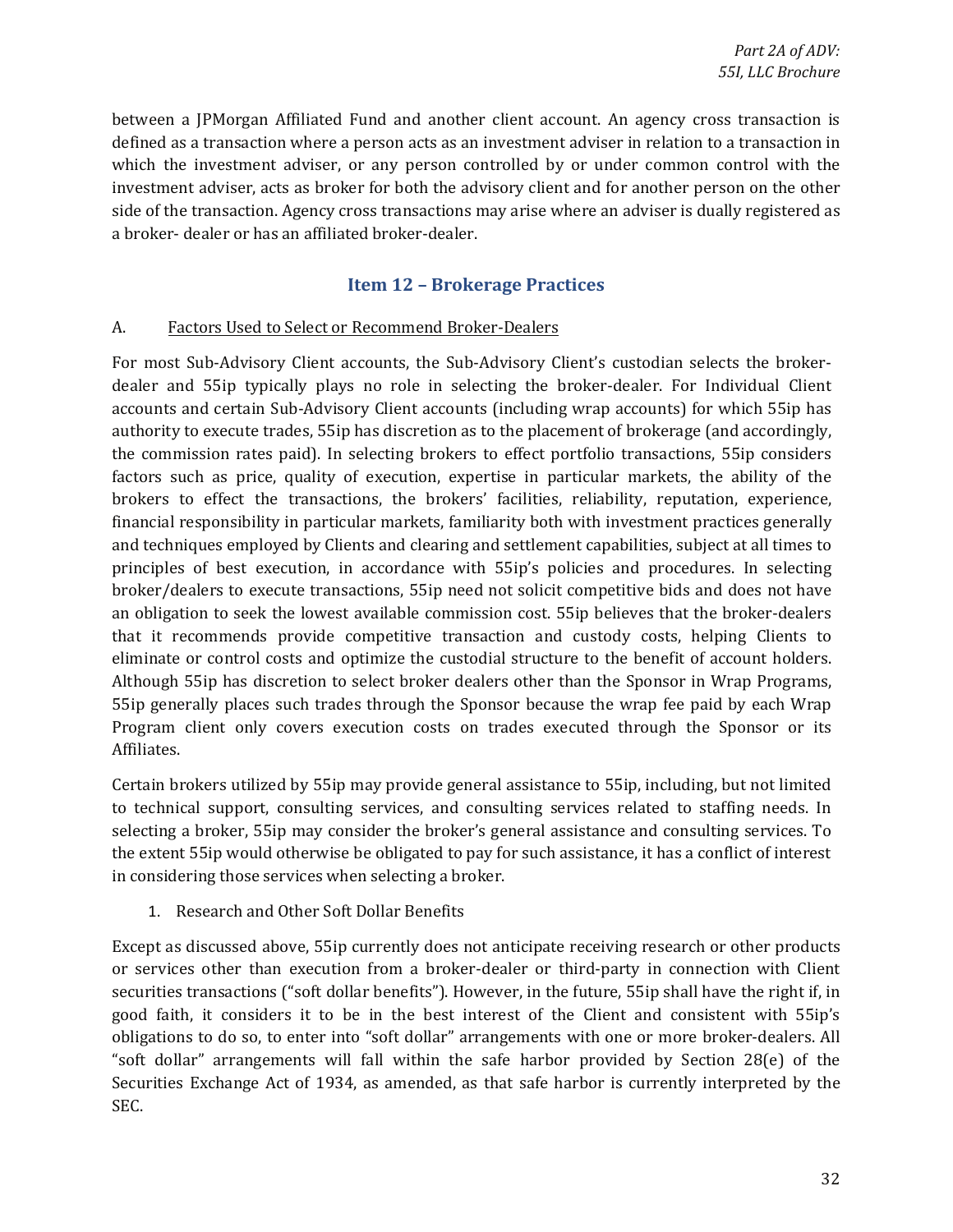<span id="page-31-0"></span> which the investment adviser, or any person controlled by or under common control with the investment adviser, acts as broker for both the advisory client and for another person on the other between a JPMorgan Affiliated Fund and another client account. An agency cross transaction is defined as a transaction where a person acts as an investment adviser in relation to a transaction in side of the transaction. Agency cross transactions may arise where an adviser is dually registered as a broker- dealer or has an affiliated broker-dealer.

### **Item 12 - Brokerage Practices**

#### A. Factors Used to Select or Recommend Broker-Dealers

 accounts and certain Sub-Advisory Client accounts (including wrap accounts) for which 55ip has financial responsibility in particular markets, familiarity both with investment practices generally Program client only covers execution costs on trades executed through the Sponsor or its For most Sub-Advisory Client accounts, the Sub-Advisory Client's custodian selects the brokerdealer and 55ip typically plays no role in selecting the broker-dealer. For Individual Client authority to execute trades, 55ip has discretion as to the placement of brokerage (and accordingly, the commission rates paid). In selecting brokers to effect portfolio transactions, 55ip considers factors such as price, quality of execution, expertise in particular markets, the ability of the brokers to effect the transactions, the brokers' facilities, reliability, reputation, experience, and techniques employed by Clients and clearing and settlement capabilities, subject at all times to principles of best execution, in accordance with 55ip's policies and procedures. In selecting broker/dealers to execute transactions, 55ip need not solicit competitive bids and does not have an obligation to seek the lowest available commission cost. 55ip believes that the broker-dealers that it recommends provide competitive transaction and custody costs, helping Clients to eliminate or control costs and optimize the custodial structure to the benefit of account holders. Although 55ip has discretion to select broker dealers other than the Sponsor in Wrap Programs, 55ip generally places such trades through the Sponsor because the wrap fee paid by each Wrap Affiliates.

 the extent 55ip would otherwise be obligated to pay for such assistance, it has a conflict of interest Certain brokers utilized by 55ip may provide general assistance to 55ip, including, but not limited to technical support, consulting services, and consulting services related to staffing needs. In selecting a broker, 55ip may consider the broker's general assistance and consulting services. To in considering those services when selecting a broker.

1. Research and Other Soft Dollar Benefits

 Except as discussed above, 55ip currently does not anticipate receiving research or other products or services other than execution from a broker-dealer or third-party in connection with Client obligations to do so, to enter into "soft dollar" arrangements with one or more broker-dealers. All securities transactions ("soft dollar benefits"). However, in the future, 55ip shall have the right if, in good faith, it considers it to be in the best interest of the Client and consistent with 55ip's "soft dollar" arrangements will fall within the safe harbor provided by Section 28(e) of the Securities Exchange Act of 1934, as amended, as that safe harbor is currently interpreted by the SEC.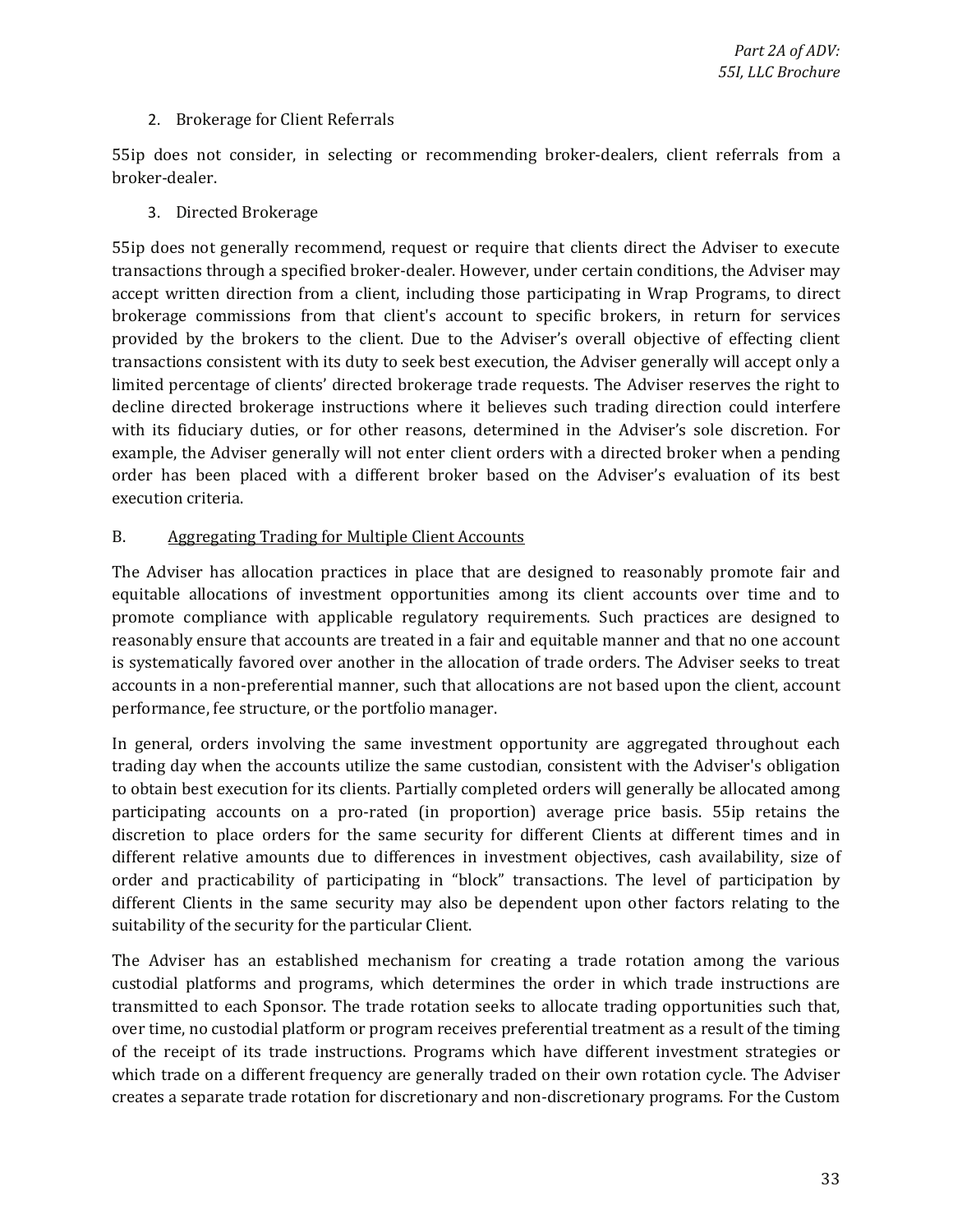#### 2. Brokerage for Client Referrals

55ip does not consider, in selecting or recommending broker-dealers, client referrals from a broker-dealer.

#### 3. Directed Brokerage

 55ip does not generally recommend, request or require that clients direct the Adviser to execute transactions consistent with its duty to seek best execution, the Adviser generally will accept only a with its fiduciary duties, or for other reasons, determined in the Adviser's sole discretion. For transactions through a specified broker-dealer. However, under certain conditions, the Adviser may accept written direction from a client, including those participating in Wrap Programs, to direct brokerage commissions from that client's account to specific brokers, in return for services provided by the brokers to the client. Due to the Adviser's overall objective of effecting client limited percentage of clients' directed brokerage trade requests. The Adviser reserves the right to decline directed brokerage instructions where it believes such trading direction could interfere example, the Adviser generally will not enter client orders with a directed broker when a pending order has been placed with a different broker based on the Adviser's evaluation of its best execution criteria.

#### B. Aggregating Trading for Multiple Client Accounts

 reasonably ensure that accounts are treated in a fair and equitable manner and that no one account is systematically favored over another in the allocation of trade orders. The Adviser seeks to treat The Adviser has allocation practices in place that are designed to reasonably promote fair and equitable allocations of investment opportunities among its client accounts over time and to promote compliance with applicable regulatory requirements. Such practices are designed to accounts in a non-preferential manner, such that allocations are not based upon the client, account performance, fee structure, or the portfolio manager.

In general, orders involving the same investment opportunity are aggregated throughout each trading day when the accounts utilize the same custodian, consistent with the Adviser's obligation to obtain best execution for its clients. Partially completed orders will generally be allocated among participating accounts on a pro-rated (in proportion) average price basis. 55ip retains the discretion to place orders for the same security for different Clients at different times and in different relative amounts due to differences in investment objectives, cash availability, size of order and practicability of participating in "block" transactions. The level of participation by different Clients in the same security may also be dependent upon other factors relating to the suitability of the security for the particular Client.

 The Adviser has an established mechanism for creating a trade rotation among the various custodial platforms and programs, which determines the order in which trade instructions are transmitted to each Sponsor. The trade rotation seeks to allocate trading opportunities such that, over time, no custodial platform or program receives preferential treatment as a result of the timing of the receipt of its trade instructions. Programs which have different investment strategies or which trade on a different frequency are generally traded on their own rotation cycle. The Adviser creates a separate trade rotation for discretionary and non-discretionary programs. For the Custom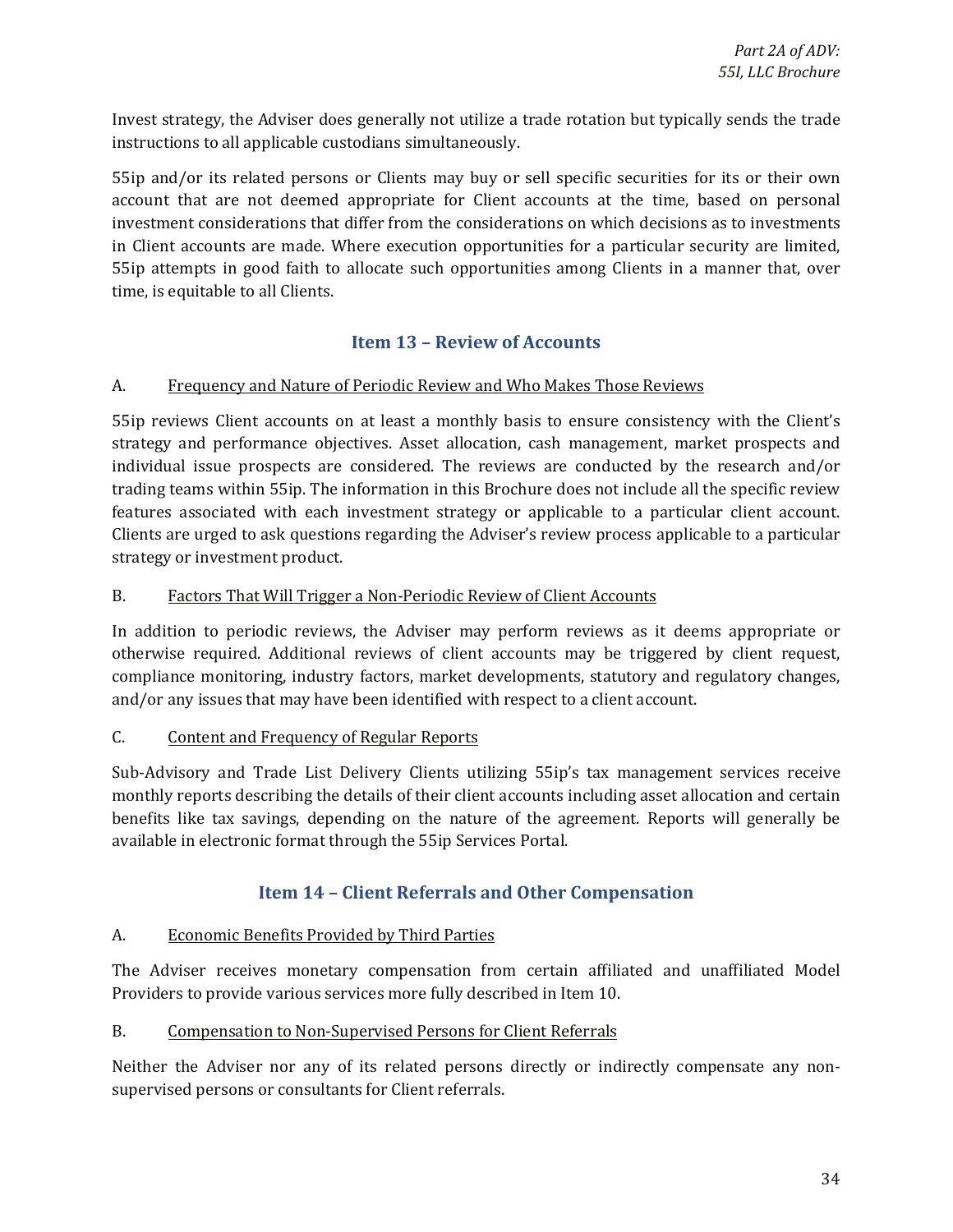<span id="page-33-0"></span>Invest strategy, the Adviser does generally not utilize a trade rotation but typically sends the trade instructions to all applicable custodians simultaneously.

 55ip and/or its related persons or Clients may buy or sell specific securities for its or their own 55ip attempts in good faith to allocate such opportunities among Clients in a manner that, over account that are not deemed appropriate for Client accounts at the time, based on personal investment considerations that differ from the considerations on which decisions as to investments in Client accounts are made. Where execution opportunities for a particular security are limited, time, is equitable to all Clients.

### **Item 13 - Review of Accounts**

#### A. Frequency and Nature of Periodic Review and Who Makes Those Reviews

 individual issue prospects are considered. The reviews are conducted by the research and/or features associated with each investment strategy or applicable to a particular client account. 55ip reviews Client accounts on at least a monthly basis to ensure consistency with the Client's strategy and performance objectives. Asset allocation, cash management, market prospects and trading teams within 55ip. The information in this Brochure does not include all the specific review Clients are urged to ask questions regarding the Adviser's review process applicable to a particular strategy or investment product.

#### B. Factors That Will Trigger a Non-Periodic Review of Client Accounts

In addition to periodic reviews, the Adviser may perform reviews as it deems appropriate or otherwise required. Additional reviews of client accounts may be triggered by client request, compliance monitoring, industry factors, market developments, statutory and regulatory changes, and/or any issues that may have been identified with respect to a client account.

#### C. Content and Frequency of Regular Reports

Sub-Advisory and Trade List Delivery Clients utilizing 55ip's tax management services receive monthly reports describing the details of their client accounts including asset allocation and certain benefits like tax savings, depending on the nature of the agreement. Reports will generally be available in electronic format through the 55ip Services Portal.

### **Item 14 - Client Referrals and Other Compensation**

#### A. Economic Benefits Provided by Third Parties

The Adviser receives monetary compensation from certain affiliated and unaffiliated Model Providers to provide various services more fully described in Item 10.

#### B. Compensation to Non-Supervised Persons for Client Referrals

 Neither the Adviser nor any of its related persons directly or indirectly compensate any nonsupervised persons or consultants for Client referrals.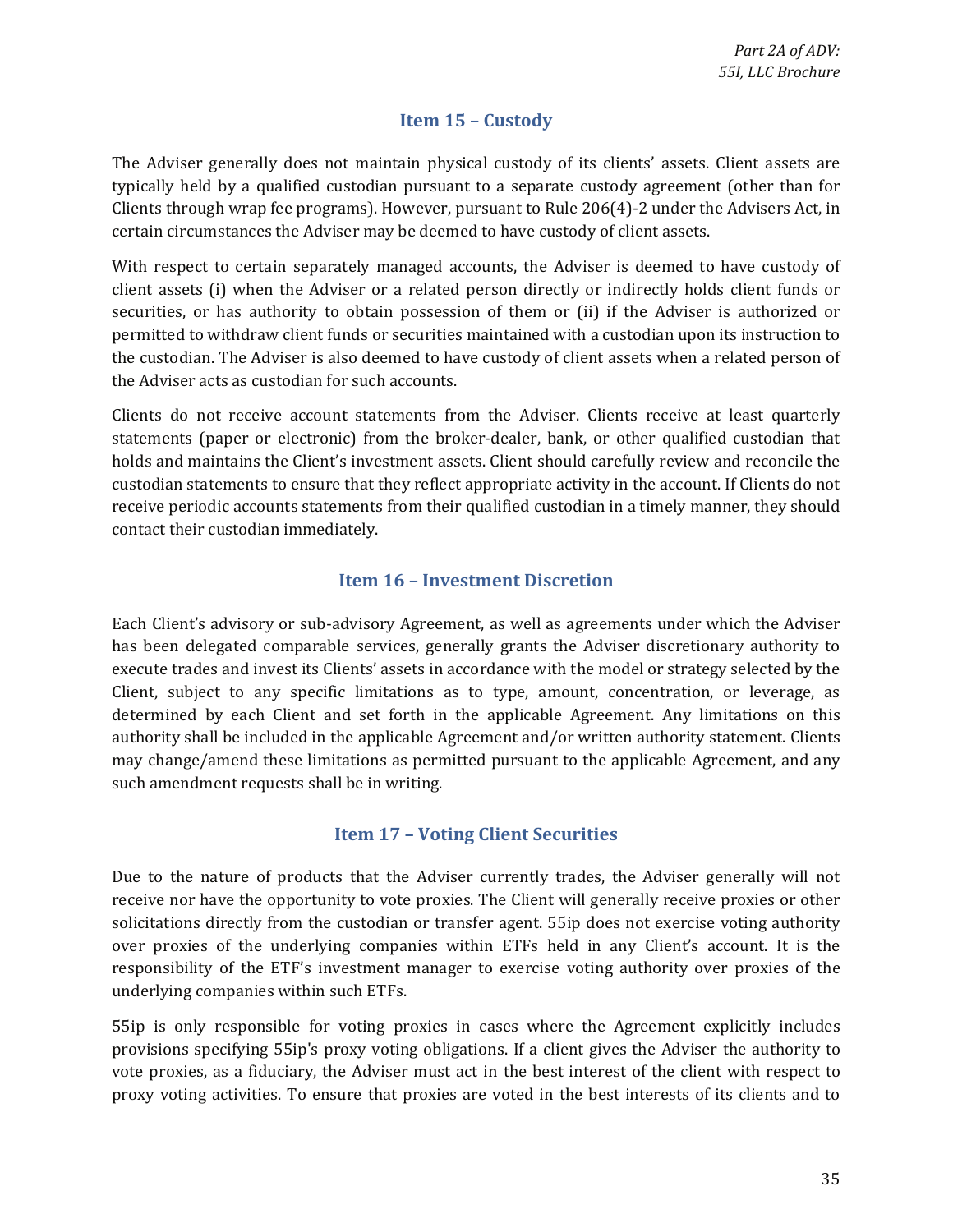### **Item 15 - Custody**

<span id="page-34-0"></span> The Adviser generally does not maintain physical custody of its clients' assets. Client assets are typically held by a qualified custodian pursuant to a separate custody agreement (other than for Clients through wrap fee programs). However, pursuant to Rule 206(4)-2 under the Advisers Act, in certain circumstances the Adviser may be deemed to have custody of client assets.

 With respect to certain separately managed accounts, the Adviser is deemed to have custody of client assets (i) when the Adviser or a related person directly or indirectly holds client funds or the custodian. The Adviser is also deemed to have custody of client assets when a related person of securities, or has authority to obtain possession of them or (ii) if the Adviser is authorized or permitted to withdraw client funds or securities maintained with a custodian upon its instruction to the Adviser acts as custodian for such accounts.

 statements (paper or electronic) from the broker-dealer, bank, or other qualified custodian that Clients do not receive account statements from the Adviser. Clients receive at least quarterly holds and maintains the Client's investment assets. Client should carefully review and reconcile the custodian statements to ensure that they reflect appropriate activity in the account. If Clients do not receive periodic accounts statements from their qualified custodian in a timely manner, they should contact their custodian immediately.

### **Item 16 – Investment Discretion**

 Each Client's advisory or sub-advisory Agreement, as well as agreements under which the Adviser execute trades and invest its Clients' assets in accordance with the model or strategy selected by the has been delegated comparable services, generally grants the Adviser discretionary authority to Client, subject to any specific limitations as to type, amount, concentration, or leverage, as determined by each Client and set forth in the applicable Agreement. Any limitations on this authority shall be included in the applicable Agreement and/or written authority statement. Clients may change/amend these limitations as permitted pursuant to the applicable Agreement, and any such amendment requests shall be in writing.

### **Item 17 – Voting Client Securities**

 receive nor have the opportunity to vote proxies. The Client will generally receive proxies or other solicitations directly from the custodian or transfer agent. 55ip does not exercise voting authority responsibility of the ETF's investment manager to exercise voting authority over proxies of the Due to the nature of products that the Adviser currently trades, the Adviser generally will not over proxies of the underlying companies within ETFs held in any Client's account. It is the underlying companies within such ETFs.

 vote proxies, as a fiduciary, the Adviser must act in the best interest of the client with respect to 55ip is only responsible for voting proxies in cases where the Agreement explicitly includes provisions specifying 55ip's proxy voting obligations. If a client gives the Adviser the authority to proxy voting activities. To ensure that proxies are voted in the best interests of its clients and to